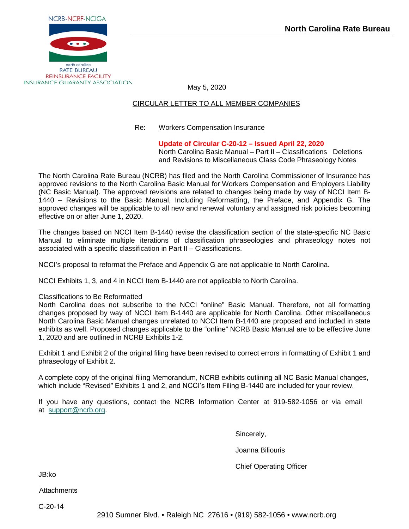

May 5, 2020

# CIRCULAR LETTER TO ALL MEMBER COMPANIES

# Re: Workers Compensation Insurance

# **Update of Circular C-20-12 – Issued April 22, 2020**

North Carolina Basic Manual – Part II – Classifications Deletions and Revisions to Miscellaneous Class Code Phraseology Notes

The North Carolina Rate Bureau (NCRB) has filed and the North Carolina Commissioner of Insurance has approved revisions to the North Carolina Basic Manual for Workers Compensation and Employers Liability (NC Basic Manual). The approved revisions are related to changes being made by way of NCCI Item B-1440 – Revisions to the Basic Manual, Including Reformatting, the Preface, and Appendix G. The approved changes will be applicable to all new and renewal voluntary and assigned risk policies becoming effective on or after June 1, 2020.

The changes based on NCCI Item B-1440 revise the classification section of the state-specific NC Basic Manual to eliminate multiple iterations of classification phraseologies and phraseology notes not associated with a specific classification in Part II – Classifications.

NCCI's proposal to reformat the Preface and Appendix G are not applicable to North Carolina.

NCCI Exhibits 1, 3, and 4 in NCCI Item B-1440 are not applicable to North Carolina.

# Classifications to Be Reformatted

North Carolina does not subscribe to the NCCI "online" Basic Manual. Therefore, not all formatting changes proposed by way of NCCI Item B-1440 are applicable for North Carolina. Other miscellaneous North Carolina Basic Manual changes unrelated to NCCI Item B-1440 are proposed and included in state exhibits as well. Proposed changes applicable to the "online" NCRB Basic Manual are to be effective June 1, 2020 and are outlined in NCRB Exhibits 1-2.

Exhibit 1 and Exhibit 2 of the original filing have been revised to correct errors in formatting of Exhibit 1 and phraseology of Exhibit 2.

A complete copy of the original filing Memorandum, NCRB exhibits outlining all NC Basic Manual changes, which include "Revised" Exhibits 1 and 2, and NCCI's Item Filing B-1440 are included for your review.

If you have any questions, contact the NCRB Information Center at 919-582-1056 or via email at [support@ncrb.o](mailto:support@ncrb.org)rg.

Sincerely,

Joanna Biliouris

Chief Operating Officer

JB:ko

**Attachments** 

C-20-14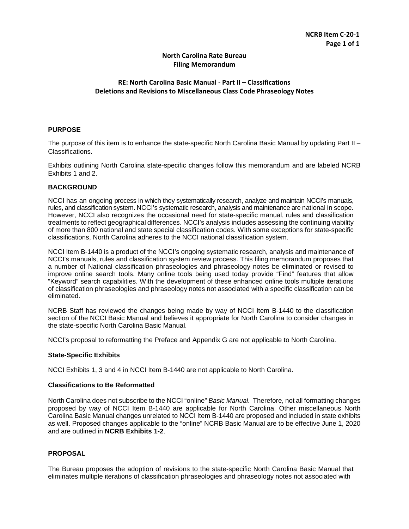# **North Carolina Rate Bureau Filing Memorandum**

# **RE: North Carolina Basic Manual - Part II – Classifications Deletions and Revisions to Miscellaneous Class Code Phraseology Notes**

# **PURPOSE**

The purpose of this item is to enhance the state-specific North Carolina Basic Manual by updating Part II – Classifications.

Exhibits outlining North Carolina state-specific changes follow this memorandum and are labeled NCRB Exhibits 1 and 2.

#### **BACKGROUND**

NCCI has an ongoing process in which they systematically research, analyze and maintain NCCI's manuals, rules, and classification system. NCCI's systematic research, analysis and maintenance are national in scope. However, NCCI also recognizes the occasional need for state-specific manual, rules and classification treatments to reflect geographical differences. NCCI's analysis includes assessing the continuing viability of more than 800 national and state special classification codes. With some exceptions for state-specific classifications, North Carolina adheres to the NCCI national classification system.

NCCI Item B-1440 is a product of the NCCI's ongoing systematic research, analysis and maintenance of NCCI's manuals, rules and classification system review process. This filing memorandum proposes that a number of National classification phraseologies and phraseology notes be eliminated or revised to improve online search tools. Many online tools being used today provide "Find" features that allow "Keyword" search capabilities. With the development of these enhanced online tools multiple iterations of classification phraseologies and phraseology notes not associated with a specific classification can be eliminated.

NCRB Staff has reviewed the changes being made by way of NCCI Item B-1440 to the classification section of the NCCI Basic Manual and believes it appropriate for North Carolina to consider changes in the state-specific North Carolina Basic Manual.

NCCI's proposal to reformatting the Preface and Appendix G are not applicable to North Carolina.

# **State-Specific Exhibits**

NCCI Exhibits 1, 3 and 4 in NCCI Item B-1440 are not applicable to North Carolina.

# **Classifications to Be Reformatted**

North Carolina does not subscribe to the NCCI "online" *Basic Manual.* Therefore, not all formatting changes proposed by way of NCCI Item B-1440 are applicable for North Carolina. Other miscellaneous North Carolina Basic Manual changes unrelated to NCCI Item B-1440 are proposed and included in state exhibits as well. Proposed changes applicable to the "online" NCRB Basic Manual are to be effective June 1, 2020 and are outlined in **NCRB Exhibits 1-2**.

# **PROPOSAL**

The Bureau proposes the adoption of revisions to the state-specific North Carolina Basic Manual that eliminates multiple iterations of classification phraseologies and phraseology notes not associated with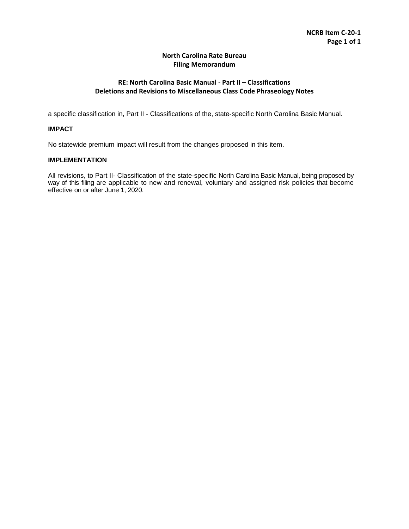# **North Carolina Rate Bureau Filing Memorandum**

# **RE: North Carolina Basic Manual - Part II – Classifications Deletions and Revisions to Miscellaneous Class Code Phraseology Notes**

a specific classification in, Part II - Classifications of the, state-specific North Carolina Basic Manual.

# **IMPACT**

No statewide premium impact will result from the changes proposed in this item.

# **IMPLEMENTATION**

All revisions, to Part II- Classification of the state-specific North Carolina Basic Manual, being proposed by way of this filing are applicable to new and renewal, voluntary and assigned risk policies that become effective on or after June 1, 2020.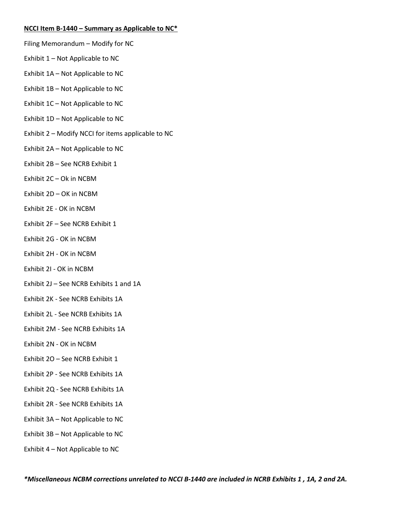# **NCCI Item B-1440 – Summary as Applicable to NC\***

- Filing Memorandum Modify for NC
- Exhibit 1 Not Applicable to NC
- Exhibit 1A Not Applicable to NC
- Exhibit 1B Not Applicable to NC
- Exhibit 1C Not Applicable to NC
- Exhibit 1D Not Applicable to NC
- Exhibit 2 Modify NCCI for items applicable to NC
- Exhibit 2A Not Applicable to NC
- Exhibit 2B See NCRB Exhibit 1
- Exhibit 2C Ok in NCBM
- Exhibit 2D OK in NCBM
- Exhibit 2E OK in NCBM
- Exhibit 2F See NCRB Exhibit 1
- Exhibit 2G OK in NCBM
- Exhibit 2H OK in NCBM
- Exhibit 2I OK in NCBM
- Exhibit 2J See NCRB Exhibits 1 and 1A
- Exhibit 2K See NCRB Exhibits 1A
- Exhibit 2L See NCRB Exhibits 1A
- Exhibit 2M See NCRB Exhibits 1A
- Exhibit 2N OK in NCBM
- Exhibit 2O See NCRB Exhibit 1
- Exhibit 2P See NCRB Exhibits 1A
- Exhibit 2Q See NCRB Exhibits 1A
- Exhibit 2R See NCRB Exhibits 1A
- Exhibit 3A Not Applicable to NC
- Exhibit 3B Not Applicable to NC
- Exhibit 4 Not Applicable to NC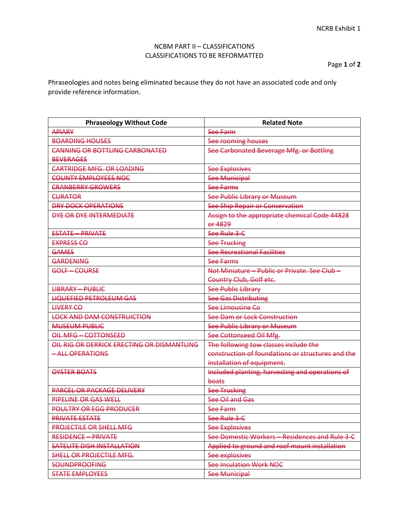Page **1** of **2**

Phraseologies and notes being eliminated because they do not have an associated code and only provide reference information.

| <b>Phraseology Without Code</b>            | <b>Related Note</b>                                      |
|--------------------------------------------|----------------------------------------------------------|
| <b>APIARY</b>                              | See Farm                                                 |
| <b>BOARDING HOUSES</b>                     | See rooming houses                                       |
| <b>CANNING OR BOTTLING CARBONATED</b>      | See Carbonated Beverage Mfg. or Bottling                 |
| <b>BEVERAGES</b>                           |                                                          |
| <b>CARTRIDGE MFG. OR LOADING</b>           | <b>See Explosives</b>                                    |
| <b>COUNTY EMPLOYEES NOC</b>                | <b>See Municipal</b>                                     |
| <b>CRANBERRY GROWERS</b>                   | <b>See Farms</b>                                         |
| <b>CURATOR</b>                             | See Public Library or Museum                             |
| <b>DRY DOCK OPERATIONS</b>                 | See Ship Repair or Conservation                          |
| DYE OR DYE INTERMEDIATE                    | Assign to the appropriate chemical Code 44828<br>or 4829 |
| <b>ESTATE - PRIVATE</b>                    | See Rule 3-C                                             |
| <b>EXPRESS CO</b>                          | <b>See Trucking</b>                                      |
| <b>GAMES</b>                               | See Recreational Facilities                              |
| <b>GARDENING</b>                           | See Farms                                                |
| GOLF-COURSE                                | Not Miniature - Public or Private. See Club-             |
|                                            | Country Club, Golf etc.                                  |
| <b>LIBRARY - PUBLIC</b>                    | <b>See Public Library</b>                                |
| <b>LIQUEFIED PETROLEUM GAS</b>             | <b>See Gas Distributing</b>                              |
| <b>LIVERY CO</b>                           | See Limousine Co                                         |
| <b>LOCK AND DAM CONSTRUICTION</b>          | See Dam or Lock Construction                             |
| <b>MUSEUM PUBLIC</b>                       | See Public Library or Museum                             |
| OIL MFG-COTTONSEED                         | See Cottonseed Oil Mfg.                                  |
| OIL RIG OR DERRICK ERECTING OR DISMANTLING | The following tow classes include the                    |
| - ALL OPERATIONS                           | construction of foundations or structures and the        |
|                                            | installation of equipment.                               |
| OYSTER BOATS                               | Included planting, harvesting and operations of          |
|                                            | boats                                                    |
| <b>PARCEL OR PACKAGE DELIVERY</b>          | <b>See Trucking</b>                                      |
| PIPELINE OR GAS WELL                       | See Oil and Gas                                          |
| <b>POULTRY OR EGG PRODUCER</b>             | See Farm                                                 |
| <b>PRIVATE ESTATE</b>                      | See Rule 3-C                                             |
| <b>PROJECTILE OR SHELL MFG</b>             | <b>See Explosives</b>                                    |
| <b>RESIDENCE - PRIVATE</b>                 | See Domestic Workers - Residences and Rule 3-C           |
| SATELITE DISH INSTALLATION                 | Applied to ground and roof mount installation            |
| SHELL OR PROJECTILE MFG.                   | See explosives                                           |
| <b>SOUNDPROOFING</b>                       | <b>See Insulation Work NOC</b>                           |
| <b>STATE EMPLOYEES</b>                     | See Municipal                                            |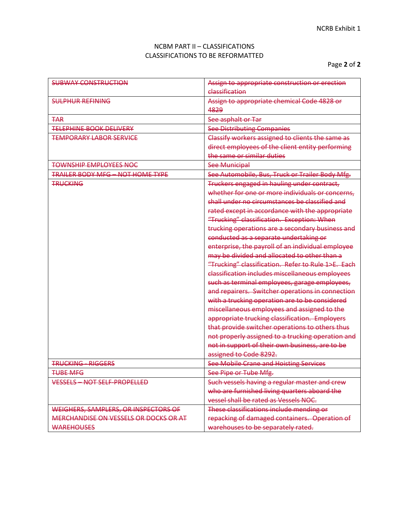| <b>SUBWAY CONSTRUCTION</b>              | Assign to appropriate construction or erection     |
|-----------------------------------------|----------------------------------------------------|
|                                         | classification                                     |
| <b>SULPHUR REFINING</b>                 | Assign to appropriate chemical Code 4828 or        |
|                                         | 4829                                               |
| <b>TAR</b>                              | See asphalt or Tar                                 |
| <b>TELEPHINE BOOK DELIVERY</b>          | <b>See Distributing Companies</b>                  |
| <b>TEMPORARY LABOR SERVICE</b>          | Classify workers assigned to clients the same as   |
|                                         | direct employees of the client entity performing   |
|                                         | the same or similar duties                         |
| <b>TOWNSHIP EMPLOYEES NOC</b>           | <b>See Municipal</b>                               |
| <b>TRAILER BODY MFG - NOT HOME TYPE</b> | See Automobile, Bus, Truck or Trailer Body Mfg.    |
| <b>TRUCKING</b>                         | Truckers engaged in hauling under contract,        |
|                                         | whether for one or more individuals or concerns,   |
|                                         | shall under no circumstances be classified and     |
|                                         | rated except in accordance with the appropriate    |
|                                         | "Trucking" classification. Exception: When         |
|                                         | trucking operations are a secondary business and   |
|                                         | conducted as a separate undertaking or             |
|                                         | enterprise, the payroll of an individual employee  |
|                                         | may be divided and allocated to other than a       |
|                                         | "Trucking" classification. Refer to Rule 1>E. Each |
|                                         | classification includes miscellaneous employees    |
|                                         | such as terminal employees, garage employees,      |
|                                         | and repairers. Switcher operations in connection   |
|                                         | with a trucking operation are to be considered     |
|                                         | miscellaneous employees and assigned to the        |
|                                         | appropriate trucking classification. Employers     |
|                                         | that provide switcher operations to others thus    |
|                                         | not properly assigned to a trucking operation and  |
|                                         | not in support of their own business, are to be    |
|                                         | assigned to Code 8292.                             |
| <b>TRUCKING - RIGGERS</b>               | <b>See Mobile Crane and Hoisting Services</b>      |
| <b>THRE MEG</b>                         | See Pipe or Tube Mfg.                              |
| <b>VESSELS - NOT SELF-PROPELLED</b>     | Such vessels having a regular master and crew      |
|                                         | who are furnished living quarters aboard the       |
|                                         | vessel shall be rated as Vessels NOC.              |
| WEIGHERS, SAMPLERS, OR INSPECTORS OF    | These classifications include mending or           |
| MERCHANDISE ON VESSELS OR DOCKS OR AT   | repacking of damaged containers. Operation of      |
| <b>WAREHOUSES</b>                       | warehouses to be separately rated.                 |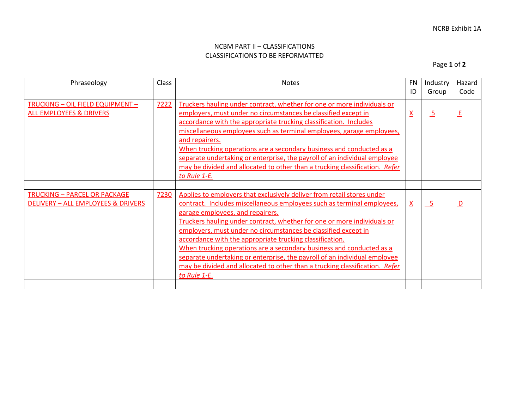Page **1** of **2**

| Phraseology                                                                   | Class | <b>Notes</b>                                                                                                                                                                                                                                                                                                                                                                                                                                                                                                                                                                                                                                      | <b>FN</b>       | Industry        | Hazard                  |
|-------------------------------------------------------------------------------|-------|---------------------------------------------------------------------------------------------------------------------------------------------------------------------------------------------------------------------------------------------------------------------------------------------------------------------------------------------------------------------------------------------------------------------------------------------------------------------------------------------------------------------------------------------------------------------------------------------------------------------------------------------------|-----------------|-----------------|-------------------------|
|                                                                               |       |                                                                                                                                                                                                                                                                                                                                                                                                                                                                                                                                                                                                                                                   | ID              | Group           | Code                    |
| <b>TRUCKING - OIL FIELD EQUIPMENT -</b><br><b>ALL EMPLOYEES &amp; DRIVERS</b> | 7222  | Truckers hauling under contract, whether for one or more individuals or<br>employers, must under no circumstances be classified except in<br>accordance with the appropriate trucking classification. Includes<br>miscellaneous employees such as terminal employees, garage employees,<br>and repairers.<br>When trucking operations are a secondary business and conducted as a<br>separate undertaking or enterprise, the payroll of an individual employee<br>may be divided and allocated to other than a trucking classification. Refer<br>to Rule 1-E.                                                                                     | $\underline{X}$ | $\overline{5}$  | <u>E</u>                |
|                                                                               |       |                                                                                                                                                                                                                                                                                                                                                                                                                                                                                                                                                                                                                                                   |                 |                 |                         |
| <b>TRUCKING - PARCEL OR PACKAGE</b><br>DELIVERY - ALL EMPLOYEES & DRIVERS     | 7230  | Applies to employers that exclusively deliver from retail stores under<br>contract. Includes miscellaneous employees such as terminal employees,<br>garage employees, and repairers.<br>Truckers hauling under contract, whether for one or more individuals or<br>employers, must under no circumstances be classified except in<br>accordance with the appropriate trucking classification.<br>When trucking operations are a secondary business and conducted as a<br>separate undertaking or enterprise, the payroll of an individual employee<br>may be divided and allocated to other than a trucking classification. Refer<br>to Rule 1-E. | $\underline{X}$ | $\overline{-5}$ | $\overline{\mathsf{D}}$ |
|                                                                               |       |                                                                                                                                                                                                                                                                                                                                                                                                                                                                                                                                                                                                                                                   |                 |                 |                         |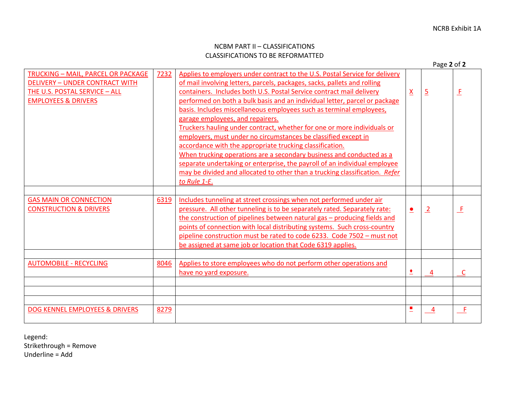AUTOMOBILE - RECYCLING 8046 | Applies to store employees who do not perform other operations and

DOG KENNEL EMPLOYEES & DRIVERS 8 8279 **8279 120 CM 2010 120 CM 2010 120 CM 2010 120 CM 2010 120 CM 2010 120 CM 2010** 

|                                                                                                                                                        |      |                                                                                                                                                                                                                                                                                                                                                                                                                                                                                                                                                                                                                                                                                                                                                                                                                                                                                       |                 | Page 2 of 2    |        |
|--------------------------------------------------------------------------------------------------------------------------------------------------------|------|---------------------------------------------------------------------------------------------------------------------------------------------------------------------------------------------------------------------------------------------------------------------------------------------------------------------------------------------------------------------------------------------------------------------------------------------------------------------------------------------------------------------------------------------------------------------------------------------------------------------------------------------------------------------------------------------------------------------------------------------------------------------------------------------------------------------------------------------------------------------------------------|-----------------|----------------|--------|
| 7232<br>TRUCKING - MAIL, PARCEL OR PACKAGE<br><b>DELIVERY - UNDER CONTRACT WITH</b><br>THE U.S. POSTAL SERVICE - ALL<br><b>EMPLOYEES &amp; DRIVERS</b> |      | Applies to employers under contract to the U.S. Postal Service for delivery<br>of mail involving letters, parcels, packages, sacks, pallets and rolling<br>containers. Includes both U.S. Postal Service contract mail delivery<br>performed on both a bulk basis and an individual letter, parcel or package<br>basis. Includes miscellaneous employees such as terminal employees,<br>garage employees, and repairers.<br>Truckers hauling under contract, whether for one or more individuals or<br>employers, must under no circumstances be classified except in<br>accordance with the appropriate trucking classification.<br>When trucking operations are a secondary business and conducted as a<br>separate undertaking or enterprise, the payroll of an individual employee<br>may be divided and allocated to other than a trucking classification. Refer<br>to Rule 1-E. | $\underline{X}$ | $\overline{2}$ | 上<br>一 |
|                                                                                                                                                        |      |                                                                                                                                                                                                                                                                                                                                                                                                                                                                                                                                                                                                                                                                                                                                                                                                                                                                                       |                 |                |        |
| <b>GAS MAIN OR CONNECTION</b><br><b>CONSTRUCTION &amp; DRIVERS</b>                                                                                     | 6319 | Includes tunneling at street crossings when not performed under air<br>pressure. All other tunneling is to be separately rated. Separately rate:<br>the construction of pipelines between natural gas – producing fields and<br>points of connection with local distributing systems. Such cross-country<br>pipeline construction must be rated to code 6233. Code 7502 - must not<br>be assigned at same job or location that Code 6319 applies.                                                                                                                                                                                                                                                                                                                                                                                                                                     | $\bullet$       | $\overline{2}$ | ᅩ      |

have no yard exposure. 4 C

Legend:

Strikethrough = Remove Underline = Add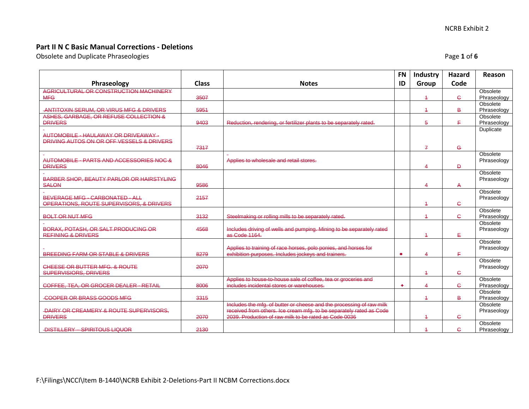Obsolete and Duplicate Phraseologies **Page 1** of 6 and 2012 12:00 and 2013 12:00 and 2013 12:00 and 2013 12:00 and 2013 12:00 and 2013 12:00 and 2013 12:00 and 2013 12:00 and 2013 12:00 and 2013 12:00 and 2013 12:00 and 20

|                                                                                    |              |                                                                      | <b>FN</b> | Industry                | Hazard       | Reason                  |
|------------------------------------------------------------------------------------|--------------|----------------------------------------------------------------------|-----------|-------------------------|--------------|-------------------------|
| Phraseology                                                                        | <b>Class</b> | <b>Notes</b>                                                         | ID        | Group                   | Code         |                         |
| AGRICULTURAL OR CONSTRUCTION MACHINERY                                             |              |                                                                      |           |                         |              | Obsolete                |
| <b>MFG</b>                                                                         | 3507         |                                                                      |           | $\overline{4}$          | Ċ.           | Phraseology             |
| -ANTITOXIN SERUM, OR VIRUS MFG & DRIVERS                                           | 5951         |                                                                      |           | $\overline{4}$          | B            | Obsolete<br>Phraseology |
| ASHES, GARBAGE, OR REFUSE COLLECTION &                                             |              |                                                                      |           |                         |              | Obsolete                |
| <b>DRIVERS</b>                                                                     | 9403         | Reduction, rendering, or fertilizer plants to be separately rated.   |           | 5                       | F.           | Phraseology             |
|                                                                                    |              |                                                                      |           |                         |              | Duplicate               |
| AUTOMOBILE - HAULAWAY OR DRIVEAWAY -                                               |              |                                                                      |           |                         |              |                         |
| DRIVING AUTOS ON OR OFF VESSELS & DRIVERS                                          |              |                                                                      |           |                         |              |                         |
|                                                                                    | 7317         |                                                                      |           | $\mathcal{I}$           | $\mathbf{G}$ | Obsolete                |
| AUTOMOBILE - PARTS AND ACCESSORIES NOC &                                           |              | Applies to wholesale and retail stores.                              |           |                         |              | Phraseology             |
| <b>DRIVERS</b>                                                                     | 8046         |                                                                      |           | $\overline{4}$          | D.           |                         |
|                                                                                    |              |                                                                      |           |                         |              | Obsolete                |
| BARBER SHOP, BEAUTY PARLOR OR HAIRSTYLING                                          |              |                                                                      |           |                         |              | Phraseology             |
| <b>SALON</b>                                                                       | 9586         |                                                                      |           | $\overline{\mathbf{A}}$ | А            |                         |
|                                                                                    |              |                                                                      |           |                         |              | Obsolete                |
| <b>BEVERAGE MFG - CARBONATED - ALL</b><br>OPERATIONS, ROUTE SUPERVISORS, & DRIVERS | 2157         |                                                                      |           | $\overline{4}$          | Ċ.           | Phraseology             |
|                                                                                    |              |                                                                      |           |                         |              | Obsolete                |
| <b>BOLT OR NUT MFG</b>                                                             | 3132         | Steelmaking or rolling mills to be separately rated.                 |           | $\overline{4}$          | $\mathbf{G}$ | Phraseology             |
|                                                                                    |              |                                                                      |           |                         |              | Obsolete                |
| BORAX, POTASH, OR SALT PRODUCING OR                                                | 4568         | Includes driving of wells and pumping. Mining to be separately rated |           |                         |              | Phraseology             |
| <b>REFINING &amp; DRIVERS</b>                                                      |              | as Code 1164.                                                        |           | $\overline{4}$          | ŧ.           |                         |
|                                                                                    |              | Applies to training of race horses, polo ponies, and horses for      |           |                         |              | Obsolete                |
| <b>BREEDING FARM OR STABLE &amp; DRIVERS</b>                                       | 8279         | exhibition purposes. Includes jockeys and trainers.                  |           | 4                       | E,           | Phraseology             |
|                                                                                    |              |                                                                      |           |                         |              | Obsolete                |
| CHEESE OR BUTTER MFG. & ROUTE                                                      | 2070         |                                                                      |           |                         |              | Phraseology             |
| <b>SUPERVISIORS, DRIVERS</b>                                                       |              |                                                                      |           | $\overline{4}$          | Ċ.           |                         |
|                                                                                    |              | Applies to house-to-house sale of coffee, tea or groceries and       |           |                         |              | Obsolete                |
| COFFEE, TEA, OR GROCER DEALER - RETAIL                                             | 8006         | includes incidental stores or warehouses.                            | ٠         | $\overline{\mathbf{4}}$ | e            | Phraseology             |
| -COOPER OR BRASS GOODS MFG                                                         | 3315         |                                                                      |           | $\overline{4}$          | B.           | Obsolete<br>Phraseology |
|                                                                                    |              | Includes the mfg. of butter or cheese and the processing of raw milk |           |                         |              | Obsolete                |
| -DAIRY OR CREAMERY & ROUTE SUPERVISORS,                                            |              | received from others. Ice cream mfg. to be separately rated as Code  |           |                         |              | Phraseology             |
| <b>DRIVERS</b>                                                                     | 2070         | 2039. Production of raw milk to be rated as Code 0036                |           | $\overline{4}$          | e.           |                         |
|                                                                                    |              |                                                                      |           |                         |              | Obsolete                |
| <b>-DISTILLERY - SPIRITOUS LIQUOR</b>                                              | 2130         |                                                                      |           | $\overline{4}$          | e.           | Phraseology             |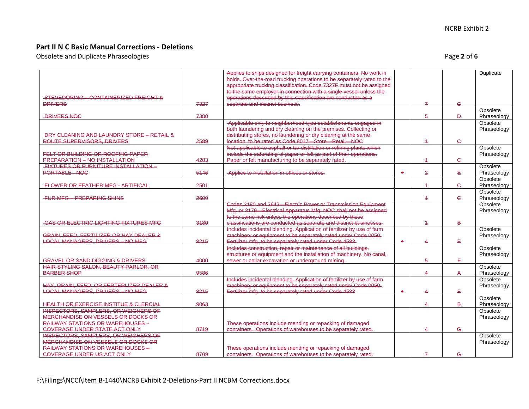Obsolete and Duplicate Phraseologies **Page 2** of 6 and 2 of 6

|                                                       |      | Applies to ships designed for freight carrying containers. No work in  |           |                |             | Duplicate   |
|-------------------------------------------------------|------|------------------------------------------------------------------------|-----------|----------------|-------------|-------------|
|                                                       |      | holds. Over-the-road trucking operations to be separately rated to the |           |                |             |             |
|                                                       |      | appropriate trucking classification. Code 7327F must not be assigned   |           |                |             |             |
|                                                       |      | to the same employer in connection with a single vessel unless the     |           |                |             |             |
| STEVEDORING - CONTAINERIZED FREIGHT &                 |      | operations described by this classification are conducted as a         |           |                |             |             |
| <b>DRIVERS</b>                                        | 7327 | separate and distinct business.                                        |           | $\overline{f}$ | $\mathbf G$ |             |
|                                                       |      |                                                                        |           |                |             | Obsolete    |
| <b>-DRIVERS NOC</b>                                   | 7380 |                                                                        |           | 5              | Đ.          | Phraseology |
|                                                       |      | Applicable only to neighborhood-type establishments engaged in         |           |                |             | Obsolete    |
|                                                       |      | both laundering and dry cleaning on the premises. Collecting or        |           |                |             | Phraseology |
| <b>-DRY CLEANING AND LAUNDRY STORE - RETAIL &amp;</b> |      | distributing stores, no laundering or dry cleaning at the same         |           |                |             |             |
| ROUTE SUPERVISORS, DRIVERS                            | 2589 | location, to be rated as Code 8017-Store-Retail-NOC                    |           | 4              | ¢           |             |
|                                                       |      | Not applicable to asphalt or tar distillation or refining plants which |           |                |             | Obsolete    |
| FELT OR BUILDING OR ROOFING PAPER                     |      | include the saturating of paper or felt as part of their operations.   |           |                |             | Phraseology |
| PREPARATION - NO INSTALLATION                         | 4283 | Paper or felt manufacturing to be separately rated.                    |           | 4              | ¢           |             |
| <b>FIXTURES OR FURNITURE INSTALLATION -</b>           |      |                                                                        |           |                |             | Obsolete    |
| PORTABLE-NOC                                          | 5146 | -Applies to installation in offices or stores.                         | $\bullet$ | $\overline{2}$ | ŧ,          | Phraseology |
|                                                       |      |                                                                        |           |                |             | Obsolete    |
| <b>FLOWER OR FEATHER MFG - ARTIFICAL</b>              | 2501 |                                                                        |           | $\overline{+}$ | e           | Phraseology |
|                                                       |      |                                                                        |           |                |             | Obsolete    |
| <b>FUR MFG - PREPARING SKINS</b>                      | 2600 |                                                                        |           | $\overline{4}$ | ¢           | Phraseology |
|                                                       |      | Codes 3180 and 3643-Electric Power or Transmission Equipment           |           |                |             | Obsolete    |
|                                                       |      | Mfg. or 3179 Electrical Apparatus Mfg. NOC shall not be assigned       |           |                |             | Phraseology |
|                                                       |      | to the same risk unless the operations described by these              |           |                |             |             |
| <b>GAS OR ELECTRIC LIGHTING FIXTURES MFG</b>          | 3180 | classifications are conducted as separate and distinct businesses.     |           | $\overline{4}$ | B           |             |
|                                                       |      | Includes incidental blending. Application of fertilizer by use of farm |           |                |             | Obsolete    |
| GRAIN, FEED, FERTILIZER OR HAY DEALER &               |      | machinery or equipment to be separately rated under Code 0050.         |           |                |             | Phraseology |
| <b>LOCAL MANAGERS, DRIVERS - NO MFG</b>               | 8215 | Fertilizer mfg. to be separately rated under Code 4583.                | $\bullet$ | Δ.             | ŧ.          |             |
|                                                       |      | Includes construction, repair or maintenance of all buildings,         |           |                |             | Obsolete    |
|                                                       |      | structures or equipment and the installation of machinery. No canal,   |           |                |             | Phraseology |
| <b>GRAVEL OR SAND DIGGING &amp; DRIVERS</b>           | 4000 | sewer or cellar excavation or underground mining.                      |           | 5              | F.          |             |
| HAIR STYLING SALON, BEAUTY PARLOR, OR                 |      |                                                                        |           |                |             | Obsolete    |
| <b>BARBER SHOP</b>                                    | 9586 |                                                                        |           | 4              | A           | Phraseology |
|                                                       |      | Includes incidental blending. Application of fertilizer by use of farm |           |                |             | Obsolete    |
| HAY, GRAIN, FEED, OR FERTERLIZER DEALER &             |      | machinery or equipment to be separately rated under Code 0050.         |           |                |             | Phraseology |
| <b>LOCAL MANAGERS, DRIVERS - NO MFG</b>               | 8215 | Fertilizer mfg. to be separately rated under Code 4583.                | ٠         | 4              | Ė,          |             |
|                                                       |      |                                                                        |           |                |             | Obsolete    |
| <b>HEALTH OR EXERCISE INSTITUE &amp; CLERCIAL</b>     | 9063 |                                                                        |           | 4              | B           | Phraseology |
| <b>INSPECTORS, SAMPLERS, OR WEIGHERS OF</b>           |      |                                                                        |           |                |             | Obsolete    |
| MERCHANDISE ON VESSELS OR DOCKS OR                    |      |                                                                        |           |                |             | Phraseology |
| <b>RAILWAY STATIONS OR WAREHOUSES -</b>               |      | These operations include mending or repacking of damaged               |           |                |             |             |
| <b>COVERAGE UNDER STATE ACT ONLY</b>                  | 8719 | containers. Operations of warehouses to be separately rated.           |           | 4              | e           |             |
| INSPECTORS, SAMPLERS, OR WEIGHERS OF                  |      |                                                                        |           |                |             | Obsolete    |
| MERCHANDISE ON VESSELS OR DOCKS OR                    |      |                                                                        |           |                |             | Phraseology |
| <b>RAILWAY STATIONS OR WAREHOUSES -</b>               |      | These operations include mending or repacking of damaged               |           |                |             |             |
| <b>COVERAGE UNDER US ACT ONLY</b>                     | 8709 | containers. Operations of warehouses to be separately rated.           |           | $\mathcal{I}$  | $\mathbf G$ |             |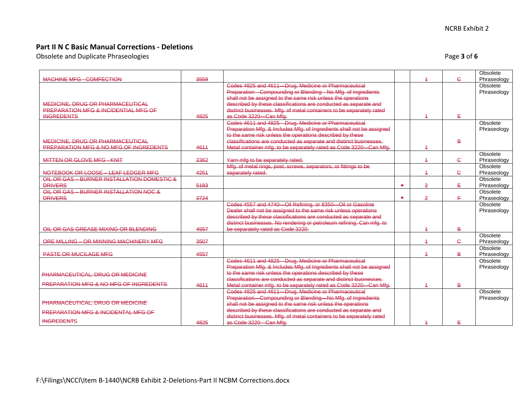Obsolete and Duplicate Phraseologies **Page 3** of 6 and  $\overline{a}$  and  $\overline{b}$  and  $\overline{c}$  and  $\overline{b}$  and  $\overline{c}$  and  $\overline{b}$  and  $\overline{c}$  and  $\overline{b}$  and  $\overline{c}$  and  $\overline{b}$  and  $\overline{c}$  and  $\overline{c}$  and  $\overline{c}$  an

| <b>MACHINE MFG - COMFECTION</b>                 | 3559 |                                                                                                                           |           | $\overline{1}$ | Ċ.             | Obsolete<br>Phraseology |
|-------------------------------------------------|------|---------------------------------------------------------------------------------------------------------------------------|-----------|----------------|----------------|-------------------------|
|                                                 |      | Codes 4825 and 4611-Drug, Medicine or Pharmaceutical                                                                      |           |                |                | Obsolete                |
|                                                 |      | Preparation-Compounding or Blending-No Mfg. of Ingredients                                                                |           |                |                | Phraseology             |
|                                                 |      | shall not be assigned to the same risk unless the operations                                                              |           |                |                |                         |
| MEDICINE, DRUG OR PHARMACEUTICAL                |      | described by these classifications are conducted as separate and                                                          |           |                |                |                         |
| <b>PREPARATION MFG &amp; INCIDENTIAL MFG OF</b> |      | distinct businesses. Mfg. of metal containers to be separately rated                                                      |           |                |                |                         |
| <b>INGREDENTS</b>                               | 4825 | as Code 3220 Can Mfg.                                                                                                     |           | $\overline{4}$ | ₽              |                         |
|                                                 |      | Codes 4611 and 4825 Drug, Medicine or Pharmaceutical                                                                      |           |                |                | Obsolete                |
|                                                 |      | Preparation Mfg. & Includes Mfg. of Ingredients shall not be assigned                                                     |           |                |                | Phraseology             |
|                                                 |      | to the same risk unless the operations described by these                                                                 |           |                |                |                         |
| MEDICINE, DRUG OR PHARMACEUTICAL                |      | classifications are conducted as separate and distinct businesses.                                                        |           |                | $\overline{B}$ |                         |
| PREPARATION MFG & NO MFG OF INGREDENTS          | 4611 | Metal container mfg. to be separately rated as Code 3220 - Can Mfg.                                                       |           | $\overline{4}$ |                |                         |
|                                                 |      |                                                                                                                           |           |                |                | Obsolete                |
| MITTEN OR GLOVE MFG - KNIT                      | 2362 |                                                                                                                           |           | $\overline{1}$ | Ċ.             | Phraseology             |
|                                                 |      | Yarn mfg to be separately rated.                                                                                          |           |                |                | Obsolete                |
|                                                 |      | Mfg. of metal rings, post, screws, separators, or fittings to be                                                          |           |                |                |                         |
| NOTEBOOK OR LOOSE - LEAF LEDGER MFG             | 4251 | separately rated.                                                                                                         |           | $\overline{4}$ | e.             | Phraseology             |
| OIL OR GAS - BURNER INSTALLATION DOMESTIC &     |      |                                                                                                                           |           |                |                | Obsolete                |
| <b>DRIVERS</b>                                  | 5183 |                                                                                                                           | $\bullet$ | $\overline{2}$ | E.             | Phraseology             |
| OIL OR GAS - BURNER INSTALLATION NOC &          |      |                                                                                                                           | $\bullet$ |                |                | Obsolete                |
| <b>DRIVERS</b>                                  | 3724 |                                                                                                                           |           | $\overline{2}$ | E.             | Phraseology             |
|                                                 |      | Codes 4557 and 4740-Oil Refining, or 8350-Oil or Gasoline                                                                 |           |                |                | Obsolete                |
|                                                 |      | Dealer shall not be assigned to the same risk unless operations                                                           |           |                |                | Phraseology             |
|                                                 |      | described by these classifications are conducted as separate and                                                          |           |                |                |                         |
| OIL OR GAS GREASE MIXING OR BLENDING            | 4557 | distinct businesses. No rendering or petroleum refining. Can mfg. to<br>be separately rated as Code 3220.                 |           | 4              | B              |                         |
|                                                 |      |                                                                                                                           |           |                |                | Obsolete                |
| ORE MILLING - OR MINNING MACHINERY MFG          | 3507 |                                                                                                                           |           | $\overline{4}$ | e.             | Phraseology             |
|                                                 |      |                                                                                                                           |           |                |                | Obsolete                |
| <b>PASTE OR MUCILAGE MFG</b>                    | 4557 |                                                                                                                           |           | $\overline{1}$ | B              | Phraseology             |
|                                                 |      | Codes 4611 and 4825 - Drug, Medicine or Pharmaceutical                                                                    |           |                |                | Obsolete                |
|                                                 |      | Preparation Mfg. & Includes Mfg. of Ingredients shall not be assigned                                                     |           |                |                |                         |
|                                                 |      | to the same risk unless the operations described by these                                                                 |           |                |                | Phraseology             |
| PHARMACEUTICAL, DRUG OR MEDICINE                |      | classifications are conducted as separate and distinct businesses.                                                        |           |                |                |                         |
| PREPARATION MFG & NO MFG OF INGREDENTS          | 4611 |                                                                                                                           |           |                | $\overline{B}$ |                         |
|                                                 |      | Metal container mfg. to be separately rated as Code 3220-Can Mfg.<br>Codes 4825 and 4611-Drug, Medicine or Pharmaceutical |           |                |                | Obsolete                |
|                                                 |      | Preparation-Compounding or Blending-No Mfg. of Ingredients                                                                |           |                |                | Phraseology             |
| PHARMACEUTICAL, DRUG OR MEDICINE                |      | shall not be assigned to the same risk unless the operations                                                              |           |                |                |                         |
|                                                 |      | described by these classifications are conducted as separate and                                                          |           |                |                |                         |
| PREPARATION MFG & INCIDENTAL MFG OF             |      | distinct businesses. Mfg. of metal containers to be separately rated                                                      |           |                |                |                         |
| <b>INGREDENTS</b>                               | 4825 | as Code 3220 Can Mfg.                                                                                                     |           | $\overline{1}$ | Ε              |                         |
|                                                 |      |                                                                                                                           |           |                |                |                         |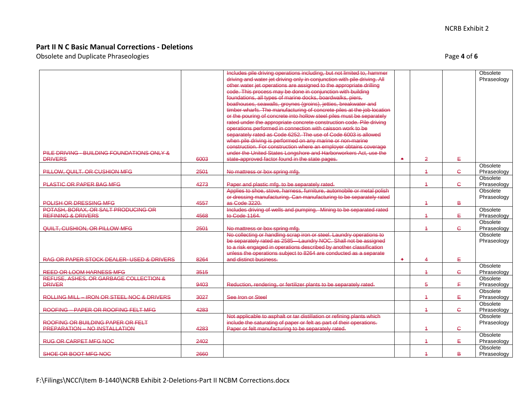Obsolete and Duplicate Phraseologies **Page 4** of 6 and 2012 12:00 and 2012 12:00 and 2012 12:00 and 2012 12:00 and 2013 12:00 and 2013 12:00 and 2013 12:00 and 2013 12:00 and 2013 12:00 and 2013 12:00 and 2013 12:00 and 20

|                                                              |      | Includes pile driving operations including, but not limited to, hammer                                                                        |   |                |              | Obsolete                |
|--------------------------------------------------------------|------|-----------------------------------------------------------------------------------------------------------------------------------------------|---|----------------|--------------|-------------------------|
|                                                              |      | driving and water jet driving only in conjunction with pile driving. All                                                                      |   |                |              | Phraseology             |
|                                                              |      | other water jet operations are assigned to the appropriate drilling<br>code. This process may be done in conjunction with building            |   |                |              |                         |
|                                                              |      | foundations, all types of marine docks, boardwalks, piers,                                                                                    |   |                |              |                         |
|                                                              |      | boathouses, seawalls, groynes (groins), jetties, breakwater and                                                                               |   |                |              |                         |
|                                                              |      | timber wharfs. The manufacturing of concrete piles at the job location                                                                        |   |                |              |                         |
|                                                              |      | or the pouring of concrete into hollow steel piles must be separately<br>rated under the appropriate concrete construction code. Pile driving |   |                |              |                         |
|                                                              |      | operations performed in connection with caisson work to be                                                                                    |   |                |              |                         |
|                                                              |      | separately rated as Code 6252. The use of Code 6003 is allowed                                                                                |   |                |              |                         |
|                                                              |      | when pile driving is performed on any marine or non-marine                                                                                    |   |                |              |                         |
|                                                              |      | construction. For construction where an employer obtains coverage                                                                             |   |                |              |                         |
| PILE DRIVING - BUILDING FOUNDATIONS ONLY &<br><b>DRIVERS</b> | 6003 | under the United States Longshore and Harborworkers Act, use the<br>state-approved factor found in the state pages.                           | ٠ | $\overline{2}$ | Ε            |                         |
|                                                              |      |                                                                                                                                               |   |                |              | Obsolete                |
| PILLOW, QUILT. OR CUSHION MFG                                | 2501 | No mattress or box spring mfg.                                                                                                                |   | $\overline{+}$ | $\mathsf{C}$ | Phraseology             |
|                                                              |      |                                                                                                                                               |   |                |              | Obsolete                |
| PLASTIC OR PAPER BAG MFG                                     | 4273 | Paper and plastic mfg. to be separately rated.<br>Applies to shoe, stove, harness, furniture, automobile or metal polish                      |   | $\overline{1}$ | $\mathbf{C}$ | Phraseology<br>Obsolete |
|                                                              |      | or dressing manufacturing. Can manufacturing to be separately rated                                                                           |   |                |              | Phraseology             |
| POLISH OR DRESSING MFG                                       | 4557 | as Code 3220.                                                                                                                                 |   | $\overline{1}$ | B            |                         |
| POTASH, BORAX, OR SALT PRODUCING OR                          |      | Includes driving of wells and pumping. Mining to be separated rated                                                                           |   |                |              | Obsolete                |
| <b>REFINING &amp; DRIVERS</b>                                | 4568 | to Code 1164.                                                                                                                                 |   | $\overline{4}$ | Ε            | Phraseology             |
| QUILT, CUSHION, OR PILLOW MFG                                | 2501 | No mattress or box spring mfg.                                                                                                                |   | $\overline{4}$ | $\epsilon$   | Obsolete<br>Phraseology |
|                                                              |      | No collecting or handling scrap iron or steel. Laundry operations to                                                                          |   |                |              | Obsolete                |
|                                                              |      | be separately rated as 2585 Laundry NOC. Shall not be assigned                                                                                |   |                |              | Phraseology             |
|                                                              |      | to a risk engaged in operations described by another classification                                                                           |   |                |              |                         |
| RAG OR PAPER STOCK DEALER- USED & DRIVERS                    | 8264 | unless the operations subject to 8264 are conducted as a separate<br>and distinct business.                                                   | ۰ | 4              | ŧ            |                         |
|                                                              |      |                                                                                                                                               |   |                |              | Obsolete                |
| <b>REED OR LOOM HARNESS MFG</b>                              | 3515 |                                                                                                                                               |   | $\overline{1}$ | $\mathsf{C}$ | Phraseology             |
| REFUSE, ASHES, OR GARBAGE COLLECTION &                       |      |                                                                                                                                               |   |                |              | Obsolete                |
| <b>DRIVER</b>                                                | 9403 | Reduction, rendering, or fertilizer plants to be separately rated.                                                                            |   | 5              | E,           | Phraseology             |
| ROLLING MILL - IRON OR STEEL NOC & DRIVERS                   | 3027 | See Iron or Steel                                                                                                                             |   | $\overline{4}$ | ŧ.           | Obsolete<br>Phraseology |
|                                                              |      |                                                                                                                                               |   |                |              | Obsolete                |
| ROOFING - PAPER OR ROOFING FELT MFG                          | 4283 |                                                                                                                                               |   | $\overline{1}$ | Ċ.           | Phraseology             |
|                                                              |      | Not applicable to asphalt or tar distillation or refining plants which                                                                        |   |                |              | Obsolete                |
| ROOFING OR BUILDING PAPER OR FELT                            |      | include the saturating of paper or felt as part of their operations.                                                                          |   |                |              | Phraseology             |
| PREPARATION - NO INSTALLATION                                | 4283 | Paper or felt manufacturing to be separately rated.                                                                                           |   | $\overline{4}$ | ¢            | Obsolete                |
| <b>RUG OR CARPET MFG NOC</b>                                 | 2402 |                                                                                                                                               |   | $\overline{4}$ | Ε            | Phraseology             |
|                                                              |      |                                                                                                                                               |   |                |              | Obsolete                |
| SHOE OR BOOT MFG NOC                                         | 2660 |                                                                                                                                               |   | $\overline{4}$ | B            | Phraseology             |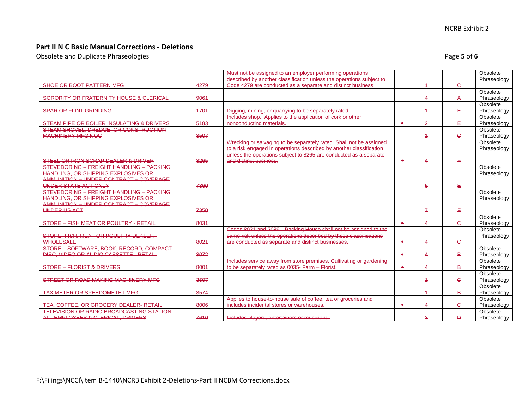Obsolete and Duplicate Phraseologies **Page 5** of **6** and Duplicate Phraseologies **Page 5** of **6** and Page **5** of **6** and Page **5** of **6** and Page **5** of **6** and Page **5** of **6** and Page **5** of **6** and Page **5** of **6** and P

|                                                                |      | Must not be assigned to an employer performing operations            |                  |                |              | Obsolete                |
|----------------------------------------------------------------|------|----------------------------------------------------------------------|------------------|----------------|--------------|-------------------------|
|                                                                |      | described by another classification unless the operations subject to |                  |                |              | Phraseology             |
| SHOE OR BOOT PATTERN MFG                                       | 4279 | Code 4279 are conducted as a separate and distinct business          |                  | 4              | $\epsilon$   |                         |
| SORORITY OR FRATERNITY HOUSE & CLERICAL                        | 9061 |                                                                      |                  | 4              | A            | Obsolete<br>Phraseology |
|                                                                |      |                                                                      |                  |                |              | Obsolete                |
| <b>SPAR OR FLINT GRINDING</b>                                  | 4704 | Digging, mining, or quarrying to be separately rated                 |                  | 4              | ŧ.           | Phraseology             |
|                                                                |      | Includes shop. Applies to the application of cork or other           |                  |                |              | Obsolete                |
| STEAM PIPE OR BOILER INSULATING & DRIVERS                      | 5183 | nonconducting materials.                                             | ٠                | 2              | Ε            | Phraseology             |
| STEAM SHOVEL, DREDGE, OR CONSTRUCTION                          |      |                                                                      |                  |                |              | Obsolete                |
| <b>MACHINERY MFG NOC</b>                                       | 3507 |                                                                      |                  | 4              | $\mathsf{C}$ | Phraseology             |
|                                                                |      | Wrecking or salvaging to be separately rated. Shall not be assigned  |                  |                |              | Obsolete                |
|                                                                |      | to a risk engaged in operations described by another classification  |                  |                |              | Phraseology             |
|                                                                |      | unless the operations subject to 8265 are conducted as a separate    |                  |                |              |                         |
| STEEL OR IRON SCRAP DEALER & DRIVER                            | 8265 | and distinct business.                                               | ۰                | 4              | F.           |                         |
| STEVEDORING - FREIGHT HANDLING - PACKING.                      |      |                                                                      |                  |                |              | Obsolete                |
| <b>HANDLING, OR SHIPPING EXPLOSIVES OR</b>                     |      |                                                                      |                  |                |              | Phraseology             |
| AMMUNITION - UNDER CONTRACT - COVERAGE<br>UNDER STATE ACT ONLY | 7360 |                                                                      |                  | 5              | E.           |                         |
| STEVEDORING - FREIGHT HANDLING - PACKING.                      |      |                                                                      |                  |                |              | Obsolete                |
| <b>HANDLING. OR SHIPPING EXPLOSIVES OR</b>                     |      |                                                                      |                  |                |              | Phraseology             |
| AMMUNITION - UNDER CONTRACT - COVERAGE                         |      |                                                                      |                  |                |              |                         |
| UNDER US ACT                                                   | 7350 |                                                                      |                  | $\mathcal{F}$  | F.           |                         |
|                                                                |      |                                                                      |                  |                |              | Obsolete                |
| STORE - FISH MEAT OR POULTRY - RETAIL                          | 8031 |                                                                      | ۰                | $\Delta$       | $\mathsf{C}$ | Phraseology             |
|                                                                |      | Codes 8021 and 2089 Packing House shall not be assigned to the       |                  |                |              | Obsolete                |
| STORE-FISH, MEAT OR POULTRY DEALER-                            |      | same risk unless the operations described by these classifications   |                  |                |              | Phraseology             |
| <b>WHOLESALE</b>                                               | 8021 | are conducted as separate and distinct businesses.                   | ۰                | 4              | $\mathsf{C}$ |                         |
| STORE - SOFTWARE, BOOK, RECORD, COMPACT                        |      |                                                                      |                  |                |              | Obsolete                |
| DISC, VIDEO OR AUDIO CASSETTE - RETAIL                         | 8072 |                                                                      | $\ddot{\bullet}$ | 4              | B            | Phraseology             |
|                                                                |      | Includes service away from store premises. Cultivating or gardening  |                  |                |              | Obsolete                |
| <b>STORE - FLORIST &amp; DRIVERS</b>                           | 8001 | to be separately rated as 0035- Farm - Florist.                      | ۰                | 4              | в            | Phraseology             |
| STREET OR ROAD MAKING MACHINERY MFG                            | 3507 |                                                                      |                  | 1              | $\mathsf{C}$ | Obsolete                |
|                                                                |      |                                                                      |                  |                |              | Phraseology<br>Obsolete |
| <b>TAXIMETER OR SPEEDOMETET MFG</b>                            | 3574 |                                                                      |                  | $\overline{a}$ | В            | Phraseology             |
|                                                                |      | Applies to house-to-house sale of coffee, tea or groceries and       |                  |                |              | Obsolete                |
| TEA, COFFEE, OR GROCERY DEALER-RETAIL                          | 8006 | includes incidental stores or warehouses.                            | $\ddot{\bullet}$ | 4              | $\epsilon$   | Phraseology             |
| <b>TELEVISION OR RADIO BROADCASTING STATION-</b>               |      |                                                                      |                  |                |              | Obsolete                |
| ALL EMPLOYEES & CLERICAL, DRIVERS                              | 7610 | Includes players, entertainers or musicians.                         |                  | 3              | Đ            | Phraseology             |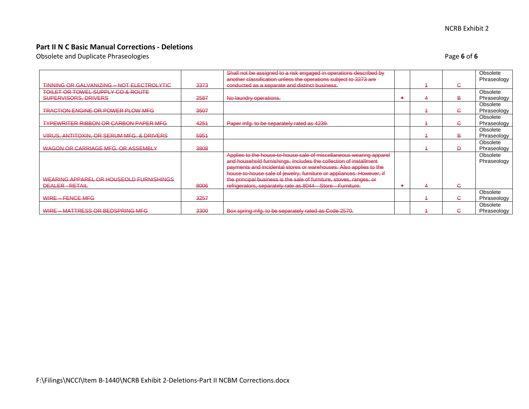Obsolete and Duplicate Phraseologies **Page 6** of 6 and  $\overline{a}$  and  $\overline{b}$  and  $\overline{c}$  and  $\overline{b}$  and  $\overline{c}$  and  $\overline{b}$  and  $\overline{c}$  and  $\overline{b}$  and  $\overline{c}$  and  $\overline{b}$  and  $\overline{c}$  and  $\overline{c}$  and  $\overline{b}$  an

|                                                  |      | Shall not be assigned to a risk engaged in operations described by   |  |              | Obsolete    |
|--------------------------------------------------|------|----------------------------------------------------------------------|--|--------------|-------------|
|                                                  |      | another classification unless the operations subject to 3373 are     |  |              | Phraseology |
| <b>TINNING OR GALVANIZING - NOT ELECTROLYTIC</b> | 3373 | conducted as a separate and distinct business.                       |  | e            |             |
| TOILET OR TOWEL SUPPLY CO & ROUTE                |      |                                                                      |  |              | Obsolete    |
| SUPERVISORS, DRIVERS                             | 2587 | No laundry operations.                                               |  | в            | Phraseology |
|                                                  |      |                                                                      |  |              | Obsolete    |
| <b>TRACTION ENGINE OR POWER PLOW MFG</b>         | 3507 |                                                                      |  | G            | Phraseology |
|                                                  |      |                                                                      |  |              | Obsolete    |
| <b>TYPEWRITER RIBBON OR CARBON PAPER MFG</b>     | 4254 | Paper mfg. to be separately rated as 4239.                           |  | e.           | Phraseology |
|                                                  |      |                                                                      |  |              | Obsolete    |
| VIRUS, ANTITOXIN, OR SERUM MFG. & DRIVERS        | 5951 |                                                                      |  | в            | Phraseology |
|                                                  |      |                                                                      |  |              | Obsolete    |
| WAGON OR CARRIAGE MFG. OR ASSEMBLY               | 3808 |                                                                      |  | Đ            | Phraseology |
|                                                  |      | Applies to the house-to-house sale of miscellaneous wearing apparel  |  |              | Obsolete    |
|                                                  |      | and household furnishings. Includes the collection of installment    |  |              | Phraseology |
|                                                  |      | payments and incidental stores or warehouses. Also applies to the    |  |              |             |
|                                                  |      | house-to-house sale of jewelry, furniture or appliances. However, if |  |              |             |
| WEARING APPAREL OR HOUSEOLD FURNISHINGS          |      | the principal business is the sale of furniture, stoves, ranges, or  |  |              |             |
| DEALER - RETAIL                                  | 8006 | refrigerators, separately rate as 8044-Store-Furniture.              |  | $\mathbf{C}$ |             |
|                                                  |      |                                                                      |  |              |             |
|                                                  |      |                                                                      |  |              | Obsolete    |
| WIRE - FENCE MFG                                 | 3257 |                                                                      |  | G            | Phraseology |
|                                                  |      |                                                                      |  |              | Obsolete    |
| WIRE - MATTRESS OR BEDSPRING MFG                 | 3300 | Box spring mfg. to be separately rated as Code 2570.                 |  | $\epsilon$   | Phraseology |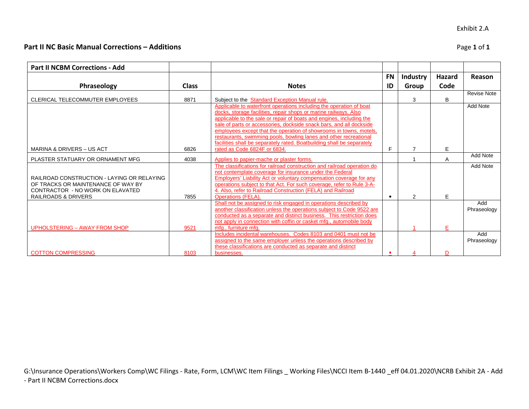# **Part II NC Basic Manual Corrections – Additions** Page **1** of **1**

**Part II NCBM Corrections - Add**

| G:\Insurance Operations\Workers Comp\WC Filings - Rate, Form, LCM\WC Item Filings _ Working Files\NCCI Item B-1440 _eff 04.01.2020\NCRB Exhibit 2A - Add<br>- Part II NCBM Corrections.docx |  |
|---------------------------------------------------------------------------------------------------------------------------------------------------------------------------------------------|--|

|              |    |                        |      | Lake T OI T |
|--------------|----|------------------------|------|-------------|
|              |    |                        |      |             |
|              |    | FN   Industry   Hazard |      | Reason      |
| <b>Notes</b> | ID | Group                  | Code |             |
|              |    |                        |      | Doviso Note |

| Phraseology                                | <b>Class</b> | <b>Notes</b>                                                               | ID | Group | Code |                    |
|--------------------------------------------|--------------|----------------------------------------------------------------------------|----|-------|------|--------------------|
|                                            |              |                                                                            |    |       |      | <b>Revise Note</b> |
| CLERICAL TELECOMMUTER EMPLOYEES            | 8871         | Subject to the Standard Exception Manual rule.                             |    | 3     | B    |                    |
|                                            |              | Applicable to waterfront operations including the operation of boat        |    |       |      | Add Note           |
|                                            |              | docks, storage facilities, repair shops or marine railways. Also           |    |       |      |                    |
|                                            |              | applicable to the sale or repair of boats and engines, including the       |    |       |      |                    |
|                                            |              | sale of parts or accessories, dockside snack bars, and all dockside        |    |       |      |                    |
|                                            |              | employees except that the operation of showrooms in towns, motels,         |    |       |      |                    |
|                                            |              | restaurants, swimming pools, bowling lanes and other recreational          |    |       |      |                    |
|                                            |              | facilities shall be separately rated. Boatbuilding shall be separately     |    |       |      |                    |
| <b>MARINA &amp; DRIVERS – US ACT</b>       | 6826         | rated as Code 6824F or 6834.                                               | F  |       | Е    |                    |
| PLASTER STATUARY OR ORNAMENT MFG           | 4038         | Applies to papier-mache or plaster forms.                                  |    |       | A    | <b>Add Note</b>    |
|                                            |              | The classifications for railroad construction and railroad operation do    |    |       |      | Add Note           |
|                                            |              | not contemplate coverage for insurance under the Federal                   |    |       |      |                    |
| RAILROAD CONSTRUCTION - LAYING OR RELAYING |              | <b>Employers' Liability Act or voluntary compensation coverage for any</b> |    |       |      |                    |
| OF TRACKS OR MAINTENANCE OF WAY BY         |              | operations subject to that Act. For such coverage, refer to Rule 3-A-      |    |       |      |                    |
| CONTRACTOR - NO WORK ON ELAVATED           |              | 4. Also, refer to Railroad Construction (FELA) and Railroad                |    |       |      |                    |
| RAILROADS & DRIVERS                        | 7855         | <b>Operations (FELA).</b>                                                  |    | 2     | Е    |                    |
|                                            |              | Shall not be assigned to risk engaged in operations described by           |    |       |      | Add                |
|                                            |              | another classification unless the operations subject to Code 9522 are      |    |       |      | Phraseology        |
|                                            |              | conducted as a separate and distinct business. This restriction does       |    |       |      |                    |
|                                            |              | not apply in connection with coffin or casket mfg., automobile body        |    |       |      |                    |
| UPHOLSTERING - AWAY FROM SHOP              | 9521         | mfg., furniture mfg.                                                       |    |       |      |                    |
|                                            |              | Includes incidental warehouses. Codes 8103 and 0401 must not be            |    |       |      | Add                |
|                                            |              | assigned to the same employer unless the operations described by           |    |       |      | Phraseology        |
|                                            |              | these classifications are conducted as separate and distinct               |    |       |      |                    |
| <b>COTTON COMPRESSING</b>                  | 8103         | businesses.                                                                |    |       | D    |                    |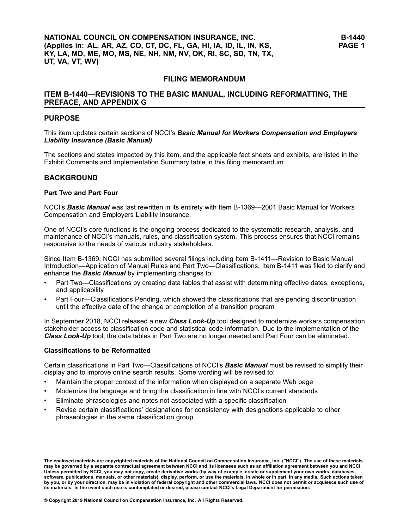# **FILING MEMORANDUM**

# **ITEM B-1440—REVISIONS TO THE BASIC MANUAL, INCLUDING REFORMATTING, THE PREFACE, AND APPENDIX G**

#### **PURPOSE**

This item updates certain sections of NCCI's *Basic Manual for Workers Compensation and Employers Liability Insurance (Basic Manual)*.

The sections and states impacted by this item, and the applicable fact sheets and exhibits, are listed in the Exhibit Comments and Implementation Summary table in this filing memorandum.

#### **BACKGROUND**

#### **Part Two and Part Four**

NCCI's *Basic Manual* was last rewritten in its entirety with Item B-1369—2001 Basic Manual for Workers Compensation and Employers Liability Insurance.

One of NCCI's core functions is the ongoing process dedicated to the systematic research, analysis, and maintenance of NCCI's manuals, rules, and classification system. This process ensures that NCCI remains responsive to the needs of various industry stakeholders.

Since Item B-1369, NCCI has submitted several filings including Item B-1411—Revision to Basic Manual Introduction—Application of Manual Rules and Part Two—Classifications. Item B-1411 was filed to clarify and enhance the *Basic Manual* by implementing changes to:

- • Part Two—Classifications by creating data tables that assist with determining effective dates, exceptions, and applicability
- • Part Four—Classifications Pending, which showed the classifications that are pending discontinuation until the effective date of the change or completion of <sup>a</sup> transition program

In September 2018, NCCI released <sup>a</sup> new *Class Look-Up* tool designed to modernize workers compensation stakeholder access to classification code and statistical code information. Due to the implementation of the *Class Look-Up* tool, the data tables in Part Two are no longer needed and Part Four can be eliminated.

#### **Classifications to be Reformatted**

Certain classifications in Part Two—Classifications of NCCI's *Basic Manual* must be revised to simplify their display and to improve online search results. Some wording will be revised to:

- •Maintain the proper context of the information when displayed on <sup>a</sup> separate Web page
- •Modernize the language and bring the classification in line with NCCI's current standards
- •Eliminate phraseologies and notes not associated with <sup>a</sup> specific classification
- • Revise certain classifications' designations for consistency with designations applicable to other phraseologies in the same classification group

The enclosed materials are copyrighted materials of the National Council on Compensation Insurance, Inc. ("NCCI"). The use of these materials<br>may be governed by a separate contractual agreement between NCCI and its license Unless permitted by NCCI, you may not copy, create derivative works (by way of example, create or supplement your own works, databases, software, publications, manuals, or other materials), display, perform, or use the materials, in whole or in part, in any media. Such actions taken by you, or by your direction, may be in violation of federal copyright and other commercial laws. NCCI does not permit or acquiesce such use of its materials. In the event such use is contemplated or desired, please contact NCCI's Legal Department for permission.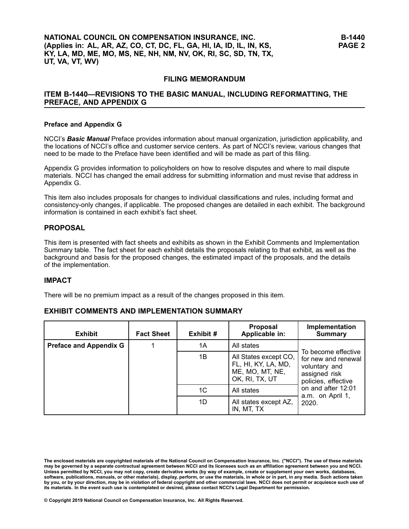# **FILING MEMORANDUM**

# **ITEM B-1440—REVISIONS TO THE BASIC MANUAL, INCLUDING REFORMATTING, THE PREFACE, AND APPENDIX G**

#### **Preface and Appendix G**

NCCI's *Basic Manual* Preface provides information about manual organization, jurisdiction applicability, and the locations of NCCI's office and customer service centers. As part of NCCI's review, various changes that need to be made to the Preface have been identified and will be made as part of this filing.

Appendix G provides information to policyholders on how to resolve disputes and where to mail dispute materials. NCCI has changed the email address for submitting information and must revise that address in Appendix G.

This item also includes proposals for changes to individual classifications and rules, including format and consistency-only changes, if applicable. The proposed changes are detailed in each exhibit. The background information is contained in each exhibit's fact sheet.

# **PROPOSAL**

This item is presented with fact sheets and exhibits as shown in the Exhibit Comments and Implementation Summary table. The fact sheet for each exhibit details the proposals relating to that exhibit, as well as the background and basis for the proposed changes, the estimated impact of the proposals, and the details of the implementation.

### **IMPACT**

There will be no premium impact as <sup>a</sup> result of the changes proposed in this item.

# **EXHIBIT COMMENTS AND IMPLEMENTATION SUMMARY**

| <b>Exhibit</b>                | <b>Fact Sheet</b> | Exhibit # | <b>Proposal</b><br>Applicable in:                                                 | Implementation<br>Summary                                                                           |
|-------------------------------|-------------------|-----------|-----------------------------------------------------------------------------------|-----------------------------------------------------------------------------------------------------|
| <b>Preface and Appendix G</b> |                   | 1A        | All states                                                                        |                                                                                                     |
|                               |                   | 1B        | All States except CO,<br>FL, HI, KY, LA, MD,<br>ME, MO, MT, NE,<br>OK, RI, TX, UT | To become effective<br>for new and renewal<br>voluntary and<br>assigned risk<br>policies, effective |
|                               |                   | 1C        | All states                                                                        | on and after 12:01<br>a.m. on April 1,                                                              |
|                               |                   | 1D        | All states except AZ,<br>IN, MT, TX                                               | 2020.                                                                                               |

**© Copyright 2019 National Council on Compensation Insurance, Inc. All Rights Reserved.**

The enclosed materials are copyrighted materials of the National Council on Compensation Insurance, Inc. ("NCCI"). The use of these materials<br>may be governed by a separate contractual agreement between NCCI and its license Unless permitted by NCCI, you may not copy, create derivative works (by way of example, create or supplement your own works, databases, software, publications, manuals, or other materials), display, perform, or use the materials, in whole or in part, in any media. Such actions taken by you, or by your direction, may be in violation of federal copyright and other commercial laws. NCCI does not permit or acquiesce such use of its materials. In the event such use is contemplated or desired, please contact NCCI's Legal Department for permission.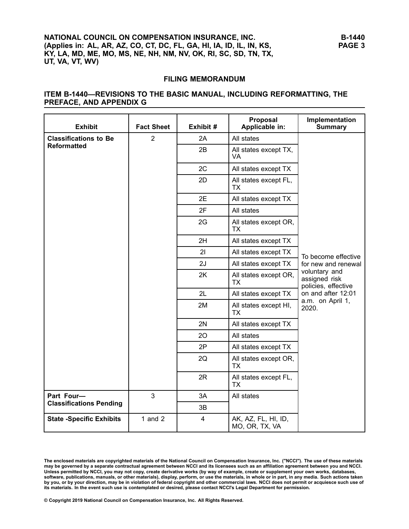# **FILING MEMORANDUM**

# **ITEM B-1440—REVISIONS TO THE BASIC MANUAL, INCLUDING REFORMATTING, THE PREFACE, AND APPENDIX <sup>G</sup>**

| <b>Exhibit</b>                  | <b>Fact Sheet</b> | Exhibit #      | Proposal<br>Applicable in:            | Implementation<br><b>Summary</b>                      |  |  |
|---------------------------------|-------------------|----------------|---------------------------------------|-------------------------------------------------------|--|--|
| <b>Classifications to Be</b>    | $\overline{2}$    | 2A             | All states                            |                                                       |  |  |
| <b>Reformatted</b>              |                   | 2B             | All states except TX,<br>VA           |                                                       |  |  |
|                                 |                   | 2C             | All states except TX                  |                                                       |  |  |
|                                 |                   | 2D             | All states except FL,<br><b>TX</b>    |                                                       |  |  |
|                                 |                   | 2E             | All states except TX                  |                                                       |  |  |
|                                 |                   | 2F             | All states                            |                                                       |  |  |
|                                 |                   | 2G             | All states except OR,<br>TX           |                                                       |  |  |
|                                 |                   | 2H             | All states except TX                  |                                                       |  |  |
|                                 |                   | 21             | All states except TX                  | To become effective                                   |  |  |
|                                 |                   | 2J             | All states except TX                  | for new and renewal                                   |  |  |
|                                 |                   | 2K             | All states except OR,<br>TX           | voluntary and<br>assigned risk<br>policies, effective |  |  |
|                                 |                   | 2L             | All states except TX                  | on and after 12:01                                    |  |  |
|                                 |                   | 2M             | All states except HI,<br><b>TX</b>    | a.m. on April 1,<br>2020.                             |  |  |
|                                 |                   | 2N             | All states except TX                  |                                                       |  |  |
|                                 |                   | 20             | All states                            |                                                       |  |  |
|                                 |                   | 2P             | All states except TX                  |                                                       |  |  |
|                                 |                   | 2Q             | All states except OR,<br><b>TX</b>    |                                                       |  |  |
|                                 |                   | 2R             | All states except FL,<br>TX           |                                                       |  |  |
| Part Four-                      | $\overline{3}$    | 3A             | All states                            |                                                       |  |  |
| <b>Classifications Pending</b>  |                   | 3B             |                                       |                                                       |  |  |
| <b>State -Specific Exhibits</b> | 1 and $2$         | $\overline{4}$ | AK, AZ, FL, HI, ID,<br>MO, OR, TX, VA |                                                       |  |  |

The enclosed materials are copyrighted materials of the National Council on Compensation Insurance, Inc. ("NCCI"). The use of these materials<br>may be governed by a separate contractual agreement between NCCI and its license Unless permitted by NCCI, you may not copy, create derivative works (by way of example, create or supplement your own works, databases, software, publications, manuals, or other materials), display, perform, or use the materials, in whole or in part, in any media. Such actions taken by you, or by your direction, may be in violation of federal copyright and other commercial laws. NCCI does not permit or acquiesce such use of its materials. In the event such use is contemplated or desired, please contact NCCI's Legal Department for permission.

© Copyright 2019 National Council on Compensation Insurance, Inc. All Rights Reserved.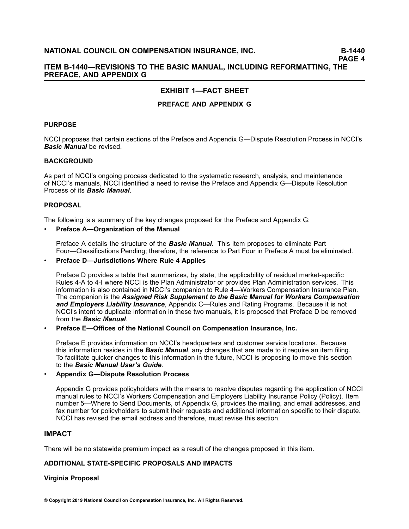# **ITEM B-1440—REVISIONS TO THE BASIC MANUAL, INCLUDING REFORMATTING, THE PREFACE, AND APPENDIX G**

# **EXHIBIT 1—FACT SHEET**

# **PREFACE AND APPENDIX G**

### **PURPOSE**

NCCI proposes that certain sections of the Preface and Appendix G—Dispute Resolution Process in NCCI's *Basic Manual* be revised.

# **BACKGROUND**

As part of NCCI's ongoing process dedicated to the systematic research, analysis, and maintenance of NCCI's manuals, NCCI identified <sup>a</sup> need to revise the Preface and Appendix G—Dispute Resolution Process of its *Basic Manual*.

#### **PROPOSAL**

The following is <sup>a</sup> summary of the key changes proposed for the Preface and Appendix G:

#### •**Preface A—Organization of the Manual**

Preface A details the structure of the *Basic Manual*. This item proposes to eliminate Part Four—Classifications Pending; therefore, the reference to Part Four in Preface A must be eliminated.

#### •**Preface D—Jurisdictions Where Rule 4 Applies**

Preface D provides <sup>a</sup> table that summarizes, by state, the applicability of residual market-specific Rules 4-A to 4-I where NCCI is the Plan Administrator or provides Plan Administration services. This information is also contained in NCCI's companion to Rule 4—Workers Compensation Insurance Plan. The companion is the *Assigned Risk Supplement to the Basic Manual for Workers Compensation and Employers Liability Insurance*, Appendix C—Rules and Rating Programs. Because it is not NCCI's intent to duplicate information in these two manuals, it is proposed that Preface D be removed from the *Basic Manual*.

#### •**Preface E—Offices of the National Council on Compensation Insurance, Inc.**

Preface E provides information on NCCI's headquarters and customer service locations. Because this information resides in the *Basic Manual*, any changes that are made to it require an item filing. To facilitate quicker changes to this information in the future, NCCI is proposing to move this section to the *Basic Manual User's Guide*.

#### •**Appendix G—Dispute Resolution Process**

Appendix G provides policyholders with the means to resolve disputes regarding the application of NCCI manual rules to NCCI's Workers Compensation and Employers Liability Insurance Policy (Policy). Item number 5—Where to Send Documents, of Appendix G, provides the mailing, and email addresses, and fax number for policyholders to submit their requests and additional information specific to their dispute. NCCI has revised the email address and therefore, must revise this section.

# **IMPACT**

There will be no statewide premium impact as <sup>a</sup> result of the changes proposed in this item.

# **ADDITIONAL STATE-SPECIFIC PROPOSALS AND IMPACTS**

# **Virginia Proposal**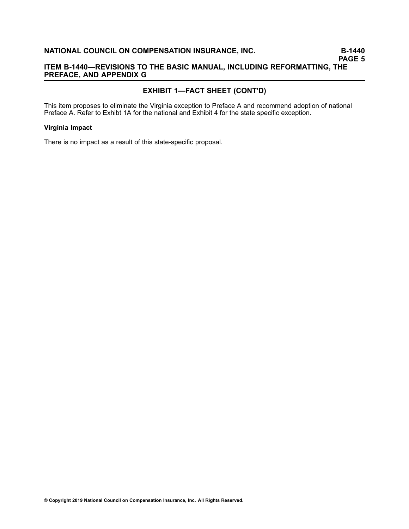# **ITEM B-1440—REVISIONS TO THE BASIC MANUAL, INCLUDING REFORMATTING, THE PREFACE, AND APPENDIX G**

# **EXHIBIT 1—FACT SHEET (CONT'D)**

This item proposes to eliminate the Virginia exception to Preface A and recommend adoption of national Preface A. Refer to Exhibt 1A for the national and Exhibit 4 for the state specific exception.

#### **Virginia Impact**

There is no impact as <sup>a</sup> result of this state-specific proposal.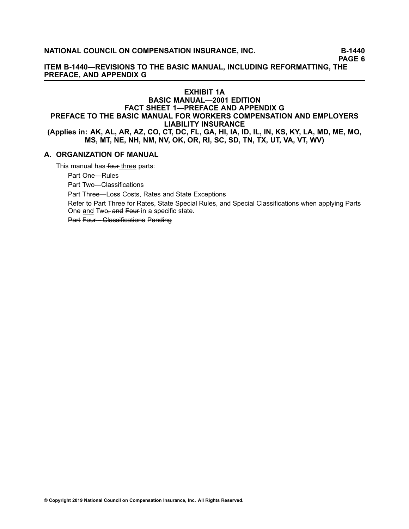**PAGE 6**

**ITEM B-1440—REVISIONS TO THE BASIC MANUAL, INCLUDING REFORMATTING, THE PREFACE, AND APPENDIX G**

# **EXHIBIT 1A BASIC MANUAL—2001 EDITION FACT SHEET 1—PREFACE AND APPENDIX G PREFACE TO THE BASIC MANUAL FOR WORKERS COMPENSATION AND EMPLOYERS LIABILITY INSURANCE** (Applies in: AK, AL, AR, AZ, CO, CT, DC, FL, GA, HI, IA, ID, IL, IN, KS, KY, LA, MD, ME, MO, **MS, MT, NE, NH, NM, NV, OK, OR, RI, SC, SD, TN, TX, UT, VA, VT, WV)**

# **A. ORGANIZATION OF MANUAL**

This manual has four three parts:

Part One—Rules

Part Two—Classifications

Part Three—Loss Costs, Rates and State Exceptions

Refer to Part Three for Rates, State Special Rules, and Special Classifications when applying Parts One and Two–, and Four in a specific state.

Part Four––Classifications Pending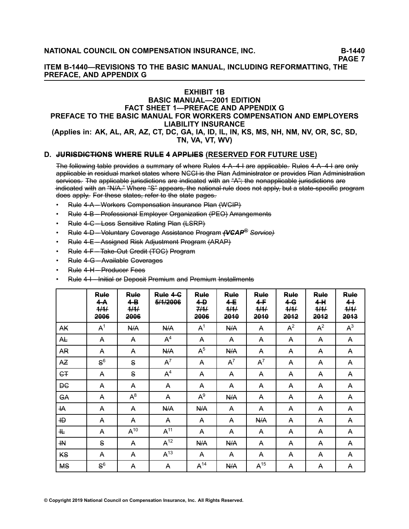**PAGE 7**

**ITEM B-1440—REVISIONS TO THE BASIC MANUAL, INCLUDING REFORMATTING, THE PREFACE, AND APPENDIX G**

# **EXHIBIT 1B**

# **BASIC MANUAL—2001 EDITION FACT SHEET 1—PREFACE AND APPENDIX G PREFACE TO THE BASIC MANUAL FOR WORKERS COMPENSATION AND EMPLOYERS LIABILITY INSURANCE**

### (Applies in: AK, AL, AR, AZ, CT, DC, GA, IA, ID, IL, IN, KS, MS, NH, NM, NV, OR, SC, SD, **TN, VA, VT, WV)**

# **D. J–U–R––IS–D––IC–T––IO–N–S– W– H–E–R–E– R–U–L–E– 4– A–P–P–L––IE–S– (RESERVED FOR FUTURE USE)**

The following table provides a summary of where Rules 4–A–4–I are applicable. Rules 4–A–4–I are only applicable in residual market states where NCCI is the Plan Administrator or provides Plan Administration services. The applicable jurisdictions are indicated with an "A"; the nonapplicable jurisdictions are  $\frac{1}{2}$ indicated with an "N/A." Where "S" appears, the national rule does not apply, but a state-specific program does apply. For these states, refer to the state pages.

- •Rule 4–A––Workers Gompensation Insurance Plan (WGIP)
- •Rule 4–B—Professional Employer Organization (PEO) Arrangements
- •Rule 4–C–Loss Sensitive Rating Plan (LSRP)
- •• Rule 4–D—Voluntary Goverage Assistance Program *(VGAP<sup>®</sup> Service)*
- •Rule 4–E–Assigned Risk Adjustment Program (ARAP)
- •Rule 4–F–Take-Out Gredit (TOC) Program
- •Rule 4-G—Available Goverages
- •Rule 4–H––Producer Fees
- •Rule 4–I—Initial or Deposit Premium and Premium Installments

|                       | Rule<br>4–A<br>4/4/<br>2006 | Rule<br>$4-B$<br>4/4/<br>2006 | Rule 4-6<br>5/1/2006 | Rule<br>$\leftarrow$<br>744<br>2006 | Rule<br>$4-E$<br>4/4/<br>2040 | Rule<br>4–F<br>4/4/<br>2040 | Rule<br>$4 - G$<br>444<br>2042 | Rule<br>4 H<br>4/4/<br>2042 | Rule<br>44<br>444<br>2043 |
|-----------------------|-----------------------------|-------------------------------|----------------------|-------------------------------------|-------------------------------|-----------------------------|--------------------------------|-----------------------------|---------------------------|
| AK                    | A <sup>1</sup>              | N/A                           | <b>N/A</b>           | A <sup>1</sup>                      | <b>N/A</b>                    | A                           | $A^2$                          | $A^2$                       | $A^3$                     |
| AŁ                    | A                           | A                             | A <sup>4</sup>       | A                                   | A                             | A                           | A                              | A                           | A                         |
| AR                    | A                           | A                             | N/A                  | A <sup>5</sup>                      | N/A                           | A                           | A                              | A                           | A                         |
| <b>AZ</b>             | $S^6$                       | S                             | $A^7$                | A                                   | $A^7$                         | $A^7$                       | A                              | A                           | A                         |
| <b>G</b> <sub>T</sub> | A                           | S                             | $A^4$                | A                                   | A                             | A                           | A                              | A                           | A                         |
| <b>DC</b>             | A                           | A                             | A                    | A                                   | A                             | A                           | A                              | A                           | A                         |
| GA                    | A                           | $A^8$                         | A                    | $A^9$                               | N/A                           | A                           | A                              | A                           | A                         |
| ۰HA                   | A                           | A                             | N/A                  | N/A                                 | A                             | A                           | A                              | A                           | A                         |
| ٠HĐ                   | A                           | A                             | A                    | A                                   | A                             | <b>N/A</b>                  | A                              | A                           | A                         |
| 卝                     | A                           | $A^{10}$                      | A <sup>11</sup>      | A                                   | A                             | A                           | A                              | A                           | A                         |
| ٠H                    | S                           | A                             | $A^{12}$             | N/A                                 | N/A                           | A                           | A                              | A                           | A                         |
| <b>KS</b>             | A                           | A                             | $A^{13}$             | A                                   | A                             | A                           | A                              | A                           | A                         |
| <b>MS</b>             | $S^6$                       | A                             | A                    | $A^{14}$                            | N/A                           | $A^{15}$                    | A                              | A                           | A                         |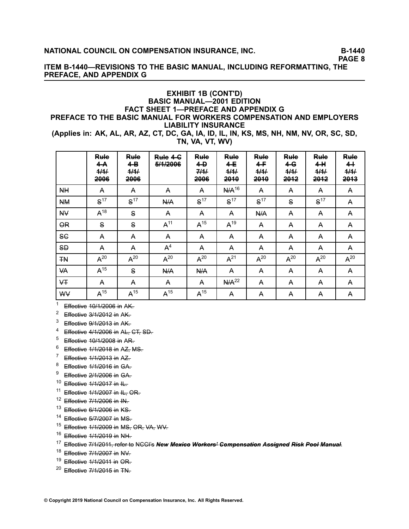**PAGE 8**

# **ITEM B-1440—REVISIONS TO THE BASIC MANUAL, INCLUDING REFORMATTING, THE PREFACE, AND APPENDIX G**

# **EXHIBIT 1B (CONT'D) BASIC MANUAL—2001 EDITION FACT SHEET 1—PREFACE AND APPENDIX G PREFACE TO THE BASIC MANUAL FOR WORKERS COMPENSATION AND EMPLOYERS LIABILITY INSURANCE**

(Applies in: AK, AL, AR, AZ, CT, DC, GA, IA, ID, IL, IN, KS, MS, NH, NM, NV, OR, SC, SD, **TN, VA, VT, WV)**

|           | R <del>ule</del><br>4–A<br>1111<br>TT TT<br><del>2006</del> | <b>Rule</b><br>4-В<br>444<br>2006 | Rule 4-6<br>5/4/2006 | R <del>ule</del><br>4–Đ<br>744<br>2006 | R <del>ule</del><br>4-E<br>4/4/<br>2040 | R <del>ule</del><br>4–<br>4/4/<br>2010 | R <del>ule</del><br>4-G<br>444<br>2042 | R <del>ule</del><br>4 H<br>4/4/<br>2042 | Rule<br>$4 +$<br>4/4/<br>2043 |
|-----------|-------------------------------------------------------------|-----------------------------------|----------------------|----------------------------------------|-----------------------------------------|----------------------------------------|----------------------------------------|-----------------------------------------|-------------------------------|
| <b>NH</b> | A                                                           | A                                 | A                    | A                                      | $N/A^{16}$                              | A                                      | A                                      | A                                       | A                             |
| NΜ        | S <sup>17</sup>                                             | S <sup>17</sup>                   | N/A                  | S <sup>17</sup>                        | S <sup>17</sup>                         | S <sup>17</sup>                        | S                                      | S <sup>17</sup>                         | A                             |
| <b>NV</b> | $A^{18}$                                                    | S                                 | A                    | A                                      | A                                       | <b>N/A</b>                             | A                                      | A                                       | A                             |
| <b>OR</b> | S                                                           | S                                 | A <sup>11</sup>      | $A^{15}$                               | $A^{19}$                                | A                                      | A                                      | A                                       | A                             |
| SG        | A                                                           | A                                 | A                    | A                                      | A                                       | A                                      | A                                      | A                                       | A                             |
| SĐ        | A                                                           | A                                 | $\mathsf{A}^4$       | A                                      | A                                       | A                                      | A                                      | A                                       | A                             |
| ŦN        | $A^{20}$                                                    | $A^{20}$                          | $A^{20}$             | $A^{20}$                               | $A^{21}$                                | $A^{20}$                               | $A^{20}$                               | $A^{20}$                                | $A^{20}$                      |
| VA        | $A^{15}$                                                    | S                                 | N/A                  | <b>N/A</b>                             | A                                       | A                                      | A                                      | A                                       | A                             |
| ¥Ŧ        | A                                                           | A                                 | A                    | A                                      | N/A <sup>22</sup>                       | A                                      | A                                      | A                                       | A                             |
| W₩        | $A^{15}$                                                    | $A^{15}$                          | $A^{15}$             | $A^{15}$                               | A                                       | A                                      | A                                      | A                                       | A                             |

 $1$  Effective 10/1/2006 in AK.

2 Effective 3/1/2012 in AK.

 $3$  Effective 9/1/2013 in AK.

- $^{4}$  Effective 4/1/2006 in AL, GT, SD.
- $^{5}$  Effective 10/1/2008 in AR.
- $6$  Effective  $1/1/2018$  in AZ, MS.
- $\frac{7}{1}$  Effective 1/1/2013 in AZ.
- $8\text{–}$  Effective  $1/1/2016$  in GA.
- 9 Effective 2/1/2006 in GA.
- $10$  Effective  $1/1/2017$  in IL.
- $11$  Effective  $1/1/2007$  in  $H<sub>7</sub>$  OR.
- $12$  Effective 7/1/2006 in IN-
- $13$  Effective 6/1/2006 in KS.
- $14$  Effective 5/7/2007 in MS.
- $15$  Effective  $1/1/2009$  in MS, OR, VA, WV.
- $^{16}$  Effective 1/1/2019 in NH.
- <sup>17</sup> Effective 7/1/2011, refer to NGGI's **New Mexico Workers' Compensation Assigned Risk Pool Manual**.
- $^{18}$  Effective 7/1/2007 in NV.
- $19$  Effective  $1/1/2011$  in OR.
- <sup>20</sup> Effective 7/1/2015 in TN.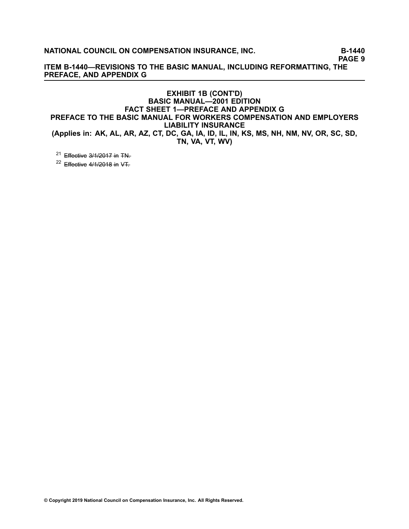**PAGE 9**

**ITEM B-1440—REVISIONS TO THE BASIC MANUAL, INCLUDING REFORMATTING, THE PREFACE, AND APPENDIX G**

# **EXHIBIT 1B (CONT'D) BASIC MANUAL—2001 EDITION FACT SHEET 1—PREFACE AND APPENDIX G PREFACE TO THE BASIC MANUAL FOR WORKERS COMPENSATION AND EMPLOYERS LIABILITY INSURANCE** (Applies in: AK, AL, AR, AZ, CT, DC, GA, IA, ID, IL, IN, KS, MS, NH, NM, NV, OR, SC, SD, **TN, VA, VT, WV)**

<sup>21</sup> Effective 3/1/2017 in TN<del>.</del>

 $^{22}$  Effective 4/1/2018 in VT.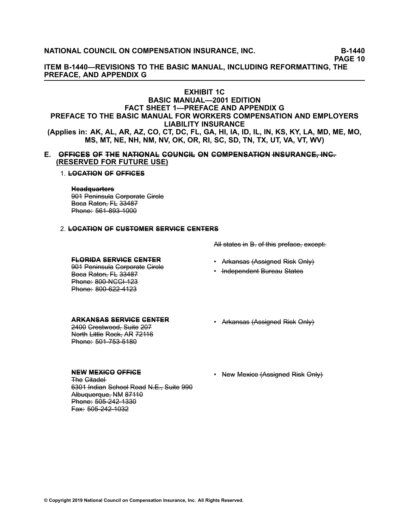**PAGE 10**

**ITEM B-1440—REVISIONS TO THE BASIC MANUAL, INCLUDING REFORMATTING, THE PREFACE, AND APPENDIX G**

# **EXHIBIT 1C**

# **BASIC MANUAL—2001 EDITION FACT SHEET 1—PREFACE AND APPENDIX G PREFACE TO THE BASIC MANUAL FOR WORKERS COMPENSATION AND EMPLOYERS LIABILITY INSURANCE** (Applies in: AK, AL, AR, AZ, CO, CT, DC, FL, GA, HI, IA, ID, IL, IN, KS, KY, LA, MD, ME, MO, **MS, MT, NE, NH, NM, NV, OK, OR, RI, SC, SD, TN, TX, UT, VA, VT, WV)**

**E.** OFFICES OF THE NATIONAL GOUNCIL ON COMPENSATION INSURANCE, INC. **(RESERVED FOR FUTURE USE)**

#### 1. **L–O–C–A–T––IO–N– O–F– O–F–F––IC–E–S–**

#### Headauarters

901 Peninsula Corporate Gircle Beca Raton, FL 33487 Phone: 561-893-1000

# 2. **L–O–C–A–T––IO–N– O–F– C–U–S–T–O–M–E–R– S–E–R–V––IC–E– C–E–N–T–E–R–S–**

**F–L–O–R––ID–A– S–E–R–V––IC–E– C–E–N–T–E–R–**

901 Peninsula Gorporate Gircle Beca Raton, FL 33487 Phone: 800-NCCI-123 Phone: 800-622-4123

#### **A–R–K–A–N–S–A–S– S–E–R–V––IC–E– C–E–N–T–E–R–**

2400 Grestwood, Suite 207 North Little Rock, AR 72116 Phone: 501-753-5180

# **N–E–W– M–E–X––IC–O– O–F–F––IC–E–**

The Gitadel-6301 Indian School Road N.E., Suite 990 Albuquerque, NM 87110 Phone: 505-242-1330 Fax: 505-242-1032

- All states in B. of this preface, except:
- Ar<del>kansas (Assigned</del> Risk O<del>nly)</del>
- <del>Independent</del> Bureau States
- Ar<del>kansas (Assigned</del> Ri<del>sk</del> O<del>nly)</del>
- New Mexico (Assigned Risk Only)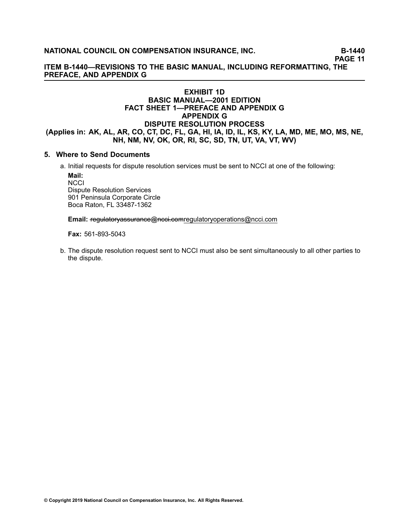**PAGE 11**

**ITEM B-1440—REVISIONS TO THE BASIC MANUAL, INCLUDING REFORMATTING, THE PREFACE, AND APPENDIX G**

# **EXHIBIT 1D BASIC MANUAL—2001 EDITION FACT SHEET 1—PREFACE AND APPENDIX G APPENDIX G DISPUTE RESOLUTION PROCESS** (Applies in: AK, AL, AR, CO, CT, DC, FL, GA, HI, IA, ID, IL, KS, KY, LA, MD, ME, MO, MS, NE, **NH, NM, NV, OK, OR, RI, SC, SD, TN, UT, VA, VT, WV)**

# **5. Where to Send Documents**

a. Initial requests for dispute resolution services must be sent to NCCI at one of the following:

**Mail: NCCI** Dispute Resolution Services 901 Peninsula Corporate Circle Boca Raton, FL 33487-1362

Email: +egulatoryassurance@ncci.comregulatoryoperations@ncci.com

**Fax:** 561-893-5043

b. The dispute resolution request sent to NCCI must also be sent simultaneously to all other parties to the dispute.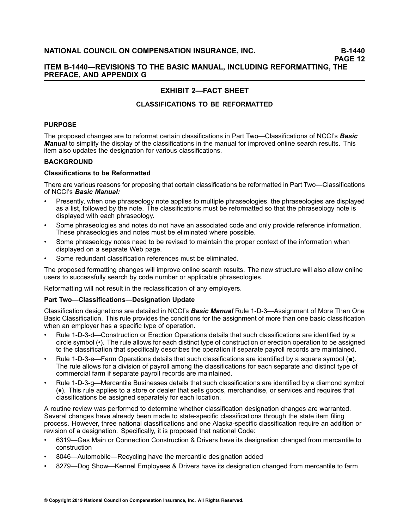# **ITEM B-1440—REVISIONS TO THE BASIC MANUAL, INCLUDING REFORMATTING, THE PREFACE, AND APPENDIX G**

# **EXHIBIT 2—FACT SHEET**

# **CLASSIFICATIONS TO BE REFORMATTED**

# **PURPOSE**

The proposed changes are to reformat certain classifications in Part Two—Classifications of NCCI's *Basic Manual* to simplify the display of the classifications in the manual for improved online search results. This item also updates the designation for various classifications.

# **BACKGROUND**

# **Classifications to be Reformatted**

There are various reasons for proposing that certain classifications be reformatted in Part Two—Classifications of NCCI's *Basic Manual:*

- • Presently, when one phraseology note applies to multiple phraseologies, the phraseologies are displayed as <sup>a</sup> list, followed by the note. The classifications must be reformatted so that the phraseology note is displayed with each phraseology.
- • Some phraseologies and notes do not have an associated code and only provide reference information. These phraseologies and notes must be eliminated where possible.
- • Some phraseology notes need to be revised to maintain the proper context of the information when displayed on <sup>a</sup> separate Web page.
- •Some redundant classification references must be eliminated.

The proposed formatting changes will improve online search results. The new structure will also allow online users to successfully search by code number or applicable phraseologies.

Reformatting will not result in the reclassification of any employers.

# **Part Two—Classifications—Designation Update**

Classification designations are detailed in NCCI's *Basic Manual* Rule 1-D-3—Assignment of More Than One Basic Classification. This rule provides the conditions for the assignment of more than one basic classification when an employer has <sup>a</sup> specific type of operation.

- • Rule 1-D-3-d—Construction or Erection Operations details that such classifications are identified by <sup>a</sup> circle symbol (•). The rule allows for each distinct type of construction or erection operation to be assigned to the classification that specifically describes the operation if separate payroll records are maintained.
- • Rule 1-D-3-e—Farm Operations details that such classifications are identified by <sup>a</sup> square symbol (■). The rule allows for <sup>a</sup> division of payroll among the classifications for each separate and distinct type of commercial farm if separate payroll records are maintained.
- • Rule 1-D-3-g—Mercantile Businesses details that such classifications are identified by <sup>a</sup> diamond symbol (♦). This rule applies to <sup>a</sup> store or dealer that sells goods, merchandise, or services and requires that classifications be assigned separately for each location.

A routine review was performed to determine whether classification designation changes are warranted. Several changes have already been made to state-specific classifications through the state item filing process. However, three national classifications and one Alaska-specific classification require an addition or revision of <sup>a</sup> designation. Specifically, it is proposed that national Code:

- • 6319—Gas Main or Connection Construction & Drivers have its designation changed from mercantile to construction
- •8046—Automobile—Recycling have the mercantile designation added
- •8279—Dog Show—Kennel Employees & Drivers have its designation changed from mercantile to farm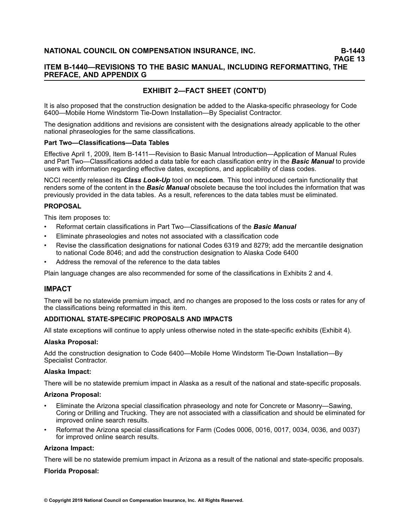**PAGE 13**

# **ITEM B-1440—REVISIONS TO THE BASIC MANUAL, INCLUDING REFORMATTING, THE PREFACE, AND APPENDIX G**

# **EXHIBIT 2—FACT SHEET (CONT'D)**

It is also proposed that the construction designation be added to the Alaska-specific phraseology for Code 6400—Mobile Home Windstorm Tie-Down Installation—By Specialist Contractor.

The designation additions and revisions are consistent with the designations already applicable to the other national phraseologies for the same classifications.

#### **Part Two—Classifications—Data Tables**

Effective April 1, 2009, Item B-1411—Revision to Basic Manual Introduction—Application of Manual Rules and Part Two—Classifications added <sup>a</sup> data table for each classification entry in the *Basic Manual* to provide users with information regarding effective dates, exceptions, and applicability of class codes.

NCCI recently released its *Class Look-Up* tool on **ncci.com**. This tool introduced certain functionality that renders some of the content in the *Basic Manual* obsolete because the tool includes the information that was previously provided in the data tables. As <sup>a</sup> result, references to the data tables must be eliminated.

# **PROPOSAL**

This item proposes to:

- •Reformat certain classifications in Part Two—Classifications of the *Basic Manual*
- •Eliminate phraseologies and notes not associated with <sup>a</sup> classification code
- • Revise the classification designations for national Codes 6319 and 8279; add the mercantile designation to national Code 8046; and add the construction designation to Alaska Code 6400
- •Address the removal of the reference to the data tables

Plain language changes are also recommended for some of the classifications in Exhibits 2 and 4.

# **IMPACT**

There will be no statewide premium impact, and no changes are proposed to the loss costs or rates for any of the classifications being reformatted in this item.

# **ADDITIONAL STATE-SPECIFIC PROPOSALS AND IMPACTS**

All state exceptions will continue to apply unless otherwise noted in the state-specific exhibits (Exhibit 4).

# **Alaska Proposal:**

Add the construction designation to Code 6400—Mobile Home Windstorm Tie-Down Installation—By Specialist Contractor.

# **Alaska Impact:**

There will be no statewide premium impact in Alaska as <sup>a</sup> result of the national and state-specific proposals.

#### **Arizona Proposal:**

- • Eliminate the Arizona special classification phraseology and note for Concrete or Masonry—Sawing, Coring or Drilling and Trucking. They are not associated with <sup>a</sup> classification and should be eliminated for improved online search results.
- • Reformat the Arizona special classifications for Farm (Codes 0006, 0016, 0017, 0034, 0036, and 0037) for improved online search results.

#### **Arizona Impact:**

There will be no statewide premium impact in Arizona as <sup>a</sup> result of the national and state-specific proposals.

#### **Florida Proposal:**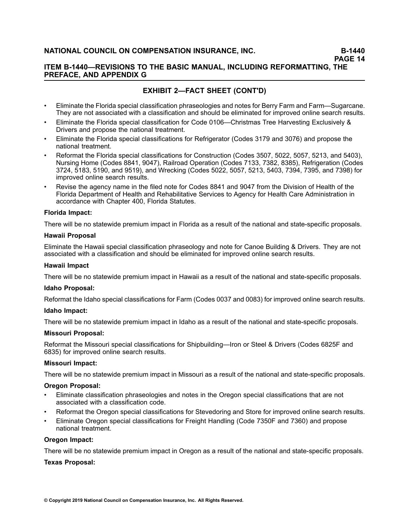# **ITEM B-1440—REVISIONS TO THE BASIC MANUAL, INCLUDING REFORMATTING, THE PREFACE, AND APPENDIX G**

# **EXHIBIT 2—FACT SHEET (CONT'D)**

- • Eliminate the Florida special classification phraseologies and notes for Berry Farm and Farm—Sugarcane. They are not associated with <sup>a</sup> classification and should be eliminated for improved online search results.
- • Eliminate the Florida special classification for Code 0106—Christmas Tree Harvesting Exclusively & Drivers and propose the national treatment.
- • Eliminate the Florida special classifications for Refrigerator (Codes 3179 and 3076) and propose the national treatment.
- • Reformat the Florida special classifications for Construction (Codes 3507, 5022, 5057, 5213, and 5403), Nursing Home (Codes 8841, 9047), Railroad Operation (Codes 7133, 7382, 8385), Refrigeration (Codes 3724, 5183, 5190, and 9519), and Wrecking (Codes 5022, 5057, 5213, 5403, 7394, 7395, and 7398) for improved online search results.
- • Revise the agency name in the filed note for Codes 8841 and 9047 from the Division of Health of the Florida Department of Health and Rehabilitative Services to Agency for Health Care Administration in accordance with Chapter 400, Florida Statutes.

# **Florida Impact:**

There will be no statewide premium impact in Florida as <sup>a</sup> result of the national and state-specific proposals.

#### **Hawaii Proposal**

Eliminate the Hawaii special classification phraseology and note for Canoe Building & Drivers. They are not associated with <sup>a</sup> classification and should be eliminated for improved online search results.

#### **Hawaii Impact**

There will be no statewide premium impact in Hawaii as <sup>a</sup> result of the national and state-specific proposals.

#### **Idaho Proposal:**

Reformat the Idaho special classifications for Farm (Codes 0037 and 0083) for improved online search results.

# **Idaho Impact:**

There will be no statewide premium impact in Idaho as <sup>a</sup> result of the national and state-specific proposals.

# **Missouri Proposal:**

Reformat the Missouri special classifications for Shipbuilding—Iron or Steel & Drivers (Codes 6825F and 6835) for improved online search results.

# **Missouri Impact:**

There will be no statewide premium impact in Missouri as <sup>a</sup> result of the national and state-specific proposals.

#### **Oregon Proposal:**

- • Eliminate classification phraseologies and notes in the Oregon special classifications that are not associated with a classification code.
- •Reformat the Oregon special classifications for Stevedoring and Store for improved online search results.
- • Eliminate Oregon special classifications for Freight Handling (Code 7350F and 7360) and propose national treatment.

#### **Oregon Impact:**

There will be no statewide premium impact in Oregon as <sup>a</sup> result of the national and state-specific proposals.

#### **Texas Proposal:**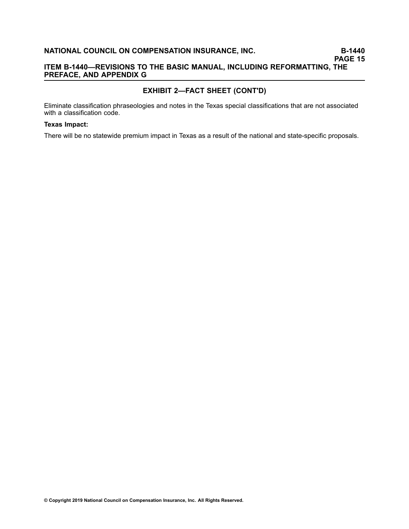# **EXHIBIT 2—FACT SHEET (CONT'D)**

Eliminate classification phraseologies and notes in the Texas special classifications that are not associated with a classification code.

### **Texas Impact:**

There will be no statewide premium impact in Texas as <sup>a</sup> result of the national and state-specific proposals.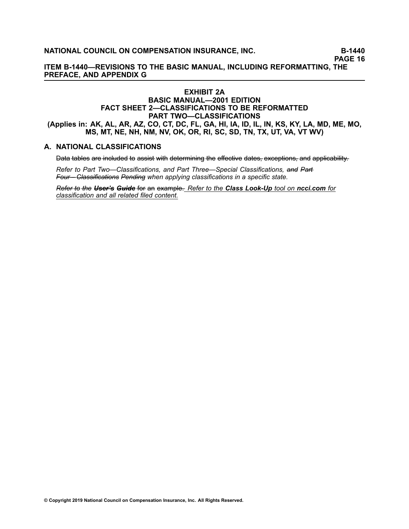**PAGE 16**

**ITEM B-1440—REVISIONS TO THE BASIC MANUAL, INCLUDING REFORMATTING, THE PREFACE, AND APPENDIX G**

# **EXHIBIT 2A BASIC MANUAL—2001 EDITION FACT SHEET 2—CLASSIFICATIONS TO BE REFORMATTED PART TWO—CLASSIFICATIONS** (Applies in: AK, AL, AR, AZ, CO, CT, DC, FL, GA, HI, IA, ID, IL, IN, KS, KY, LA, MD, ME, MO, **MS, MT, NE, NH, NM, NV, OK, OR, RI, SC, SD, TN, TX, UT, VA, VT WV)**

# **A. NATIONAL CLASSIFICATIONS**

Data tables are included to assist with determining the effective dates, exceptions, and applicability.

*Refer* to Part Two—Classifications, and Part Three—Special Classifications, and Part– *F–o–u–r–—– C––la–s––s–i–fi–ca–t––io–n–s– P–e–n–d–i–n–g– when applying classifications in <sup>a</sup> specific state.*

*R–e–f–e–r––to– –th–e– U–s–e–r––'s– G–u––id–e–* –fo–r– a–n– e–x–a–m–p–l–e–.– *Refer to the Class Look-Up tool on ncci.com for classification and all related filed content.*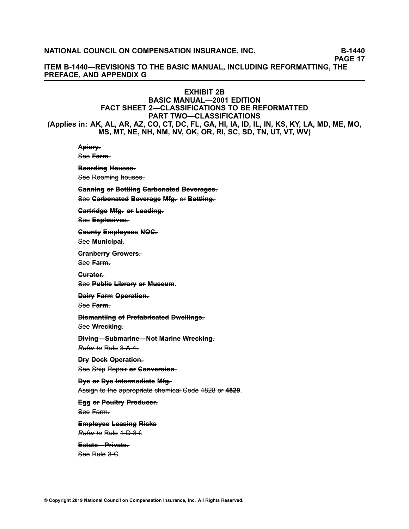**PAGE 17**

**ITEM B-1440—REVISIONS TO THE BASIC MANUAL, INCLUDING REFORMATTING, THE PREFACE, AND APPENDIX G**

# **EXHIBIT 2B**

# **BASIC MANUAL—2001 EDITION FACT SHEET 2—CLASSIFICATIONS TO BE REFORMATTED PART TWO—CLASSIFICATIONS** (Applies in: AK, AL, AR, AZ, CO, CT, DC, FL, GA, HI, IA, ID, IL, IN, KS, KY, LA, MD, ME, MO, **MS, MT, NE, NH, NM, NV, OK, OR, RI, SC, SD, TN, UT, VT, WV)**

# Apiary-

See Farm.

Bearding Heuses.

See Rooming houses.

**Canning or Bottling Carbonated Beverages.** See Garbonated Beverage Mfg. or Bottling.

Gartridge Mfg. or Loading.

See **Explosives**.

**C–o–u–n––ty– E–m– p––lo–y–e–e–s– N–O–C––.**

See Municipal.

**C––ra–n–b–e–r––ry– G––ro–w–e–r–s–.–**

See **Farm**-

Gurator.

See Public Library or Museum.

**Dairy Farm Operation.** 

See Farm.

**Diemantling of Prefabricated Dwellings.** See Wrecking.

**Diving–Submarine–Not Marine Wrecking.** *Refer to* Rule 3-A-4.

**Dry Deck Operation.** See Ship Repair or Gonversion.

**D**ye or Dye Intermediate Mfg. Assign to the appropriate chemical Gode 4828 or 4829.

**Egg or Poultry Producer.** See Farm.

**Employee Leasing Risks Refer to Rule 1-D-3-f.** 

# **E–s–t–a–t–e–—– P––r–iv–a–t–e–.–**

See Rule 3-C.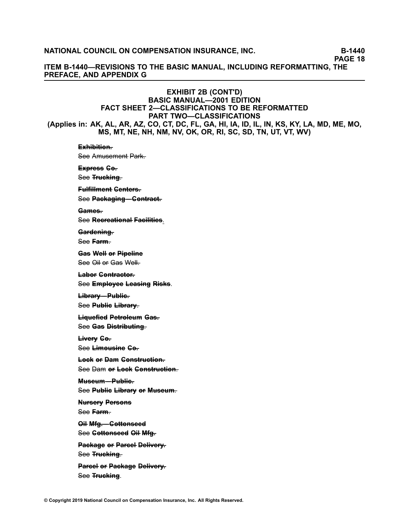**PAGE 18**

**ITEM B-1440—REVISIONS TO THE BASIC MANUAL, INCLUDING REFORMATTING, THE PREFACE, AND APPENDIX G**

# **EXHIBIT 2B (CONT'D) BASIC MANUAL—2001 EDITION FACT SHEET 2—CLASSIFICATIONS TO BE REFORMATTED PART TWO—CLASSIFICATIONS** (Applies in: AK, AL, AR, AZ, CO, CT, DC, FL, GA, HI, IA, ID, IL, IN, KS, KY, LA, MD, ME, MO, **MS, MT, NE, NH, NM, NV, OK, OR, RI, SC, SD, TN, UT, VT, WV)**

# E\*hibition-See Amusement Park-Express Go-See **Trucking**. **Fulfillment Genters.** See Packaging–Gontract-**G–a–m– e–s–.–** S–e–e– **[R–e–c–r–e–a–t––io–n–a–l–](/manuscript/hyperlink.asp?docid=Basic2001NationalClassifications-Recreational&manualtitle=basicxml) F–a–c–i––l–i–t–ie–s–**. Gardening-See Farm. **G–a–s– W– e–l––l o––r P––ip–e–l––in–e–** See Oil or Gas Well– **Labor Contractor.** S–e–e– **E–m– p––lo–y–e–e– [L–e–a–s–i–n–g–](/manuscript/hyperlink.asp?docid=Basic2001NationalClassifications-Employee&manualtitle=basicxml) R––is–k–s–**. **L––ib––ra–r–y–—– P–u–b––l–ic–.–** See Publie Library. **L––iq–u–e–fi–e–d– P–e–t––ro––le–u–m– G–a–s–.–** See Gas Distributing. **L––iv–e–r–y– C–o––.** S–e–e– **L––im– [o–u–s–i–n–e–](/manuscript/hyperlink.asp?docid=Basic2001NationalClassifications-Limousine&manualtitle=basicxml) C–o––. Leek or Dam Genstruction.** See Dam or Lock Construction. **M–u–s–e–u–m–—– P–u–b––l–ic–.–** See Publie Library or Museum. **Nurserv Persons** See Farm. **Oil Mfg.** -- Gottonseed See Gottonseed Oil Mfg. **Package or Parcel Delivery.** See **Trucking**. **Parcel or Package Delivery.** See **Trucking**.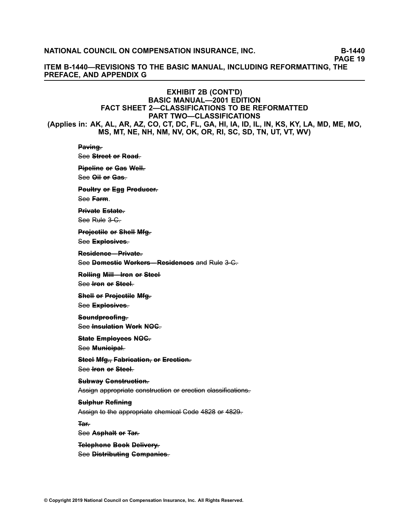**PAGE 19**

**ITEM B-1440—REVISIONS TO THE BASIC MANUAL, INCLUDING REFORMATTING, THE PREFACE, AND APPENDIX G**

# **EXHIBIT 2B (CONT'D) BASIC MANUAL—2001 EDITION FACT SHEET 2—CLASSIFICATIONS TO BE REFORMATTED PART TWO—CLASSIFICATIONS** (Applies in: AK, AL, AR, AZ, CO, CT, DC, FL, GA, HI, IA, ID, IL, IN, KS, KY, LA, MD, ME, MO, **MS, MT, NE, NH, NM, NV, OK, OR, RI, SC, SD, TN, UT, VT, WV)**

Paving-See **Street** or Road. **Pipeline or Gas Well.** See Oil or Gas. **Peultry or Egg Producer.** See **Farm**. **P––r–iv–a–t–e– E–s–t–a–t–e–.–** See Rule 3–C. **Projectile or Shell Mfg.** See **Explosives**. **R–e–s–i–d–e–n–c–e–—– P––r–iv–a–t–e–.– See Domestie Workers–Residences** and Rule 3–C. **Relling Mill—Iren er Steel** See *<u>Fron</u>* or Steel. **S–h–e–l––l o––r P––ro––je–c–t––i–le– M––fg––.** See **Explosives**. Seundproofing-See **Insulation Work NOG S––ta–t–e– E–m– p––lo–y–e–e–s– N–O–C––.** See Municipal. **Steel Mfg., Fabrication, or Erection.** See *<u>Fron</u>* or Steel. Subwav Genstruction. Assign appropriate construction or erection classifications. **Sulphur Refining** Assign to the appropriate chemical Gode 4828 or 4829.

See Asphalt or Tar-

**T–a–r––.**

# **Telephone Book Delivery.** S–e–e– **[D––is–t––r–ib–u––t–in–g–](/manuscript/hyperlink.asp?docid=Basic2001NationalClassifications-Distributing&manualtitle=basicxml) C–o–m– p–a–n––ie–s–**–.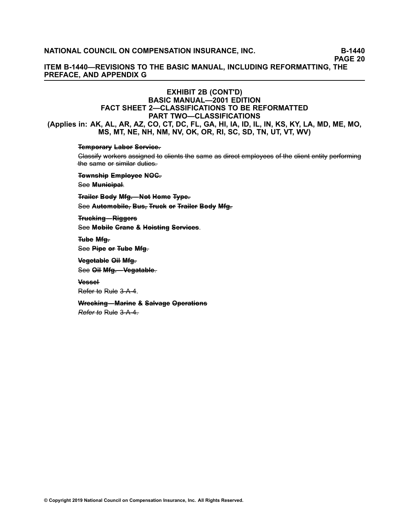**PAGE 20**

**ITEM B-1440—REVISIONS TO THE BASIC MANUAL, INCLUDING REFORMATTING, THE PREFACE, AND APPENDIX G**

# **EXHIBIT 2B (CONT'D) BASIC MANUAL—2001 EDITION FACT SHEET 2—CLASSIFICATIONS TO BE REFORMATTED PART TWO—CLASSIFICATIONS** (Applies in: AK, AL, AR, AZ, CO, CT, DC, FL, GA, HI, IA, ID, IL, IN, KS, KY, LA, MD, ME, MO, **MS, MT, NE, NH, NM, NV, OK, OR, RI, SC, SD, TN, UT, VT, WV)**

### **Temporary Labor Service.**

Glassify workers assigned to clients the same as direct employees of the client entity performing the same or similar duties.

**T–o–w–n–s–h––ip– E–m– p––lo–y–e–e– N–O–C––.**

See Municipal.

**Trailer Bedy Mfg.—Net Heme Type. See Automobile, Bus, Truck or Trailer Body Mfg.** 

**Trucking–Riggers** S–e–e– **M–o–b––i–le– C––ra–n–e– &– [H–o––is–t––in–g–](/manuscript/hyperlink.asp?docid=Basic2001NationalClassifications-Mobile&manualtitle=basicxml) S–e–r–v–i–c–e–s–**.

**T–u–b–e– M––fg––.** See Pipe or Tube Mfg.

**V–e–g–e–t–a–b––le– O––i–l M––fg––.**

See Oil Mfg.-Vegatable.

**V–e–s–s–e–l–**

Refer to Rule 3-A-4.

**Wreeking–Marine & Salvage Operations** 

*Refer to* Rule 3–A–4.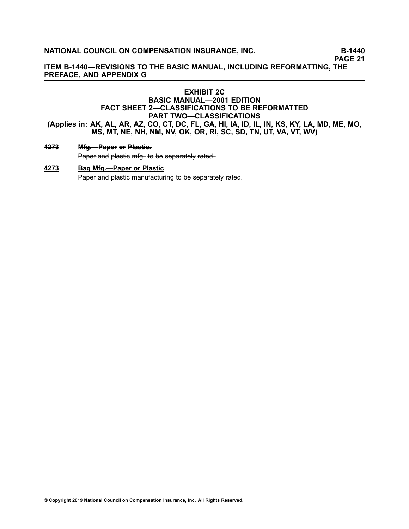**PAGE 21**

**ITEM B-1440—REVISIONS TO THE BASIC MANUAL, INCLUDING REFORMATTING, THE PREFACE, AND APPENDIX G**

# **EXHIBIT 2C BASIC MANUAL—2001 EDITION FACT SHEET 2—CLASSIFICATIONS TO BE REFORMATTED PART TWO—CLASSIFICATIONS** (Applies in: AK, AL, AR, AZ, CO, CT, DC, FL, GA, HI, IA, ID, IL, IN, KS, KY, LA, MD, ME, MO,

**MS, MT, NE, NH, NM, NV, OK, OR, RI, SC, SD, TN, UT, VA, VT, WV)**

### **[4–2–7–3–](/manuscript/hyperlink.asp?docid=4273&manualtitle=scopesxml) M––fg––.—– P–a–p–e–r– o––r P––la–s–t––ic–.–**

Paper and plastic mfg. to be separately rated.

# **[4273](/manuscript/hyperlink.asp?docid=4273&manualtitle=scopesxml) Bag Mfg.—Paper or Plastic** Paper and plastic manufacturing to be separately rated.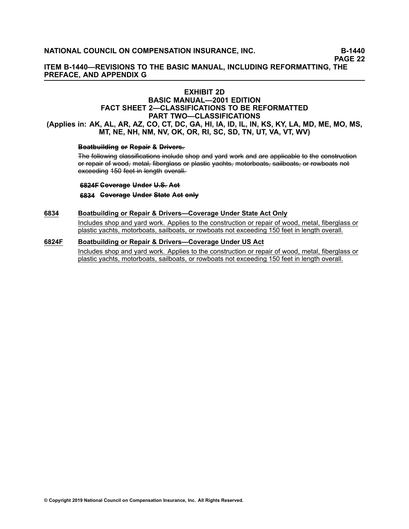**ITEM B-1440—REVISIONS TO THE BASIC MANUAL, INCLUDING REFORMATTING, THE PREFACE, AND APPENDIX G**

## **EXHIBIT 2D**

## **BASIC MANUAL—2001 EDITION FACT SHEET 2—CLASSIFICATIONS TO BE REFORMATTED PART TWO—CLASSIFICATIONS** (Applies in: AK, AL, AR, AZ, CO, CT, DC, GA, HI, IA, ID, IL, IN, KS, KY, LA, MD, ME, MO, MS, **MT, NE, NH, NM, NV, OK, OR, RI, SC, SD, TN, UT, VA, VT, WV)**

#### **Beatbuilding or Repair & Drivers.**

The following classifications include shop and yard work and are applicable to the construction or repair of wood, metal, fiberglass or plastic vachts, motorboats, sailboats, or rowboats not exceeding 150 feet in length overall.

**[6–8–2–4–F–](/manuscript/hyperlink.asp?docid=6824F&manualtitle=scopesxml) C–o–v–e–r–a–g–e– U–n–d–e–r– U––.S––. A–c–t–**

**[6–8–3–4–](/manuscript/hyperlink.asp?docid=6834&manualtitle=scopesxml) C–o–v–e–r–a–g–e– U–n–d–e–r– S––ta–t–e– A–c–t– o–n––ly–**

#### **[6834](/manuscript/hyperlink.asp?docid=6834) Boatbuilding or Repair & Drivers—Coverage Under State Act Only**

Includes shop and yard work. Applies to the construction or repair of wood, metal, fiberglass or plastic yachts, motorboats, sailboats, or rowboats not exceeding 150 feet in length overall.

#### **[6824F](/manuscript/hyperlink.asp?docid=6824F) Boatbuilding or Repair & Drivers—Coverage Under US Act**

Includes shop and yard work. Applies to the construction or repair of wood, metal, fiberglass or plastic yachts, motorboats, sailboats, or rowboats not exceeding 150 feet in length overall.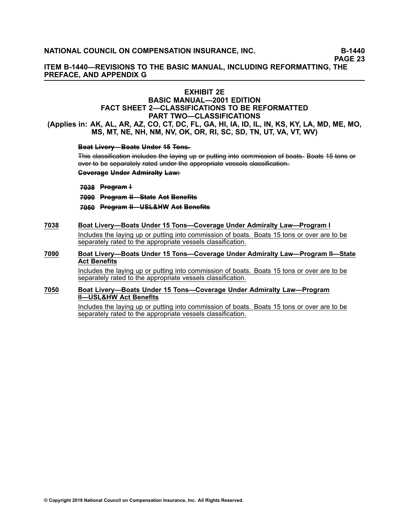**ITEM B-1440—REVISIONS TO THE BASIC MANUAL, INCLUDING REFORMATTING, THE PREFACE, AND APPENDIX G**

## **EXHIBIT 2E**

## **BASIC MANUAL—2001 EDITION FACT SHEET 2—CLASSIFICATIONS TO BE REFORMATTED PART TWO—CLASSIFICATIONS**

(Applies in: AK, AL, AR, AZ, CO, CT, DC, FL, GA, HI, IA, ID, IL, IN, KS, KY, LA, MD, ME, MO, **MS, MT, NE, NH, NM, NV, OK, OR, RI, SC, SD, TN, UT, VA, VT, WV)**

### **Beat Livery–Beats Under 45 Tens.**

This classification includes the laying up or putting into commission of boats. Boats 15 tons or over to be separately rated under the appropriate vessels classification.

#### **Coverage Under Admiralty Law:**

- **[7–0–3–8–](/manuscript/hyperlink.asp?docid=7038&manualtitle=scopesxml) P––ro–g––ra–m– –I**
- **[7–0–9–0–](/manuscript/hyperlink.asp?docid=7090&manualtitle=scopesxml) P––ro–g––ra–m– –I–I—– S––ta–t–e– A–c–t– B–e–n–e–fi––ts–**
- **[7–0–5–0–](/manuscript/hyperlink.asp?docid=7050&manualtitle=scopesxml) P––ro–g––ra–m– –I–I—– U–S–L–&–H–W– A–c–t– B–e–n–e–fi––ts–**

#### **[7038](/manuscript/hyperlink.asp?docid=7038) Boat Livery—Boats Under 15 Tons—Coverage Under Admiralty Law—Program I**

Includes the laying up or putting into commission of boats. Boats 15 tons or over are to be separately rated to the appropriate vessels classification.

**[7090](/manuscript/hyperlink.asp?docid=7090) Boat Livery—Boats Under 15 Tons—Coverage Under Admiralty Law—Program II—State Act Benefits**

> Includes the laying up or putting into commission of boats. Boats 15 tons or over are to be separately rated to the appropriate vessels classification.

#### **[7050](/manuscript/hyperlink.asp?docid=7050) Boat Livery—Boats Under 15 Tons—Coverage Under Admiralty Law—Program II—USL&HW Act Benefits**

Includes the laying up or putting into commission of boats. Boats 15 tons or over are to be separately rated to the appropriate vessels classification.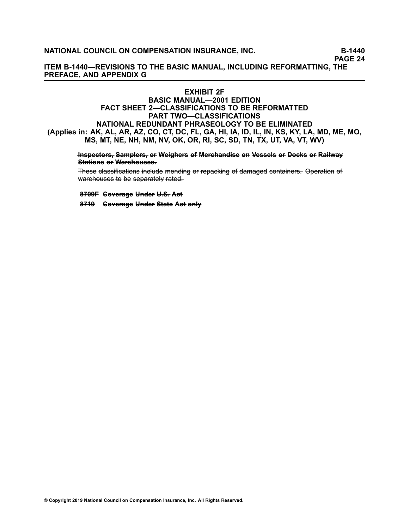**PAGE 24**

**ITEM B-1440—REVISIONS TO THE BASIC MANUAL, INCLUDING REFORMATTING, THE PREFACE, AND APPENDIX G**

#### **EXHIBIT 2F**

## **BASIC MANUAL—2001 EDITION FACT SHEET 2—CLASSIFICATIONS TO BE REFORMATTED PART TWO—CLASSIFICATIONS NATIONAL REDUNDANT PHRASEOLOGY TO BE ELIMINATED** (Applies in: AK, AL, AR, AZ, CO, CT, DC, FL, GA, HI, IA, ID, IL, IN, KS, KY, LA, MD, ME, MO, **MS, MT, NE, NH, NM, NV, OK, OR, RI, SC, SD, TN, TX, UT, VA, VT, WV)**

Inspectors, Samplers, or Weighers of Merchandise on Vessels or Docks or Railway Stations or Warchouses.

These classifications include mending or repacking of damaged containers. Operation of warehouses to be separately rated.

**8–7–0–9–F– C–o–v–e–r–a–g–e– U–n–d–e–r– U––.S––. A–c–t–**

**8–7–1–9– C–o–v–e–r–a–g–e– U–n–d–e–r– S––ta–t–e– A–c–t– o–n––ly–**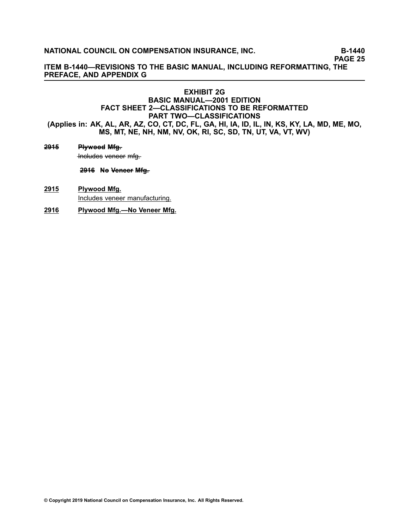**PAGE 25**

**ITEM B-1440—REVISIONS TO THE BASIC MANUAL, INCLUDING REFORMATTING, THE PREFACE, AND APPENDIX G**

## **EXHIBIT 2G BASIC MANUAL—2001 EDITION FACT SHEET 2—CLASSIFICATIONS TO BE REFORMATTED PART TWO—CLASSIFICATIONS** (Applies in: AK, AL, AR, AZ, CO, CT, DC, FL, GA, HI, IA, ID, IL, IN, KS, KY, LA, MD, ME, MO, **MS, MT, NE, NH, NM, NV, OK, RI, SC, SD, TN, UT, VA, VT, WV)**

**[2–9–1–5–](/manuscript/hyperlink.asp?docid=2915&manualtitle=scopesxml) P––ly–w–o–o–d– M––fg––.** Includes veneer mfg.

**[2–9–1–6–](/manuscript/hyperlink.asp?docid=2916&manualtitle=scopesxml) N–o– V–e–n–e–e–r– M––fg––.**

- **[2915](/manuscript/hyperlink.asp?docid=2915&manualtitle=scopesxml) Plywood Mfg.** Includes veneer manufacturing.
- **[2916](/manuscript/hyperlink.asp?docid=2916) Plywood Mfg.—No Veneer Mfg.**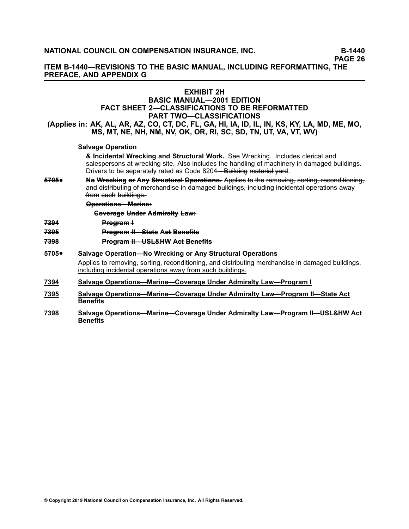**ITEM B-1440—REVISIONS TO THE BASIC MANUAL, INCLUDING REFORMATTING, THE PREFACE, AND APPENDIX G**

### **EXHIBIT 2H**

## **BASIC MANUAL—2001 EDITION FACT SHEET 2—CLASSIFICATIONS TO BE REFORMATTED PART TWO—CLASSIFICATIONS**

(Applies in: AK, AL, AR, AZ, CO, CT, DC, FL, GA, HI, IA, ID, IL, IN, KS, KY, LA, MD, ME, MO, **MS, MT, NE, NH, NM, NV, OK, OR, RI, SC, SD, TN, UT, VA, VT, WV)**

### **Salvage Operation**

**& Incidental Wrecking and Structural Work.** See Wrecking. Includes clerical and salespersons at wrecking site. Also includes the handling of machinery in damaged buildings. Drivers to be separately rated as Code [8204](/manuscript/hyperlink.asp?docid=8204&manualtitle=scopesxml)—Building material vard.

**[5–7–0–5–](/manuscript/hyperlink.asp?docid=5705&manualtitle=scopesxml)**•Ne Wrecking or Any Structural Operations. Applies to the removing, sorting, reconditioning, and distributing of merchandise in damaged buildings, including incidental operations away from such buildings.

#### **Operations–Marine-**

**Coverage Under Admiralty Law:** 

- **[7–3–9–4–](/manuscript/hyperlink.asp?docid=7394&manualtitle=scopesxml) P––ro–g––ra–m– –I**
- **[7–3–9–5–](/manuscript/hyperlink.asp?docid=7395&manualtitle=scopesxml) P––ro–g––ra–m– –I–I—– S––ta–t–e– A–c–t– B–e–n–e–fi––ts–**
- **[7–3–9–8–](/manuscript/hyperlink.asp?docid=7398&manualtitle=scopesxml) P––ro–g––ra–m– –I–I—– U–S–L–&–H–W– A–c–t– B–e–n–e–fi––ts–**
- **[5705](/manuscript/hyperlink.asp?docid=5705&manualtitle=scopesxml)**• **Salvage Operation—No Wrecking or Any Structural Operations** Applies to removing, sorting, reconditioning, and distributing merchandise in damaged buildings, including incidental operations away from such buildings.
- **[7394](/manuscript/hyperlink.asp?docid=7394) Salvage Operations—Marine—Coverage Under Admiralty Law—Program I**
- **[7395](/manuscript/hyperlink.asp?docid=7395) Salvage Operations—Marine—Coverage Under Admiralty Law—Program II—State Act Benefits**
- **[7398](/manuscript/hyperlink.asp?docid=7398) Salvage Operations—Marine—Coverage Under Admiralty Law—Program II—USL&HW Act Benefits**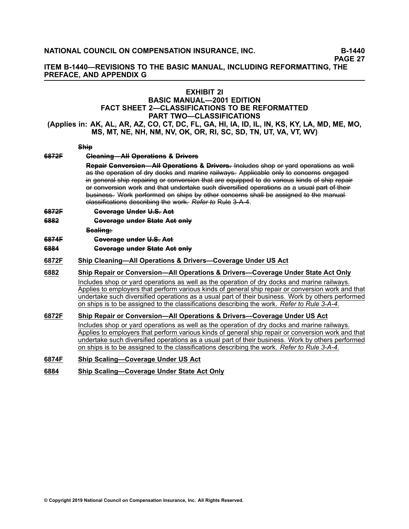**ITEM B-1440—REVISIONS TO THE BASIC MANUAL, INCLUDING REFORMATTING, THE PREFACE, AND APPENDIX G**

## **EXHIBIT 2I**

# **BASIC MANUAL—2001 EDITION FACT SHEET 2—CLASSIFICATIONS TO BE REFORMATTED PART TWO—CLASSIFICATIONS**

(Applies in: AK, AL, AR, AZ, CO, CT, DC, FL, GA, HI, IA, ID, IL, IN, KS, KY, LA, MD, ME, MO, **MS, MT, NE, NH, NM, NV, OK, OR, RI, SC, SD, TN, UT, VA, VT, WV)**

#### **S–h––ip–**

# **[6–8–7–2–F–](/manuscript/hyperlink.asp?docid=6872F&manualtitle=scopesxml) C––le–a–n––in–g–—– A––l–l O–p–e–r–a–t––io–n–s– &– D––r–iv–e–r–s– Repair Gonversion—AH Operations & Drivers. Includes shop or yard operations as well**

as the operation of dry docks and marine railways. Applicable only to concerns engaged in general ship repairing or conversion that are equipped to do various kinds of ship repair or conversion work and that undertake such diversified operations as a usual part of their business. Work performed on ships by other concerns shall be assigned to the manual –c–la–s––s–i–fi–ca–t––io–n–s– d–e–s––c–r–ib–i–n–g– –th–e– w–o–r––k–. *R–e–f–e–r––to–* R–u–l–e– [3–-–A––-4–](/manuscript/hyperlink.asp?docid=Basic2001Rule3-A&manualtitle=basicxml).

#### **[6–8–7–2–F–](/manuscript/hyperlink.asp?docid=6872F&manualtitle=scopesxml) C–o–v–e–r–a–g–e– U–n–d–e–r– U––.S––. A–c–t–**

**[6–8–8–2–](/manuscript/hyperlink.asp?docid=6882&manualtitle=scopesxml) C–o–v–e–r–a–g–e– u–n–d–e–r– S––ta–t–e– A–c–t– o–n––ly–**

Sealing:

- **[6–8–7–4–F–](/manuscript/hyperlink.asp?docid=6874F&manualtitle=scopesxml) C–o–v–e–r–a–g–e– u–n–d–e–r– U––.S––. A–c–t–**
- **[6–8–8–4–](/manuscript/hyperlink.asp?docid=6884&manualtitle=scopesxml) C–o–v–e–r–a–g–e– u–n–d–e–r– S––ta–t–e– A–c–t– o–n––ly–**
- **[6872F](/manuscript/hyperlink.asp?docid=6872F&manualtitle=scopesxml) Ship Cleaning—All Operations & Drivers—Coverage Under US Act**

#### **[6882](/manuscript/hyperlink.asp?docid=6882) Ship Repair or Conversion—All Operations & Drivers—Coverage Under State Act Only** Includes shop or yard operations as well as the operation of dry docks and marine railways. Applies to employers that perform various kinds of general ship repair or conversion work and that undertake such diversified operations as <sup>a</sup> usual part of their business. Work by others performed on ships is to be assigned to the classifications describing the work. *Refer to Rule [3-A-4](/manuscript/hyperlink.asp?docid=Basic2001Rule3-A&manualtitle=basicxml)*.

## **[6872F](/manuscript/hyperlink.asp?docid=6872F&manualtitle=scopesxml) Ship Repair or Conversion—All Operations & Drivers—Coverage Under US Act**

Includes shop or yard operations as well as the operation of dry docks and marine railways. Applies to employers that perform various kinds of general ship repair or conversion work and that undertake such diversified operations as <sup>a</sup> usual part of their business. Work by others performed on ships is to be assigned to the classifications describing the work. *Refer to Rule [3-A-4](/manuscript/hyperlink.asp?docid=Basic2001Rule3-A&manualtitle=basicxml)*.

#### **[6874F](/manuscript/hyperlink.asp?docid=6874F&manualtitle=scopesxml) Ship Scaling—Coverage Under US Act**

#### **[6884](/manuscript/hyperlink.asp?docid=6884) Ship Scaling—Coverage Under State Act Only**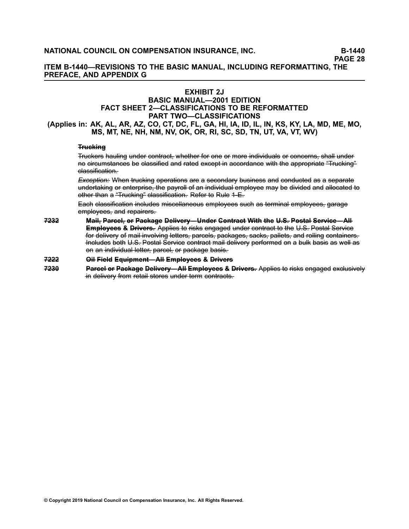**ITEM B-1440—REVISIONS TO THE BASIC MANUAL, INCLUDING REFORMATTING, THE PREFACE, AND APPENDIX G**

## **EXHIBIT 2J**

# **BASIC MANUAL—2001 EDITION FACT SHEET 2—CLASSIFICATIONS TO BE REFORMATTED PART TWO—CLASSIFICATIONS**

(Applies in: AK, AL, AR, AZ, CO, CT, DC, FL, GA, HI, IA, ID, IL, IN, KS, KY, LA, MD, ME, MO, **MS, MT, NE, NH, NM, NV, OK, OR, RI, SC, SD, TN, UT, VA, VT, WV)**

## **Trucking**

Truckers hauling under contract, whether for one or more individuals or concerns, shall under no eireumstances be elassified and rated except in accordance with the appropriate "Trucking" elassification.

Exception: When trucking operations are a secondary business and conducted as a separate undertaking or enterprise, the payroll of an individual employee may be divided and allocated to other than a "Trucking" classification. Refer to Rule 1-E.

Each elassification includes miscellaneous employees such as terminal employees, garage employees, and repairers.

7232 Mail, Parcel, or Package Delivery—Under Gontract With the U.S. Postal Service—All **Employees & Drivers.** Applies to risks engaged under contract to the U.S. Postal Service for delivery of mail involving letters, parcels, packages, sacks, pallets, and rolling containers. Includes both U.S. Postal Service contract mail delivery performed on a bulk basis as well as on an individual letter, parcel, or package basis.

#### **[7–2–2–2–](/manuscript/hyperlink.asp?docid=7222) O––i–l F––ie–l–d– E–q–u––ip–m– e–n––t—– A––l–l E–m– p––lo–y–e–e–s– &– D––r–iv–e–r–s–**

7230 Parcel or Package Delivery—All Employees & Drivers. Applies to risks engaged exclusively in–delivery from–retail stores under term contracts.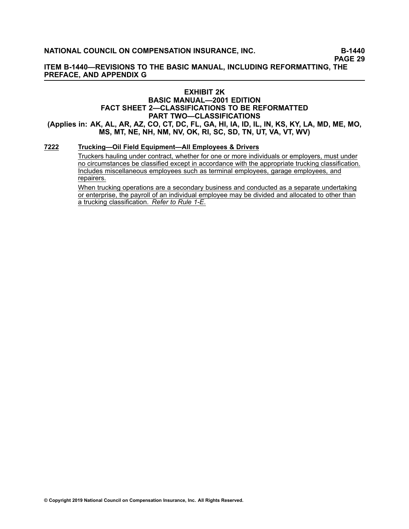**ITEM B-1440—REVISIONS TO THE BASIC MANUAL, INCLUDING REFORMATTING, THE PREFACE, AND APPENDIX G**

### **EXHIBIT 2K BASIC MANUAL—2001 EDITION FACT SHEET 2—CLASSIFICATIONS TO BE REFORMATTED PART TWO—CLASSIFICATIONS** (Applies in: AK, AL, AR, AZ, CO, CT, DC, FL, GA, HI, IA, ID, IL, IN, KS, KY, LA, MD, ME, MO, **MS, MT, NE, NH, NM, NV, OK, RI, SC, SD, TN, UT, VA, VT, WV)**

#### **[7222](/manuscript/hyperlink.asp?docid=7222) Trucking—Oil Field Equipment—All Employees & Drivers**

Truckers hauling under contract, whether for one or more individuals or employers, must under no circumstances be classified except in accordance with the appropriate trucking classification. Includes miscellaneous employees such as terminal employees, garage employees, and repairers.

When trucking operations are <sup>a</sup> secondary business and conducted as <sup>a</sup> separate undertaking or enterprise, the payroll of an individual employee may be divided and allocated to other than <sup>a</sup> trucking classification. *Refer to Rule 1-E*.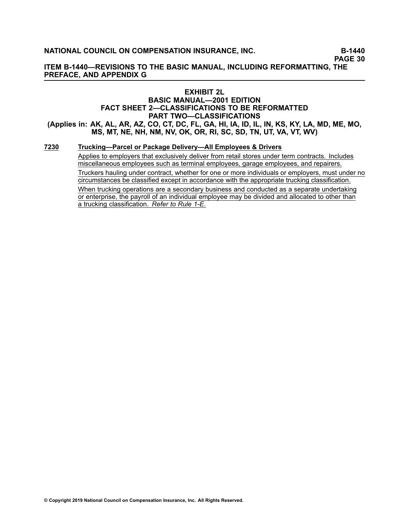**ITEM B-1440—REVISIONS TO THE BASIC MANUAL, INCLUDING REFORMATTING, THE PREFACE, AND APPENDIX G**

## **EXHIBIT 2L**

## **BASIC MANUAL—2001 EDITION FACT SHEET 2—CLASSIFICATIONS TO BE REFORMATTED PART TWO—CLASSIFICATIONS** (Applies in: AK, AL, AR, AZ, CO, CT, DC, FL, GA, HI, IA, ID, IL, IN, KS, KY, LA, MD, ME, MO,

**MS, MT, NE, NH, NM, NV, OK, OR, RI, SC, SD, TN, UT, VA, VT, WV)**

## **[7230](/manuscript/hyperlink.asp?docid=7230) Trucking—Parcel or Package Delivery—All Employees & Drivers**

Applies to employers that exclusively deliver from retail stores under term contracts. Includes miscellaneous employees such as terminal employees, garage employees, and repairers. Truckers hauling under contract, whether for one or more individuals or employers, must under no circumstances be classified except in accordance with the appropriate trucking classification.

When trucking operations are <sup>a</sup> secondary business and conducted as <sup>a</sup> separate undertaking or enterprise, the payroll of an individual employee may be divided and allocated to other than <sup>a</sup> trucking classification. *Refer to Rule 1-E*.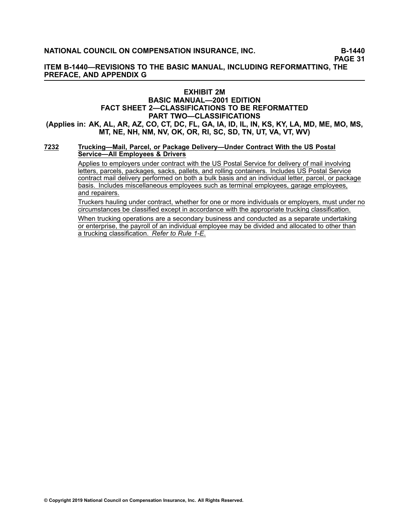**ITEM B-1440—REVISIONS TO THE BASIC MANUAL, INCLUDING REFORMATTING, THE PREFACE, AND APPENDIX G**

## **EXHIBIT 2M**

## **BASIC MANUAL—2001 EDITION FACT SHEET 2—CLASSIFICATIONS TO BE REFORMATTED PART TWO—CLASSIFICATIONS** (Applies in: AK, AL, AR, AZ, CO, CT, DC, FL, GA, IA, ID, IL, IN, KS, KY, LA, MD, ME, MO, MS, **MT, NE, NH, NM, NV, OK, OR, RI, SC, SD, TN, UT, VA, VT, WV)**

#### **[7232](/manuscript/hyperlink.asp?docid=7232) Trucking—Mail, Parcel, or Package Delivery—Under Contract With the US Postal Service—All Employees & Drivers**

Applies to employers under contract with the US Postal Service for delivery of mail involving letters, parcels, packages, sacks, pallets, and rolling containers. Includes US Postal Service contract mail delivery performed on both <sup>a</sup> bulk basis and an individual letter, parcel, or package basis. Includes miscellaneous employees such as terminal employees, garage employees, and repairers.

Truckers hauling under contract, whether for one or more individuals or employers, must under no circumstances be classified except in accordance with the appropriate trucking classification. When trucking operations are <sup>a</sup> secondary business and conducted as <sup>a</sup> separate undertaking or enterprise, the payroll of an individual employee may be divided and allocated to other than <sup>a</sup> trucking classification. *Refer to Rule 1-E*.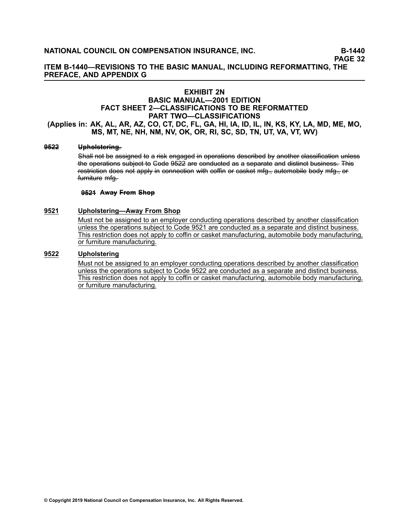**ITEM B-1440—REVISIONS TO THE BASIC MANUAL, INCLUDING REFORMATTING, THE PREFACE, AND APPENDIX G**

## **EXHIBIT 2N**

### **BASIC MANUAL—2001 EDITION FACT SHEET 2—CLASSIFICATIONS TO BE REFORMATTED PART TWO—CLASSIFICATIONS** (Applies in: AK, AL, AR, AZ, CO, CT, DC, FL, GA, HI, IA, ID, IL, IN, KS, KY, LA, MD, ME, MO,

# **MS, MT, NE, NH, NM, NV, OK, OR, RI, SC, SD, TN, UT, VA, VT, WV)**

## **[9–5–2–2–](/manuscript/hyperlink.asp?docid=9522&manualtitle=scopesxml) U–p–h–o––ls–t–e–r––in–g––.**

Shall not be assigned to a risk engaged in operations described by another classification unless the operations subject to Gode 9522 are conducted as a separate and distinct business. This restriction does not apply in connection with coffin or casket mfg., automobile body mfg., or furniture mfa-

#### **[9–5–2–1–](/manuscript/hyperlink.asp?docid=9521&manualtitle=scopesxml) A–w–a–y– F––ro–m– S–h–o–p–**

#### **[9521](/manuscript/hyperlink.asp?docid=9521&manualtitle=scopesxml) Upholstering—Away From Shop**

Must not be assigned to an employer conducting operations described by another classification unless the operations subject to Code 9521 are conducted as <sup>a</sup> separate and distinct business. This restriction does not apply to coffin or casket manufacturing, automobile body manufacturing, or furniture manufacturing.

#### **[9522](/manuscript/hyperlink.asp?docid=9522&manualtitle=scopesxml) Upholstering**

Must not be assigned to an employer conducting operations described by another classification unless the operations subject to Code [9522](https://www.ncci.com/manuscript/hyperlink.asp?docid=9522&manualtitle=scopesxml) are conducted as <sup>a</sup> separate and distinct business. This restriction does not apply to coffin or casket manufacturing, automobile body manufacturing, or furniture manufacturing.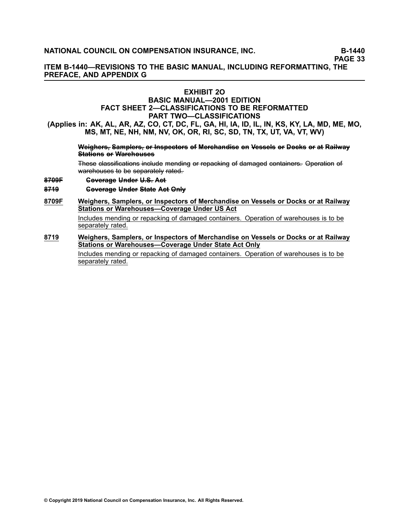**ITEM B-1440—REVISIONS TO THE BASIC MANUAL, INCLUDING REFORMATTING, THE PREFACE, AND APPENDIX G**

## **EXHIBIT 2O**

## **BASIC MANUAL—2001 EDITION FACT SHEET 2—CLASSIFICATIONS TO BE REFORMATTED PART TWO—CLASSIFICATIONS**

(Applies in: AK, AL, AR, AZ, CO, CT, DC, FL, GA, HI, IA, ID, IL, IN, KS, KY, LA, MD, ME, MO, **MS, MT, NE, NH, NM, NV, OK, OR, RI, SC, SD, TN, TX, UT, VA, VT, WV)**

#### Weighers, Samplers, or Inspectors of Merchandise on Vessels or Docks or at Railway **Stations or Warehouses**

These classifications include mending or repacking of damaged containers. Operation of warehouses to be separately rated.

#### **[8–7–0–9–F–](/manuscript/hyperlink.asp?docid=8709F&manualtitle=scopesxml) C–o–v–e–r–a–g–e– U–n–d–e–r– U––.S––. A–c–t–**

#### **[8–7–1–9–](/manuscript/hyperlink.asp?docid=8719&manualtitle=scopesxml) C–o–v–e–r–a–g–e– U–n–d–e–r– S––ta–t–e– A–c–t– O–n––ly–**

#### **[8709F](/manuscript/hyperlink.asp?docid=8709F&manualtitle=scopesxml) Weighers, Samplers, or Inspectors of Merchandise on Vessels or Docks or at Railway Stations or Warehouses—Coverage Under US Act**

Includes mending or repacking of damaged containers. Operation of warehouses is to be separately rated.

**[8719](/manuscript/hyperlink.asp?docid=8719&manualtitle=scopesxml) Weighers, Samplers, or Inspectors of Merchandise on Vessels or Docks or at Railway Stations or Warehouses—Coverage Under State Act Only**

> Includes mending or repacking of damaged containers. Operation of warehouses is to be separately rated.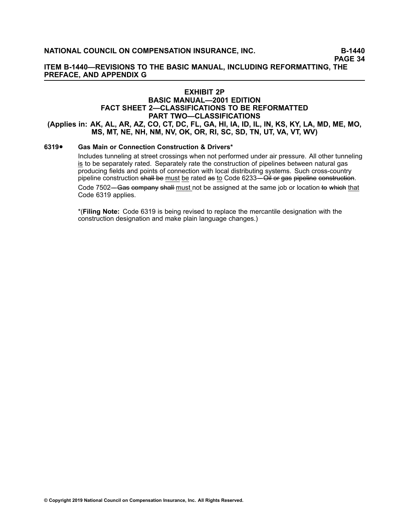**ITEM B-1440—REVISIONS TO THE BASIC MANUAL, INCLUDING REFORMATTING, THE PREFACE, AND APPENDIX G**

#### **EXHIBIT 2P**

## **BASIC MANUAL—2001 EDITION FACT SHEET 2—CLASSIFICATIONS TO BE REFORMATTED PART TWO—CLASSIFICATIONS** (Applies in: AK, AL, AR, AZ, CO, CT, DC, FL, GA, HI, IA, ID, IL, IN, KS, KY, LA, MD, ME, MO,

**MS, MT, NE, NH, NM, NV, OK, OR, RI, SC, SD, TN, UT, VA, VT, WV)**

#### **[6319](/manuscript/hyperlink.asp?docid=6319&manualtitle=scopesxml)**•**Gas Main or Connection Construction & Drivers\***

Includes tunneling at street crossings when not performed under air pressure. All other tunneling is to be separately rated. Separately rate the construction of pipelines between natural gas producing fields and points of connection with local distributing systems. Such cross-country pipeline construction shall be must be rated as to Code [6233](/manuscript/hyperlink.asp?docid=6233&manualtitle=scopesxml)—OII or gas pipeline construction.

Code [7502—](/manuscript/hyperlink.asp?docid=7502&manualtitle=scopesxml)Gas company shall must not be assigned at the same job or location to which that Code [6319](/manuscript/hyperlink.asp?docid=6319&manualtitle=scopesxml) applies.

\*(**Filing Note:** Code 6319 is being revised to replace the mercantile designation with the construction designation and make plain language changes.)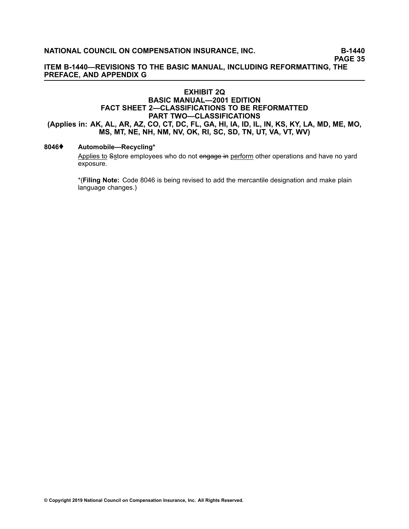## **ITEM B-1440—REVISIONS TO THE BASIC MANUAL, INCLUDING REFORMATTING, THE PREFACE, AND APPENDIX G**

## **EXHIBIT 2Q BASIC MANUAL—2001 EDITION FACT SHEET 2—CLASSIFICATIONS TO BE REFORMATTED PART TWO—CLASSIFICATIONS** (Applies in: AK, AL, AR, AZ, CO, CT, DC, FL, GA, HI, IA, ID, IL, IN, KS, KY, LA, MD, ME, MO, **MS, MT, NE, NH, NM, NV, OK, RI, SC, SD, TN, UT, VA, VT, WV)**

### **[8046](/manuscript/hyperlink.asp?docid=8046&manualtitle=scopesxml)**♦ **Automobile—Recycling\***

Applies to Sstore employees who do not engage in perform other operations and have no yard exposure.

\*(**Filing Note:** Code 8046 is being revised to add the mercantile designation and make plain language changes.)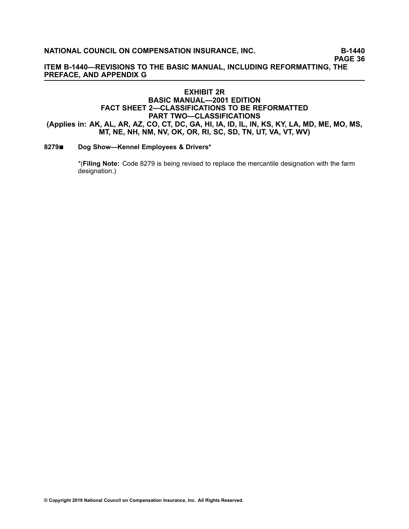**PAGE 36**

**ITEM B-1440—REVISIONS TO THE BASIC MANUAL, INCLUDING REFORMATTING, THE PREFACE, AND APPENDIX G**

## **EXHIBIT 2R BASIC MANUAL—2001 EDITION FACT SHEET 2—CLASSIFICATIONS TO BE REFORMATTED PART TWO—CLASSIFICATIONS** (Applies in: AK, AL, AR, AZ, CO, CT, DC, GA, HI, IA, ID, IL, IN, KS, KY, LA, MD, ME, MO, MS, **MT, NE, NH, NM, NV, OK, OR, RI, SC, SD, TN, UT, VA, VT, WV)**

#### **[8279](/manuscript/hyperlink.asp?docid=8279&manualtitle=scopesxml)**■ **Dog Show—Kennel Employees & Drivers\***

\*(**Filing Note:** Code 8279 is being revised to replace the mercantile designation with the farm designation.)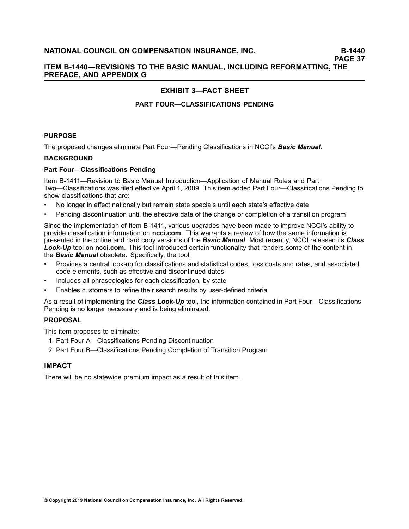## **ITEM B-1440—REVISIONS TO THE BASIC MANUAL, INCLUDING REFORMATTING, THE PREFACE, AND APPENDIX G**

# **EXHIBIT 3—FACT SHEET**

## **PART FOUR—CLASSIFICATIONS PENDING**

## **PURPOSE**

The proposed changes eliminate Part Four—Pending Classifications in NCCI's *Basic Manual*.

#### **BACKGROUND**

#### **Part Four—Classifications Pending**

Item B-1411—Revision to Basic Manual Introduction—Application of Manual Rules and Part Two—Classifications was filed effective April 1, 2009. This item added Part Four—Classifications Pending to show classifications that are:

- •No longer in effect nationally but remain state specials until each state's effective date
- •Pending discontinuation until the effective date of the change or completion of <sup>a</sup> transition program

Since the implementation of Item B-1411, various upgrades have been made to improve NCCI's ability to provide classification information on **ncci.com**. This warrants <sup>a</sup> review of how the same information is presented in the online and hard copy versions of the *Basic Manual*. Most recently, NCCI released its *Class Look-Up* tool on **ncci.com**. This tool introduced certain functionality that renders some of the content in the *Basic Manual* obsolete. Specifically, the tool:

- • Provides <sup>a</sup> central look-up for classifications and statistical codes, loss costs and rates, and associated code elements, such as effective and discontinued dates
- •Includes all phraseologies for each classification, by state
- •Enables customers to refine their search results by user-defined criteria

As <sup>a</sup> result of implementing the *Class Look-Up* tool, the information contained in Part Four—Classifications Pending is no longer necessary and is being eliminated.

## **PROPOSAL**

This item proposes to eliminate:

- 1. Part Four A—Classifications Pending Discontinuation
- 2. Part Four B—Classifications Pending Completion of Transition Program

## **IMPACT**

There will be no statewide premium impact as <sup>a</sup> result of this item.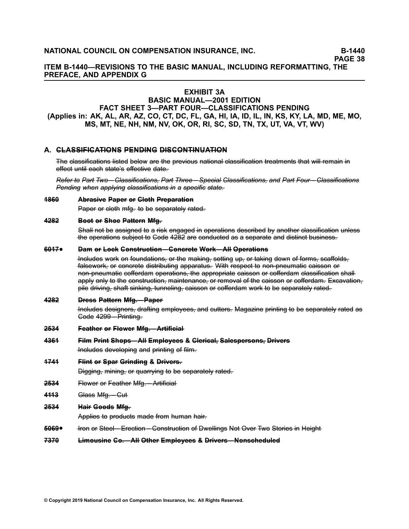**ITEM B-1440—REVISIONS TO THE BASIC MANUAL, INCLUDING REFORMATTING, THE PREFACE, AND APPENDIX G**

## **EXHIBIT 3A**

## **BASIC MANUAL—2001 EDITION FACT SHEET 3—PART FOUR—CLASSIFICATIONS PENDING** (Applies in: AK, AL, AR, AZ, CO, CT, DC, FL, GA, HI, IA, ID, IL, IN, KS, KY, LA, MD, ME, MO, **MS, MT, NE, NH, NM, NV, OK, OR, RI, SC, SD, TN, TX, UT, VA, VT, WV)**

#### **A. C–L–A–S–S––IF––IC–A–T––IO–N–S– P–E–N–D––IN–G– D––IS–C–O–N–T––IN–U–A–T––IO–N–**

The classifications listed below are the previous national classification treatments that will remain in effect until each state's effective date.

Refer to Part Two - Classifications. Part Three - Special Classifications, and Part Four - Classifications *P–e–n–d–i–n–g– w–h–e–n– a–p–p–l––y–in–g– –c–la–s––s–i–fi–ca–t––io–n–s––in– a– –sp–e–c––i–fi–c –s–ta–t–e–.–*

#### **[1–8–6–0–](/manuscript/hyperlink.asp?docid=1860&manualtitle=scopesxml) A–b––ra–s–i–v–e– P–a–p–e–r– o––r C––lo––th– P––re–p–a–r–a–t––io–n–**

Paper or cloth mfg. to be separately rated.

#### **[4–2–8–2–](/manuscript/hyperlink.asp?docid=4282&manualtitle=scopesxml) B–o–o––t o––r S–h–o–e– P–a–t––te–r–n– M––fg––.**

Shall not be assigned to a risk engaged in operations described by another classification unless the operations subject to Gode 4282 are conducted as a separate and distinct business.

#### **[6–0–1–7–](/manuscript/hyperlink.asp?docid=6017&manualtitle=scopesxml)**•**Dam or Lock Construction––Concrete Work–All Operations**

 $\overline{1}$  Hneludes work on foundations, or the making, setting up, or taking down of forms, scaffolds, falsework, or concrete distributing apparatus. With respect to non-pneumatic caisson or non–pneumatic cofferdam operations. the appropriate caisson or cofferdam classification shall apply only to the construction, maintenance, or removal of the caisson or cofferdam. Excavation, pile driving, shaft sinking, tunneling, caisson or cofferdam work to be separately rated.

#### **[4–2–8–2–](/manuscript/hyperlink.asp?docid=4282&manualtitle=scopesxml) D––re–s–s– P–a–t––te–r–n– M––fg––.—– P–a–p–e–r–**

Includes designers, drafting employees, and cutters. Magazine printing to be separately rated as Gode 4299 – Printing.

**[2–5–3–4–](/manuscript/hyperlink.asp?docid=2534&manualtitle=scopesxml) F–e–a–t–h–e–r– o––r F––lo–w–e–r– M––fg––.—– A––r–t–ifi–c–i–a–l–**

#### **[4–3–6–1–](/manuscript/hyperlink.asp?docid=4361&manualtitle=scopesxml) F––i–lm– P––r–in––t S–h–o–p–s–—– A––l–l E–m– p––lo–y–e–e–s– &– C––le–r––ic–a–l––, S–a–l–e–s–p–e–r–s–o–n–s–,– D––r–iv–e–r–s–**

Includes developing and printing of film.

**[1–7–4–1–](/manuscript/hyperlink.asp?docid=1741&manualtitle=scopesxml) F––l–in––t o––r S–p–a–r– G––r–in–d––in–g– &– D––r–iv–e–r–s–.–**

Digging, mining, or quarrying to be separately rated.

- 2534 Flower or Feather Mfg. Artificial
- **4443** Glass Mfg. Cut-
- **[2–5–3–4–](/manuscript/hyperlink.asp?docid=2534&manualtitle=scopesxml) H–a–i––r G–o–o–d–s– M––fg––.**

Applies to products made from human hair.

- **[5–0–6–9–](/manuscript/hyperlink.asp?docid=5069&manualtitle=scopesxml)**• $\frac{1}{2}$  From of Steel – Erection – Construction of Dwellings Not Over Two Stories in Height
- **[7–3–7–0–](/manuscript/hyperlink.asp?docid=7370&manualtitle=scopesxml) L––im– o–u–s–i–n–e– C–o––.—– A––l–l O––th–e–r– E–m– p––lo–y–e–e–s– &– D––r–iv–e–r–s–—– N–o–n–s–c–h–e–d–u––le–d–**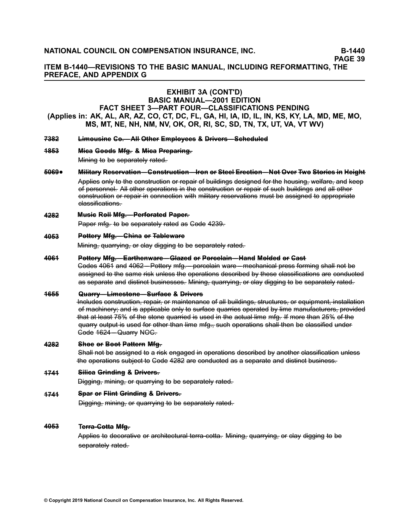**ITEM B-1440—REVISIONS TO THE BASIC MANUAL, INCLUDING REFORMATTING, THE PREFACE, AND APPENDIX <sup>G</sup>**

#### **EXHIBIT 3A (CONT'D) BASIC MANUAL—2001 EDITION**

# **FACT SHEET 3—PART FOUR—CLASSIFICATIONS PENDING** (Applies in: AK, AL, AR, AZ, CO, CT, DC, FL, GA, HI, IA, ID, IL, IN, KS, KY, LA, MD, ME, MO, MS, MT, NE, NH, NM, NV, OK, OR, RI, SC, SD, TN, TX, UT, VA, VT WV)

- 7382 Limousine Ge.-All Other Employees & Drivers-Scheduled
- **[1–8–5–3–](/manuscript/hyperlink.asp?docid=1853&manualtitle=scopesxml) M–i–c–a– G–o–o–d–s– M– f–g–.– &– M–i–c–a– P–r–e–p–a–r–i–n–g–.–**

Mining to be separately rated.

#### **[5–0–6–9–](/manuscript/hyperlink.asp?docid=5069&manualtitle=scopesxml)**•Military Reservation-Gonstruction-Iron or Steel Erection-Not Over Two Stories in Height

Applies only to the construction or repair of buildings designed for the housing, welfare, and keep of personnel. All other operations in the construction or repair of such buildings and all other construction or repair in connection with military reservations must be assigned to appropriate elassifications.

**[4–2–8–2–](/manuscript/hyperlink.asp?docid=4282&manualtitle=scopesxml) Musie Rell Mfg. – Perforated Paper.** 

Paper mfg. to be separately rated as Gode 4239.

#### **[4–0–5–3–](/manuscript/hyperlink.asp?docid=4053&manualtitle=scopesxml) Pettery Mfg.—Ghina er Tableware**

Mining, quarrying, or clay digging to be separately rated.

#### **[4–0–6–1–](/manuscript/hyperlink.asp?docid=4061&manualtitle=scopesxml)** Pottery Mfg.-Earthenware-Glazed or Porcelain-Hand Molded or Gast

Codes–4061 and 4062—Pottery mfg.— porcelain ware—mechanical press forming shall not be assigned to the same risk unless the operations described by these classifications are conducted as separate and distinct businesses. Mining, quarrying, or clay digging to be separately rated.

#### **[1–6–5–5–](/manuscript/hyperlink.asp?docid=1655&manualtitle=scopesxml) Q–ua–r – ––r–—– y Li–– me–s–t – –o–ne–—– – S–u––r–fa–c–e– &– D––ri––e–r v ––s**

 $\overline{1}$ heludes construction, repair, or maintenance of all buildings, structures, or equipment, installation ef machinery; and is applicable only to surface quarries operated by lime manufacturers, provided that at least 75% of the stone quarried is used in the actual lime mfg. If more than 25% of the quarry output is used for other than lime mfg., such operations shall then be classified under Gode 1624 – Quarry NOC.

#### **[4–2–8–2–](/manuscript/hyperlink.asp?docid=4282&manualtitle=scopesxml) Shee or Beet Pattern Mfg.**

Shall not be assigned to a risk engaged in operations described by another classification unless the operations subject to Gode 4282 are conducted as a separate and distinct business.

#### **[1–7–4–1–](/manuscript/hyperlink.asp?docid=1741&manualtitle=scopesxml) Silica Grinding & Drivers.**

Digging, mining, or quarrying to be separately rated.

#### **[1–7–4–1–](/manuscript/hyperlink.asp?docid=1741&manualtitle=scopesxml) Spar or Flint Grinding & Drivers.**

Digging, mining, or quarrying to be separately rated.

#### **[4–0–5–3–](/manuscript/hyperlink.asp?docid=4053&manualtitle=scopesxml) Terra-Gotta Mfg.**

Applies to decorative or architectural terra-cotta. Mining, quarrying, or clay digging to be separately rated.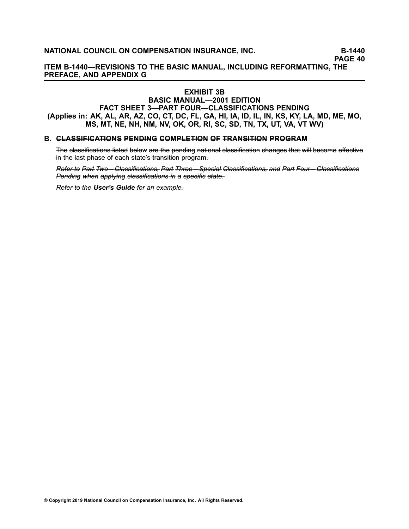**ITEM B-1440—REVISIONS TO THE BASIC MANUAL, INCLUDING REFORMATTING, THE PREFACE, AND APPENDIX G**

## **EXHIBIT 3B**

## **BASIC MANUAL—2001 EDITION FACT SHEET 3—PART FOUR—CLASSIFICATIONS PENDING** (Applies in: AK, AL, AR, AZ, CO, CT, DC, FL, GA, HI, IA, ID, IL, IN, KS, KY, LA, MD, ME, MO, **MS, MT, NE, NH, NM, NV, OK, OR, RI, SC, SD, TN, TX, UT, VA, VT WV)**

#### **B.** GLASSIFICATIONS PENDING COMPLETION OF TRANSITION PROGRAM

The elassifications listed below are the pending national classification changes that will become effective -in the last phase of each state's transition program.

Refer to Part Two - Classifications, Part Three - Special Classifications, and Part Four - Classifications *P–e–n–d–i–n–g– w–h–e–n– a–p–p–l––y–in–g– –c–la–s––s–i–fi–ca–t––io–n–s––in– a– –sp–e–c––i–fi–c –s–ta–t–e–.–*

*Refer to the User's Guide for an example.*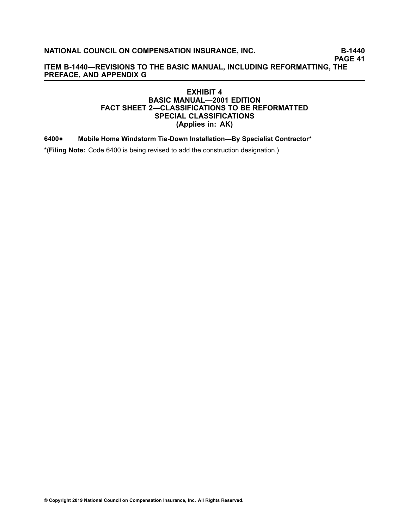**PAGE 41**

## **ITEM B-1440—REVISIONS TO THE BASIC MANUAL, INCLUDING REFORMATTING, THE PREFACE, AND APPENDIX G**

## **EXHIBIT 4 BASIC MANUAL—2001 EDITION FACT SHEET 2—CLASSIFICATIONS TO BE REFORMATTED SPECIAL CLASSIFICATIONS (Applies in: AK)**

#### **[6400](/manuscript/hyperlink.asp?docid=6400&manualtitle=scopesxml)**•**Mobile Home Windstorm Tie-Down Installation—By Specialist Contractor\***

\*(**Filing Note:** Code 6400 is being revised to add the construction designation.)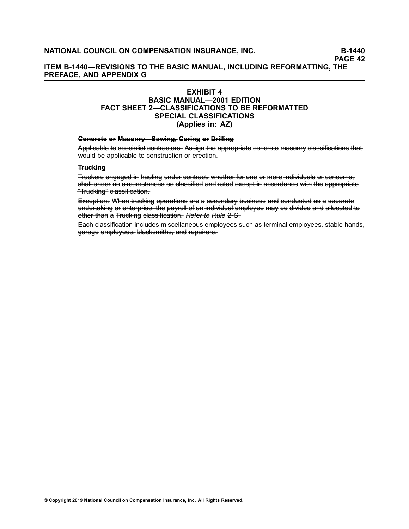## **ITEM B-1440—REVISIONS TO THE BASIC MANUAL, INCLUDING REFORMATTING, THE PREFACE, AND APPENDIX G**

## **EXHIBIT 4**

## **BASIC MANUAL—2001 EDITION FACT SHEET 2—CLASSIFICATIONS TO BE REFORMATTED SPECIAL CLASSIFICATIONS (Applies in: AZ)**

#### **Concrete or Masonry––Sawing, Coring or Drilling**

Applicable to specialist contractors. Assign the appropriate concrete masonry classifications that would be applicable to construction or erection.

#### **T––ru–c–k–i–n–g–**

Truckers engaged in hauling under contract, whether for one or more individuals or concerns, shall under no circumstances be classified and rated except in accordance with the appropriate "Trucking" classification.

Exception: When trucking operations are a secondary business and conducted as a separate undertaking or enterprise, the payroll of an individual employee may be divided and allocated to other-than a Trucking classification. Refer-to Rule 2-G.

Each elassification includes miscellaneous employees such as terminal employees, stable hands, garage employees, blacksmiths, and repairers.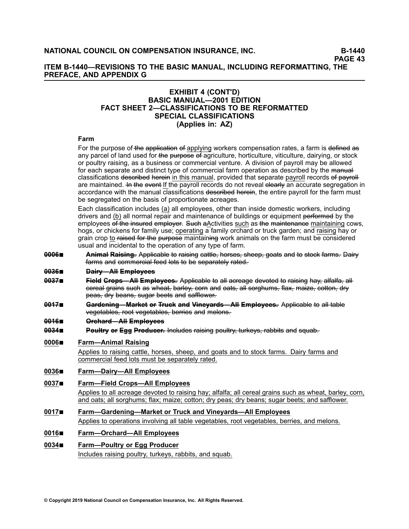## **ITEM B-1440—REVISIONS TO THE BASIC MANUAL, INCLUDING REFORMATTING, THE PREFACE, AND APPENDIX G**

### **EXHIBIT 4 (CONT'D) BASIC MANUAL—2001 EDITION FACT SHEET 2—CLASSIFICATIONS TO BE REFORMATTED SPECIAL CLASSIFICATIONS (Applies in: AZ)**

#### **Farm**

For the purpose of the application of applying workers compensation rates, a farm is defined as any parcel of land used for the purpose of agriculture, horticulture, viticulture, dairying, or stock or poultry raising, as <sup>a</sup> business or commercial venture. A division of payroll may be allowed for each separate and distinct type of commercial farm operation as described by the manualclassifications described herein in this manual, provided that separate payroll records of payroll are maintained. <del>In the event</del> If the payroll records do not reveal elearly an accurate segregation in accordance with the manual classifications described herein, the entire payroll for the farm must be segregated on the basis of proportionate acreages.

Each classification includes (a) all employees, other than inside domestic workers, including drivers and (b) all normal repair and maintenance of buildings or equipment performed by the employees of the insured employer. Such aActivities such as the maintenance maintaining cows, hogs, or chickens for family use; operating <sup>a</sup> family orchard or truck garden; and raising hay or grain crop to <del>raised for the purpose</del> maintaining work animals on the farm must be considered usual and incidental to the operation of any type of farm.

**0006■ Animal Raising.** Applicable to raising cattle, horses, sheep, goats and to stock farms. Dairy farms and commercial feed lots to be separately rated.

#### **[0–0–3–6–](/manuscript/hyperlink.asp?docid=0036&manualtitle=scopesxml )**■ **D–a–i––ry–—– A––l–l E–m– p––lo–y–e–e–s–**

- **0037■ Field Grops—All Employees.** Applicable to all acreage devoted to raising hay, alfalfa, all eereal-grains such as wheat, barley, corn and oats, all sorghums, flax, maize, cotton, dry peas, dry beans, sugar beets and safflower.
- 0017■ Gardening—Market or Truck and Vineyards—All Employees. Applicable to all table vegetables, root vegetables, berries and melons.

#### **[0–0–1–6–](/manuscript/hyperlink.asp?docid=0016&manualtitle=scopesxml )**■ **O––rc–h–a–r–d–—– A––l–l E–m– p––lo–y–e–e–s–**

**0034■ Poultry or Egg Producer-** Includes raising poultry, turkeys, rabbits and squab.

#### **[0006](/manuscript/hyperlink.asp?docid=0006&manualtitle=scopesxmlstate )**■ **Farm—Animal Raising**

Applies to raising cattle, horses, sheep, and goats and to stock farms. Dairy farms and commercial feed lots must be separately rated.

#### **[0036](/manuscript/hyperlink.asp?docid=0036&manualtitle=scopesxmlstate )**■ **Farm—Dairy—All Employees**

#### **[0037](/manuscript/hyperlink.asp?docid=0037&manualtitle=scopesxmlstate )**■ **Farm—Field Crops—All Employees**

Applies to all acreage devoted to raising hay; alfalfa; all cereal grains such as wheat, barley, corn, and oats; all sorghums; flax; maize; cotton; dry peas; dry beans; sugar beets; and safflower.

## **[0017](/manuscript/hyperlink.asp?docid=0037&manualtitle=scopesxmlstate )**■ **Farm—Gardening—Market or Truck and Vineyards—All Employees**

Applies to operations involving all table vegetables, root vegetables, berries, and melons.

#### **[0016](/manuscript/hyperlink.asp?docid=0016&manualtitle=scopesxmlstate )**■ **Farm—Orchard—All Employees**

#### **[0034](/manuscript/hyperlink.asp?docid=0034&manualtitle=scopesxmlstate )**■ **Farm—Poultry or Egg Producer**

Includes raising poultry, turkeys, rabbits, and squab.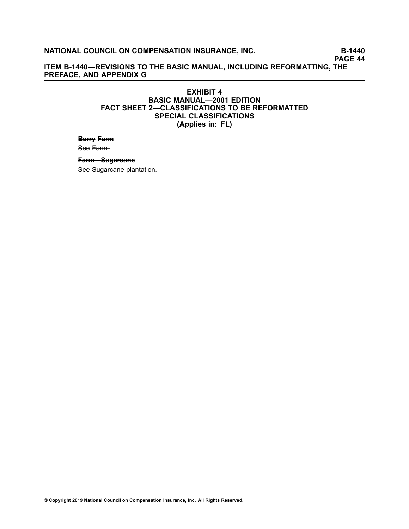**PAGE 44**

**ITEM B-1440—REVISIONS TO THE BASIC MANUAL, INCLUDING REFORMATTING, THE PREFACE, AND APPENDIX G**

### **EXHIBIT 4 BASIC MANUAL—2001 EDITION FACT SHEET 2—CLASSIFICATIONS TO BE REFORMATTED SPECIAL CLASSIFICATIONS (Applies in: FL)**

## **Berry Farm** See Farm.

## **Farm—Sugareane**

See Sugarcane plantation.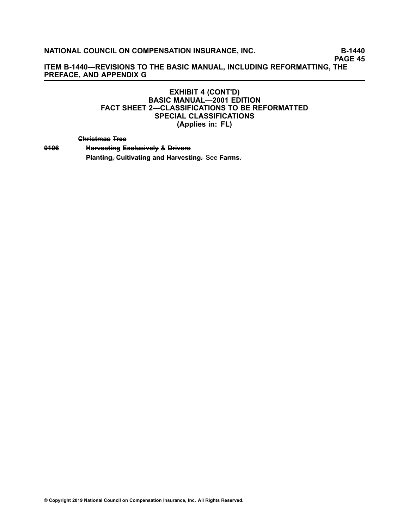**PAGE 45**

**ITEM B-1440—REVISIONS TO THE BASIC MANUAL, INCLUDING REFORMATTING, THE PREFACE, AND APPENDIX G**

## **EXHIBIT 4 (CONT'D) BASIC MANUAL—2001 EDITION FACT SHEET 2—CLASSIFICATIONS TO BE REFORMATTED SPECIAL CLASSIFICATIONS (Applies in: FL)**

**C–h––r–is–t–m– a–s– T––re–e–**

0406 **Harvesting Exclusively & Drivers Planting, Gultivating and Harvesting.** See Farms.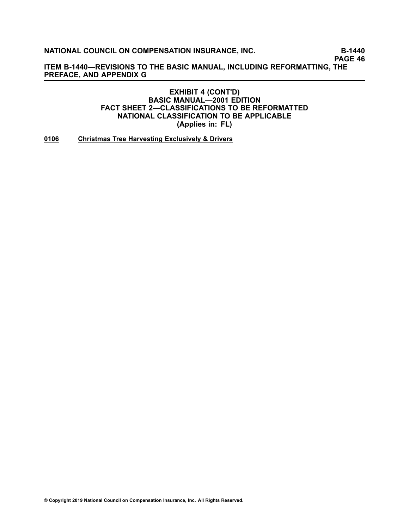**PAGE 46**

**ITEM B-1440—REVISIONS TO THE BASIC MANUAL, INCLUDING REFORMATTING, THE PREFACE, AND APPENDIX G**

## **EXHIBIT 4 (CONT'D) BASIC MANUAL—2001 EDITION FACT SHEET 2—CLASSIFICATIONS TO BE REFORMATTED NATIONAL CLASSIFICATION TO BE APPLICABLE (Applies in: FL)**

**[0106](/manuscript/hyperlink.asp?docid=0106) Christmas Tree Harvesting Exclusively & Drivers**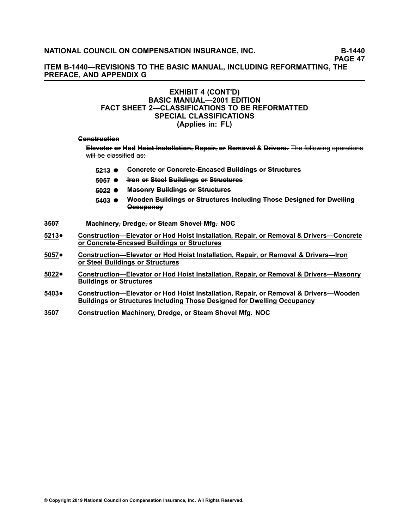**PAGE 47**

**ITEM B-1440—REVISIONS TO THE BASIC MANUAL, INCLUDING REFORMATTING, THE PREFACE, AND APPENDIX G**

### **EXHIBIT 4 (CONT'D) BASIC MANUAL—2001 EDITION FACT SHEET 2—CLASSIFICATIONS TO BE REFORMATTED SPECIAL CLASSIFICATIONS (Applies in: FL)**

#### Genstruction

Elevator or Hod Hoist Installation, Repair, or Removal & Drivers. The following operations will be elassified as:

- **5213 ●** Generete or Generete-Eneased Buildings or Structures
- **[5–0–5–7–](/manuscript/hyperlink.asp?docid=5057&manualtitle=scopesxml) –I–ro–n– o––r S––te–e–l– B–u––i–ld––in–g–s– o––r S––t–ru–c–t–u––re–s–**
- **[5–0–2–2–](/manuscript/hyperlink.asp?docid=5022&manualtitle=scopesxml) M–a–s–o–n––ry– B–u––i–ld––in–g–s– o––r S––t–ru–c–t–u––re–s–**
- **[5–4–0–3–](/manuscript/hyperlink.asp?docid=5403&manualtitle=scopesxml) W– o–o–d–e–n– B–u––i–ld––in–g–s– o––r S––t–ru–c–t–u––re–s– –In–c–l–u–d––in–g– T–h–o–s–e– D–e–s–i–g–n–e–d– –fo––r D–w–e–l––l–in–g– O–c–c–u–p–a–n–c–y–**
- **[3–5–0–7–](/manuscript/hyperlink.asp?docid=3507&manualtitle=scopesxml) M–a–c–h––in–e–r–y––, D––re–d–g–e–,– o––r S––te–a–m– S–h–o–v–e–l– M––fg––. N–O–C–**
- **[5213](/manuscript/hyperlink.asp?docid=5213)**• **Construction—Elevator or Hod Hoist Installation, Repair, or Removal & Drivers—Concrete or Concrete-Encased Buildings or Structures**
- **[5057](/manuscript/hyperlink.asp?docid=5057)**• **Construction—Elevator or Hod Hoist Installation, Repair, or Removal & Drivers—Iron or Steel Buildings or Structures**
- **[5022](/manuscript/hyperlink.asp?docid=5022)**• **Construction—Elevator or Hod Hoist Installation, Repair, or Removal & Drivers—Masonry Buildings or Structures**
- **[5403](/manuscript/hyperlink.asp?docid=5403)**• **Construction—Elevator or Hod Hoist Installation, Repair, or Removal & Drivers—Wooden Buildings or Structures Including Those Designed for Dwelling Occupancy**
- **[3507](/manuscript/hyperlink.asp?docid=3507) Construction Machinery, Dredge, or Steam Shovel Mfg. NOC**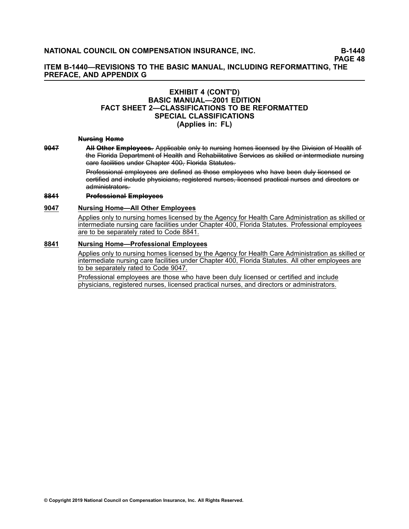## **ITEM B-1440—REVISIONS TO THE BASIC MANUAL, INCLUDING REFORMATTING, THE PREFACE, AND APPENDIX G**

#### **EXHIBIT 4 (CONT'D) BASIC MANUAL—2001 EDITION FACT SHEET 2—CLASSIFICATIONS TO BE REFORMATTED SPECIAL CLASSIFICATIONS (Applies in: FL)**

#### **Nursing Heme**

**9047 •–– AH Other Employees.** Applicable only to nursing homes licensed by the Division of Health of the Florida Department of Health and Rehabilitative Services as skilled or intermediate nursing eare facilities under Chapter 400, Florida Statutes.

> Professional employees are defined as those employees who have been duly licensed or eertified and include physicians, registered nurses, licensed practical nurses and directors or administrators.

#### **[8–8–4–1–](/manuscript/hyperlink.asp?docid=8841&manualtitle=scopesxmlstate) P––ro––fe–s–s–i–o–n–a–l– E–m– p––lo–y–e–e–s–**

#### **[9047](/manuscript/hyperlink.asp?docid=9047) Nursing Home—All Other Employees**

Applies only to nursing homes licensed by the Agency for Health Care Administration as skilled or intermediate nursing care facilities under Chapter 400, Florida Statutes. Professional employees are to be separately rated to Code 8841.

#### **[8841](/manuscript/hyperlink.asp?docid=8841) Nursing Home—Professional Employees**

Applies only to nursing homes licensed by the Agency for Health Care Administration as skilled or intermediate nursing care facilities under Chapter 400, Florida Statutes. All other employees are to be separately rated to Code 9047.

Professional employees are those who have been duly licensed or certified and include physicians, registered nurses, licensed practical nurses, and directors or administrators.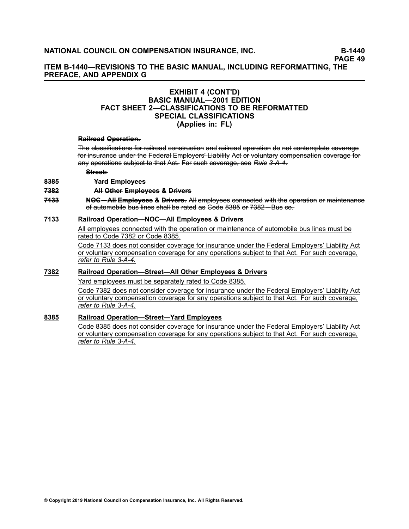## **ITEM B-1440—REVISIONS TO THE BASIC MANUAL, INCLUDING REFORMATTING, THE PREFACE, AND APPENDIX G**

### **EXHIBIT 4 (CONT'D) BASIC MANUAL—2001 EDITION FACT SHEET 2—CLASSIFICATIONS TO BE REFORMATTED SPECIAL CLASSIFICATIONS (Applies in: FL)**

#### **Railread Operation.**

The elassifications for railroad construction and railroad operation do not contemplate coverage for insurance under the Federal Employers' Liability Act or voluntary compensation coverage for any operations subject to that Act. For such coverage, see Rule 3-A-4.

#### $S<sup>+</sup>$ +reet+

#### **[8–3–8–5–](/manuscript/hyperlink.asp?docid=8385&manualtitle=scopesxml) Y–a–r–d– E–m– p––lo–y–e–e–s–**

#### **[7–3–8–2–](/manuscript/hyperlink.asp?docid=7382&manualtitle=scopesxml) A––l–l O––th–e–r– E–m– p––lo–y–e–e–s– &– D––r–iv–e–r–s–**

**7433** NOG—AH Employees & Drivers. All employees connected with the operation or maintenance of automobile bus lines shall be rated as Gode 8385 or 7382 – Bus co.

#### **[7133](/manuscript/hyperlink.asp?docid=7133&manualtitle=scopesxml) Railroad Operation—NOC—All Employees & Drivers**

All employees connected with the operation or maintenance of automobile bus lines must be rated to Code [7382](/manuscript/hyperlink.asp?docid=7382&manualtitle=scopesxml) or Code [8385](/manuscript/hyperlink.asp?docid=8385&manualtitle=scopesxml).

Code 7133 does not consider coverage for insurance under the Federal Employers' Liability Act or voluntary compensation coverage for any operations subject to that Act. For such coverage, *refer to Rule [3-A-4](/manuscript/hyperlink.asp?docid=Basic2001Rule3-A&manualtitle=basicxml)*.

## **[7382](/manuscript/hyperlink.asp?docid=7382&manualtitle=scopesxml) Railroad Operation—Street—All Other Employees & Drivers**

Yard employees must be separately rated to Code 8385.

Code 7382 does not consider coverage for insurance under the Federal Employers' Liability Act or voluntary compensation coverage for any operations subject to that Act. For such coverage, *refer to Rule [3-A-4](/manuscript/hyperlink.asp?docid=Basic2001Rule3-A&manualtitle=basicxml)*.

#### **[8385](/manuscript/hyperlink.asp?docid=8385&manualtitle=scopesxml) Railroad Operation—Street—Yard Employees**

Code 8385 does not consider coverage for insurance under the Federal Employers' Liability Act or voluntary compensation coverage for any operations subject to that Act. For such coverage, *refer to Rule [3-A-4](/manuscript/hyperlink.asp?docid=Basic2001Rule3-A&manualtitle=basicxml)*.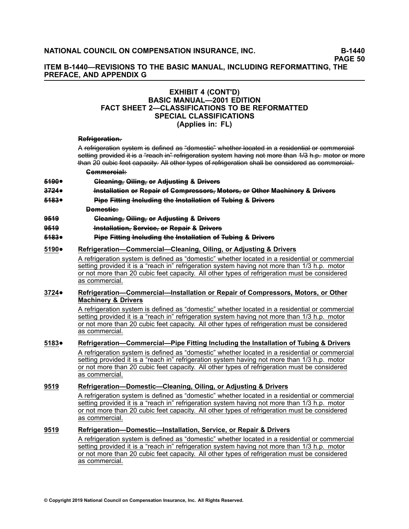## **ITEM B-1440—REVISIONS TO THE BASIC MANUAL, INCLUDING REFORMATTING, THE PREFACE, AND APPENDIX G**

### **EXHIBIT 4 (CONT'D) BASIC MANUAL—2001 EDITION FACT SHEET 2—CLASSIFICATIONS TO BE REFORMATTED SPECIAL CLASSIFICATIONS (Applies in: FL)**

#### **Refrigeration.**

A refrigeration system is defined as "domestic" whether located in a residential or commercial setting provided it is a "reach in"-refrigeration system having not more than 1/3 h.p. motor or more than 20 cubic feet capacity. All other types of refrigeration shall be considered as commercial.

- **C–o–m– m– e–r–c–i–a–l––:**
- **[5–1–9–0–](/manuscript/hyperlink.asp?docid=5190&manualtitle=scopesxml)**•**C––le–a–n––in–g––, O––i–l–in–g––, o––r A–d––ju–s–t––in–g– &– D––r–iv–e–r–s–**
- **[3–7–2–4–](/manuscript/hyperlink.asp?docid=3724&manualtitle=scopesxml)**•**–In–s–t–a–l––la–t––io–n– o––r R–e–p–a–i––r o––f C–o–m– p––re–s–s–o––rs–,– M–o––to––rs–,–o––r O––th–e–r– M–a–c–h––in–e–r–y– &– D––r–iv–e–r–s–**
- **[5–1–8–3–](/manuscript/hyperlink.asp?docid=5183&manualtitle=scopesxml)**•**Pipe Fitting Including the Installation of Tubing & Drivers**

**Demestie:** 

- **[9–5–1–9–](/manuscript/hyperlink.asp?docid=9519&manualtitle=scopesxml) C––le–a–n––in–g––, O––i–l–in–g––, o––r A–d––ju–s–t––in–g– &– D––r–iv–e–r–s–**
- **[9–5–1–9–](/manuscript/hyperlink.asp?docid=9519&manualtitle=scopesxml) –In–s–t–a–l––la–t––io–n––, S–e–r–v–i–c–e–,– o––r R–e–p–a–i––r &– D––r–iv–e–r–s–**
- **[5–1–8–3–](/manuscript/hyperlink.asp?docid=5183&manualtitle=scopesxml)**•**Pipe Fitting Including the Installation of Tubing & Drivers**

#### **[5190](/manuscript/hyperlink.asp?docid=5190&manualtitle=scopesxml)**•**Refrigeration—Commercial—Cleaning, Oiling, or Adjusting & Drivers**

A refrigeration system is defined as "domestic" whether located in <sup>a</sup> residential or commercial setting provided it is <sup>a</sup> "reach in" refrigeration system having not more than 1/3 h.p. motor or not more than 20 cubic feet capacity. All other types of refrigeration must be considered as commercial.

#### **[3724](/manuscript/hyperlink.asp?docid=3724&manualtitle=scopesxml)**• **Refrigeration—Commercial—Installation or Repair of Compressors, Motors, or Other Machinery & Drivers**

A refrigeration system is defined as "domestic" whether located in <sup>a</sup> residential or commercial setting provided it is <sup>a</sup> "reach in" refrigeration system having not more than 1/3 h.p. motor or not more than 20 cubic feet capacity. All other types of refrigeration must be considered as commercial.

#### **[5183](/manuscript/hyperlink.asp?docid=5183&manualtitle=scopesxml)**• **Refrigeration—Commercial—Pipe Fitting Including the Installation of Tubing & Drivers** A refrigeration system is defined as "domestic" whether located in <sup>a</sup> residential or commercial setting provided it is <sup>a</sup> "reach in" refrigeration system having not more than 1/3 h.p. motor or not more than 20 cubic feet capacity. All other types of refrigeration must be considered as commercial.

#### **[9519](/manuscript/hyperlink.asp?docid=9519&manualtitle=scopesxml) Refrigeration—Domestic—Cleaning, Oiling, or Adjusting & Drivers**

A refrigeration system is defined as "domestic" whether located in <sup>a</sup> residential or commercial setting provided it is <sup>a</sup> "reach in" refrigeration system having not more than 1/3 h.p. motor or not more than 20 cubic feet capacity. All other types of refrigeration must be considered as commercial.

## **[9519](/manuscript/hyperlink.asp?docid=9519&manualtitle=scopesxml) Refrigeration—Domestic—Installation, Service, or Repair & Drivers**

A refrigeration system is defined as "domestic" whether located in <sup>a</sup> residential or commercial setting provided it is <sup>a</sup> "reach in" refrigeration system having not more than 1/3 h.p. motor or not more than 20 cubic feet capacity. All other types of refrigeration must be considered as commercial.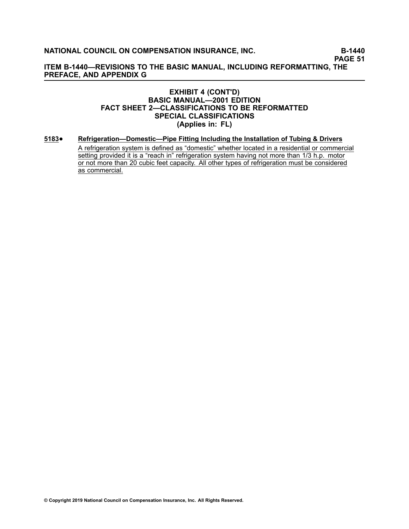**PAGE 51**

**ITEM B-1440—REVISIONS TO THE BASIC MANUAL, INCLUDING REFORMATTING, THE PREFACE, AND APPENDIX G**

### **EXHIBIT 4 (CONT'D) BASIC MANUAL—2001 EDITION FACT SHEET 2—CLASSIFICATIONS TO BE REFORMATTED SPECIAL CLASSIFICATIONS (Applies in: FL)**

**[5183](/manuscript/hyperlink.asp?docid=5183&manualtitle=scopesxml)**•**Refrigeration—Domestic—Pipe Fitting Including the Installation of Tubing & Drivers**

> A refrigeration system is defined as "domestic" whether located in <sup>a</sup> residential or commercial setting provided it is a "reach in" refrigeration system having not more than 1/3 h.p. motor or not more than 20 cubic feet capacity. All other types of refrigeration must be considered as commercial.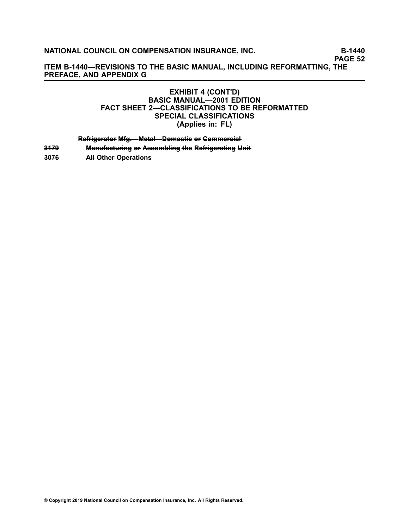**PAGE 52**

**ITEM B-1440—REVISIONS TO THE BASIC MANUAL, INCLUDING REFORMATTING, THE PREFACE, AND APPENDIX G**

## **EXHIBIT 4 (CONT'D) BASIC MANUAL—2001 EDITION FACT SHEET 2—CLASSIFICATIONS TO BE REFORMATTED SPECIAL CLASSIFICATIONS (Applies in: FL)**

**Refrigerator Mfg.—Metal—Domestie or Commercial** 

**[3–1–7–9–](/manuscript/hyperlink.asp?docid=3179&manualtitle=scopesxml) M–a–n–u––fa–c–t–u––r–in–g– o––r A–s–s–e–m– b––l–in–g– –th–e– R–e–f––r–ig–e–r–a–t––in–g– U–n––i–t**

**[3–0–7–6–](/manuscript/hyperlink.asp?docid=3076&manualtitle=scopesxml) A––l–l O––th–e–r– O–p–e–r–a–t––io–n–s–**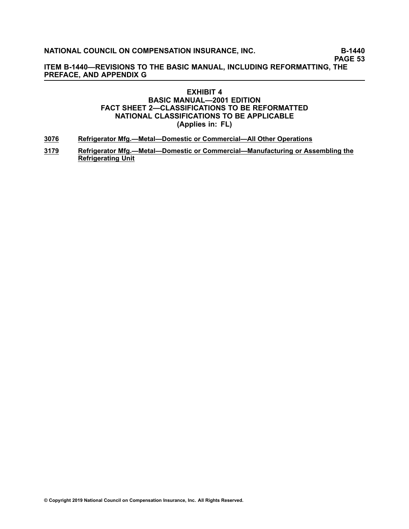**PAGE 53**

**ITEM B-1440—REVISIONS TO THE BASIC MANUAL, INCLUDING REFORMATTING, THE PREFACE, AND APPENDIX G**

## **EXHIBIT 4 BASIC MANUAL—2001 EDITION FACT SHEET 2—CLASSIFICATIONS TO BE REFORMATTED NATIONAL CLASSIFICATIONS TO BE APPLICABLE (Applies in: FL)**

- **[3076](/manuscript/hyperlink.asp?docid=3076&manualtitle=scopesxml) Refrigerator Mfg.—Metal—Domestic or Commercial—All Other Operations**
- **[3179](/manuscript/hyperlink.asp?docid=3179&manualtitle=scopesxml) Refrigerator Mfg.—Metal—Domestic or Commercial—Manufacturing or Assembling the Refrigerating Unit**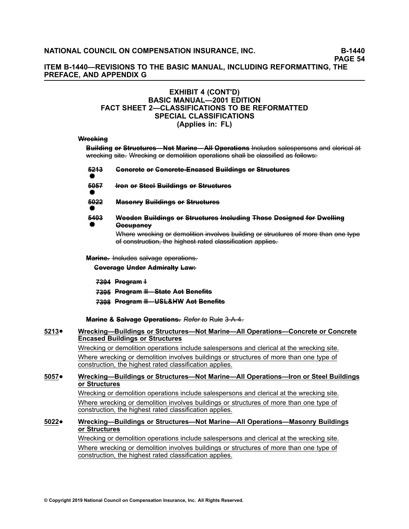## **ITEM B-1440—REVISIONS TO THE BASIC MANUAL, INCLUDING REFORMATTING, THE PREFACE, AND APPENDIX G**

### **EXHIBIT 4 (CONT'D) BASIC MANUAL—2001 EDITION FACT SHEET 2—CLASSIFICATIONS TO BE REFORMATTED SPECIAL CLASSIFICATIONS (Applies in: FL)**

#### Wreekine

Building or Structures—Not Marine—All Operations Includes salespersons and clerical at wrecking site. Wrecking or demolition operations shall be classified as follows:

| <del>5213</del> | <b>Generete or Generete-Encased Buildings or Structures</b>                                                                                      |
|-----------------|--------------------------------------------------------------------------------------------------------------------------------------------------|
| <del>5057</del> | <b>Hron or Steel Buildings or Structures</b>                                                                                                     |
| <del>5022</del> | <b>Masonry Buildings or Structures</b>                                                                                                           |
| <del>5403</del> | Wooden Buildings or Structures Including Those Designed for Dwelling<br><del>Occupancy</del>                                                     |
|                 | Where wrecking or demolition involves building or structures of more than one type<br>of construction, the highest rated classification applies. |

Marine. Includes salvage operations.

**Coverage Under Admiralty Law:** 

**7–3–9–4– P––ro–g––ra–m– –I**

**7–3–9–5– P––ro–g––ra–m– –I–I—– S––ta–t–e– A–c–t– B–e–n–e–fi––ts–**

**[7–3–9–8–](/manuscript/hyperlink.asp?docid=7398&manualtitle=scopesxml) P––ro–g––ra–m– –I–I—– U–S–L–&–H–W– A–c–t– B–e–n–e–fi––ts–**

**Marine & Salvage Operations.** Refer to Rule 3-A-4.

#### **[5213](/manuscript/hyperlink.asp?docid=5213)**• **Wrecking—Buildings or Structures—Not Marine—All Operations—Concrete or Concrete Encased Buildings or Structures** Wrecking or demolition operations include salespersons and clerical at the wrecking site. Where wrecking or demolition involves buildings or structures of more than one type of construction, the highest rated classification applies.

#### **[5057](/manuscript/hyperlink.asp?docid=5057)**• **Wrecking—Buildings or Structures—Not Marine—All Operations—Iron or Steel Buildings or Structures**

Wrecking or demolition operations include salespersons and clerical at the wrecking site. Where wrecking or demolition involves buildings or structures of more than one type of construction, the highest rated classification applies.

#### **[5022](/manuscript/hyperlink.asp?docid=5022)**• **Wrecking—Buildings or Structures—Not Marine—All Operations—Masonry Buildings or Structures**

Wrecking or demolition operations include salespersons and clerical at the wrecking site.

Where wrecking or demolition involves buildings or structures of more than one type of construction, the highest rated classification applies.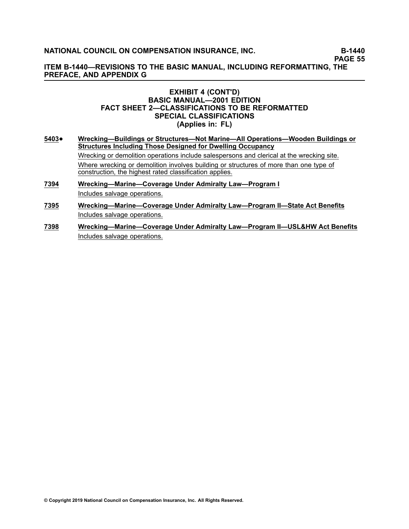**PAGE 55**

**ITEM B-1440—REVISIONS TO THE BASIC MANUAL, INCLUDING REFORMATTING, THE PREFACE, AND APPENDIX G**

#### **EXHIBIT 4 (CONT'D) BASIC MANUAL—2001 EDITION FACT SHEET 2—CLASSIFICATIONS TO BE REFORMATTED SPECIAL CLASSIFICATIONS (Applies in: FL)**

- **[5403](/manuscript/hyperlink.asp?docid=5403)**• **Wrecking—Buildings or Structures—Not Marine—All Operations—Wooden Buildings or Structures Including Those Designed for Dwelling Occupancy** Wrecking or demolition operations include salespersons and clerical at the wrecking site. Where wrecking or demolition involves building or structures of more than one type of construction, the highest rated classification applies.
- **[7394](/manuscript/hyperlink.asp?docid=7394) Wrecking—Marine—Coverage Under Admiralty Law—Program I** Includes salvage operations.
- **[7395](/manuscript/hyperlink.asp?docid=7394) Wrecking—Marine—Coverage Under Admiralty Law—Program II—State Act Benefits** Includes salvage operations.
- **[7398](/manuscript/hyperlink.asp?docid=7398) Wrecking—Marine—Coverage Under Admiralty Law—Program II—USL&HW Act Benefits** Includes salvage operations.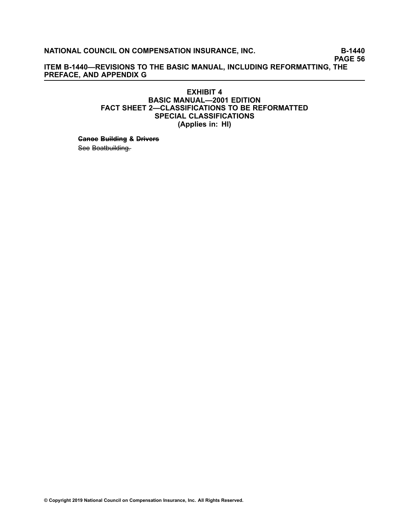**PAGE 56**

**ITEM B-1440—REVISIONS TO THE BASIC MANUAL, INCLUDING REFORMATTING, THE PREFACE, AND APPENDIX G**

### **EXHIBIT 4 BASIC MANUAL—2001 EDITION FACT SHEET 2—CLASSIFICATIONS TO BE REFORMATTED SPECIAL CLASSIFICATIONS (Applies in: HI)**

**Canee Building & Drivers** 

See Boatbuilding.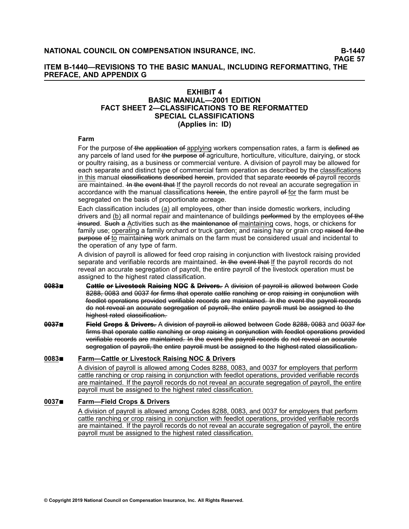## **ITEM B-1440—REVISIONS TO THE BASIC MANUAL, INCLUDING REFORMATTING, THE PREFACE, AND APPENDIX G**

#### **EXHIBIT 4 BASIC MANUAL—2001 EDITION FACT SHEET 2—CLASSIFICATIONS TO BE REFORMATTED SPECIAL CLASSIFICATIONS (Applies in: ID)**

#### **Farm**

For the purpose of the application of applying workers compensation rates, a farm is defined as any parcels of land used for the purpose of agriculture, horticulture, viticulture, dairying, or stock or poultry raising, as <sup>a</sup> business or commercial venture. A division of payroll may be allowed for each separate and distinct type of commercial farm operation as described by the classifications in this manual elassifications described herein, provided that separate records of payroll records are maintained. Hethe event that If the payroll records do not reveal an accurate segregation in accordance with the manual classifications herein, the entire payroll of for the farm must be segregated on the basis of proportionate acreage.

Each classification includes (a) all employees, other than inside domestic workers, including drivers and (b) all normal repair and maintenance of buildings performed by the employees of the insured. Such a Activities such as the maintenance of maintaining cows, hogs, or chickens for family use; operating a family orchard or truck garden; and raising hay or grain crop <del>raised for the</del> purpose of to maintaining work animals on the farm must be considered usual and incidental to the operation of any type of farm.

A division of payroll is allowed for feed crop raising in conjunction with livestock raising provided separate and verifiable records are maintained. He the event that If the payroll records do not reveal an accurate segregation of payroll, the entire payroll of the livestock operation must be assigned to the highest rated classification.

- **9983** Gattle or Livestock Raising NOC & Drivers. A division of payroll is allowed between Code 8288, 0083 and 0037 for firms that operate cattle ranching or crop raising in conjunction with feedlot operations provided verifiable records are maintained. In the event the payroll records do not reveal an accurate segregation of payroll, the entire payroll must be assigned to the hjghest rated classification.
- **0037■ Field Grops & Drivers.** A division of payroll is allowed between Gode 8288, 0083 and 0037 for firms that operate cattle ranching or crop raising in conjunction with feedlot operations provided verifiable records are maintained. In the event the pavroll records do not reveal an accurate segregation of payroll, the entire payroll must be assigned to the highest rated classification.

#### **[0083](/manuscript/hyperlink.asp?docid=0083&manualtitle=scopesxml)**■ **Farm—Cattle or Livestock Raising NOC & Drivers**

A division of payroll is allowed among Codes [8288](https://www.ncci.com/manuscript/hyperlink.asp?docid=8288&manualtitle=scopesxml), [0083](https://www.ncci.com/manuscript/hyperlink.asp?docid=0083&manualtitle=scopesxml), and [0037](https://www.ncci.com/manuscript/hyperlink.asp?docid=0037&manualtitle=scopesxml) for employers that perform cattle ranching or crop raising in conjunction with feedlot operations, provided verifiable records are maintained. If the payroll records do not reveal an accurate segregation of payroll, the entire payroll must be assigned to the highest rated classification.

#### **[0037](/manuscript/hyperlink.asp?docid=0037&manualtitle=scopesxml)**■ **Farm—Field Crops & Drivers**

A division of payroll is allowed among Codes [8288](https://www.ncci.com/manuscript/hyperlink.asp?docid=8288&manualtitle=scopesxml), [0083](https://www.ncci.com/manuscript/hyperlink.asp?docid=0083&manualtitle=scopesxml), and [0037](https://www.ncci.com/manuscript/hyperlink.asp?docid=0037&manualtitle=scopesxml) for employers that perform cattle ranching or crop raising in conjunction with feedlot operations, provided verifiable records are maintained. If the payroll records do not reveal an accurate segregation of payroll, the entire payroll must be assigned to the highest rated classification.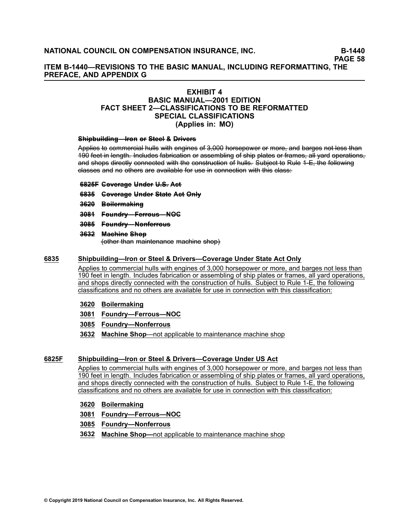**PAGE 58**

## **ITEM B-1440—REVISIONS TO THE BASIC MANUAL, INCLUDING REFORMATTING, THE PREFACE, AND APPENDIX G**

## **EXHIBIT 4**

## **BASIC MANUAL—2001 EDITION FACT SHEET 2—CLASSIFICATIONS TO BE REFORMATTED SPECIAL CLASSIFICATIONS (Applies in: MO)**

#### **Shipbuilding–Iron or Steel & Drivers**

Applies to commercial hulls with engines of 3,000 horsepower or more, and barges not less than 190 feet in length. Includes fabrication or assembling of ship plates or frames, all yard operations, and shops directly connected with the construction of hulls. Subject to Rule 1–E, the following elasses and no others are available for use in connection with this class:

#### **[6–8–2–5–F–](/manuscript/hyperlink.asp?docid=6825F&manualtitle=scopesxmlstate ) C–o–v–e–r–a–g–e– U–n–d–e–r– U––.S––. A–c–t–**

- **[6–8–3–5–](/manuscript/hyperlink.asp?docid=6835&manualtitle=scopesxmlstate ) C–o–v–e–r–a–g–e– U–n–d–e–r– S––ta–t–e– A–c–t– O–n––ly–**
- **[3–6–2–0–](/manuscript/hyperlink.asp?docid=3620&manualtitle=scopesxml ) B–o––i–le–r–m– a–k–i–n–g–**
- **[3–0–8–1–](/manuscript/hyperlink.asp?docid=3081&manualtitle=scopesxml ) F–o–u–n–d––ry–—– F–e–r––ro–u–s–—– N–O–C–**
- **[3–0–8–5–](/manuscript/hyperlink.asp?docid=3085&manualtitle=scopesxml ) F–o–u–n–d––ry–—– N–o–n––fe–r––ro–u–s–**
- **[3–6–3–2–](/manuscript/hyperlink.asp?docid=3632&manualtitle=scopesxml ) M–a–c–h––in–e– S–h–o–p–**

–(o–t–h–e–r––th–a–n– m–a–i–n–t–e–n–a–n–c–e– m–a–c–h–i–n–e– –sh–o–p–)–

#### **[6835](/manuscript/hyperlink.asp?docid=6835&manualtitle=scopesxmlstate ) Shipbuilding—Iron or Steel & Drivers—Coverage Under State Act Only**

Applies to commercial hulls with engines of 3,000 horsepower or more, and barges not less than 190 feet in length. Includes fabrication or assembling of ship plates or frames, all yard operations, and shops directly connected with the construction of hulls. Subject to Rule 1-E, the following classifications and no others are available for use in connection with this classification:

- **[3620](/manuscript/hyperlink.asp?docid=3620&manualtitle=scopesxml ) Boilermaking**
- **[3081](/manuscript/hyperlink.asp?docid=3081&manualtitle=scopesxml ) Foundry—Ferrous—NOC**
- **[3085](/manuscript/hyperlink.asp?docid=3085&manualtitle=scopesxml ) Foundry—Nonferrous**
- **[3632](/manuscript/hyperlink.asp?docid=3632&manualtitle=scopesxml ) Machine Shop**—not applicable to maintenance machine shop

### **[6825F](/manuscript/hyperlink.asp?docid=6825F&manualtitle=scopesxmlstate ) Shipbuilding—Iron or Steel & Drivers—Coverage Under US Act**

Applies to commercial hulls with engines of 3,000 horsepower or more, and barges not less than 190 feet in length. Includes fabrication or assembling of ship plates or frames, all yard operations, and shops directly connected with the construction of hulls. Subject to Rule 1-E, the following classifications and no others are available for use in connection with this classification:

## **[3620](/manuscript/hyperlink.asp?docid=3620&manualtitle=scopesxml ) Boilermaking**

- **[3081](/manuscript/hyperlink.asp?docid=3081&manualtitle=scopesxml ) Foundry—Ferrous—NOC**
- **[3085](/manuscript/hyperlink.asp?docid=3085&manualtitle=scopesxml ) Foundry—Nonferrous**
- **[3632](/manuscript/hyperlink.asp?docid=3632&manualtitle=scopesxml ) Machine Shop—**not applicable to maintenance machine shop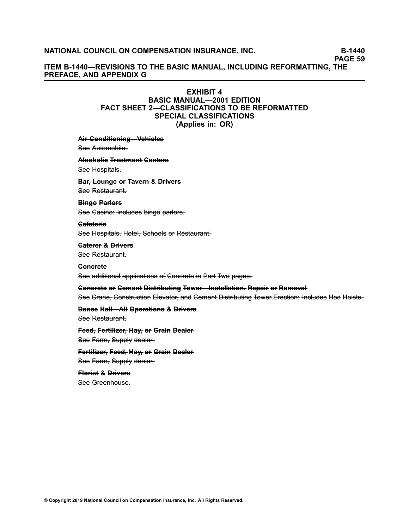**PAGE 59**

## **ITEM B-1440—REVISIONS TO THE BASIC MANUAL, INCLUDING REFORMATTING, THE PREFACE, AND APPENDIX G**

#### **EXHIBIT 4 BASIC MANUAL—2001 EDITION FACT SHEET 2—CLASSIFICATIONS TO BE REFORMATTED**

## **SPECIAL CLASSIFICATIONS**

**(Applies in: OR)**

#### **Air-Genditioning–Vehicles**

See Automobile.

## **A––lc–o–h–o––l–ic– T––re–a–t–m– e–n––t C–e–n––te–r–s–**

See Hospitals.

## **Bar, Leunge or Tavern & Drivers**

See Restaurant.

#### **Binge Parlors**

See Gasino: includes bingo parlors.

#### Gafeteria

See Hospitals, Hotel, Schools or Restaurant.

#### **C–a–t–e–r–e–r– &– D––r–iv–e–r–s–** See Restaurant–

#### **C–o–n–c–r–e–t–e–**

See additional applications of Concrete in Part Two pages.

## **Concrete or Cement Distributing Tower–Installation, Repair or Removal** See Crane, Construction Elevator, and Cement Distributing Tower Erection: Includes Hod Hoists.

## **Dance Hall––All Operations & Drivers**

See Restaurant.

## **Feed**, Fertilizer, Hay, or Grain Dealer See Farm, Supply dealer.

**Fertilizer, Feed, Hay, or Grain Dealer** See Farm, Supply dealer.

## **Florist & Drivers** See Greenhouse.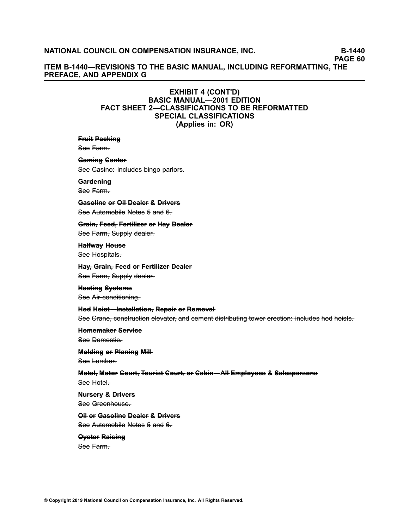**PAGE 60**

**ITEM B-1440—REVISIONS TO THE BASIC MANUAL, INCLUDING REFORMATTING, THE PREFACE, AND APPENDIX G**

## **EXHIBIT 4 (CONT'D) BASIC MANUAL—2001 EDITION FACT SHEET 2—CLASSIFICATIONS TO BE REFORMATTED SPECIAL CLASSIFICATIONS (Applies in: OR)**

#### **Fruit Packing**

See Farm.

#### Gaming Genter

See Gasino: includes bingo parlors.

#### Gardening

See Farm.

**G–a–s–o––l–in–e– o––r O––i–l D–e–a–l–e–r– &– D––r–iv–e–r–s–** See Automobile Notes 5 and 6–

**Grain, Feed, Fertilizer or Hay Dealer** See Farm, Supply dealer.

**Halfway Heuse** See Hospitals.

**Hav-**, Grain-, Feed or Fertilizer Dealer See Farm, Supply dealer.

**Heating Systems** See Air-conditioning.

**Hed Heist–Installation, Repair or Remeval** See Crane, construction elevator, and cement distributing tower erection: includes hod hoists.

**H–o–m– e–m– a–k–e–r– S–e–r–v–i–c–e–** See Demestic–

## **Melding or Planing Mill-**

See Lumber.

**M–o––te–l––, M–o––to––r C–o–u––r–t–, T–o–u––r–is–t– C–o–u––r–t–, o––r C–a–b––in–—– A––l–l E–m– p––lo–y–e–e–s– &– S–a–l–e–s–p–e–r–s–o–n–s–** See Hotel.

**Nursery & Drivers** 

See Greenhouse.

**O**il or Gasoline Dealer & Drivers See Automobile Notes 5 and 6.

**Oyster Raising** See Farm.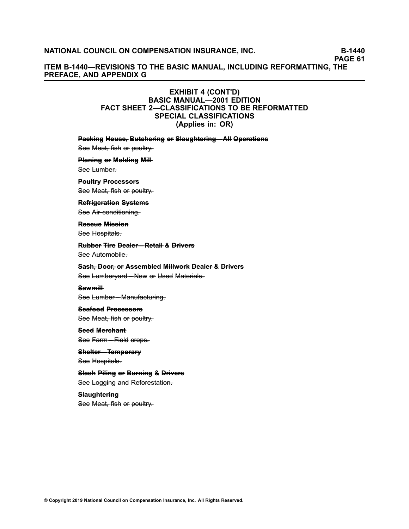**PAGE 61**

## **ITEM B-1440—REVISIONS TO THE BASIC MANUAL, INCLUDING REFORMATTING, THE PREFACE, AND APPENDIX G**

## **EXHIBIT 4 (CONT'D) BASIC MANUAL—2001 EDITION FACT SHEET 2—CLASSIFICATIONS TO BE REFORMATTED SPECIAL CLASSIFICATIONS (Applies in: OR)**

#### **Packing Heuse, Butchering or Slaughtering–All Operations**

See Meat, fish or poultry.

# **Planing or Molding Mill-**

See Lumber.

## **Peultry Precessors**

See Meat, fish or poultry.

#### **Refrigeration Systems**

See Air-conditioning.

## **Rescue Mission**

See Hospitals.

### **Rubber Tire Dealer–Retail & Drivers** See Automobile–

#### **Sash, Deer, or Assembled Millwork Dealer & Drivers**

See Lumberyard–New or Used Materials.

## **S–a–w–m––i–l–l** See Lumber–Manufacturing.

#### **S–e–a–f–o–o–d– P––ro–c–e–s–s–o––rs–**

See Meat, fish or poultry.

## **Seed Merchant** See Farm–Field crops.

## $S$ helter–Temperary See Hospitals.

**Slash Piling or Burning & Drivers** See Logging and Reforestation.

## **Slaughtering** See Meat, fish or poultry.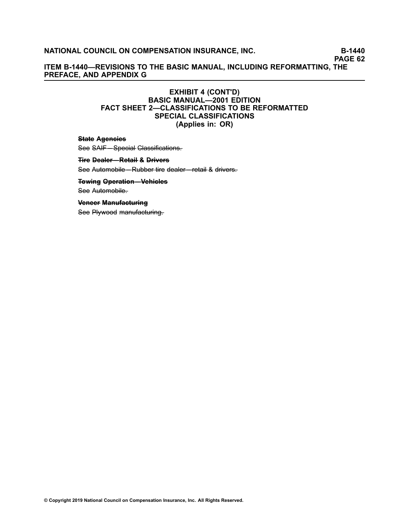**PAGE 62**

**ITEM B-1440—REVISIONS TO THE BASIC MANUAL, INCLUDING REFORMATTING, THE PREFACE, AND APPENDIX G**

## **EXHIBIT 4 (CONT'D) BASIC MANUAL—2001 EDITION FACT SHEET 2—CLASSIFICATIONS TO BE REFORMATTED SPECIAL CLASSIFICATIONS (Applies in: OR)**

#### **State Agencies**

See SAIF––Special Classifications.

### **Fire Dealer–Retail & Drivers**

See Automobile–Rubber tire dealer–retail & drivers.

#### **Tewing Operation–Vehicles**

See Automobile.

#### **Veneer Manufacturing**

See Plywood manufacturing.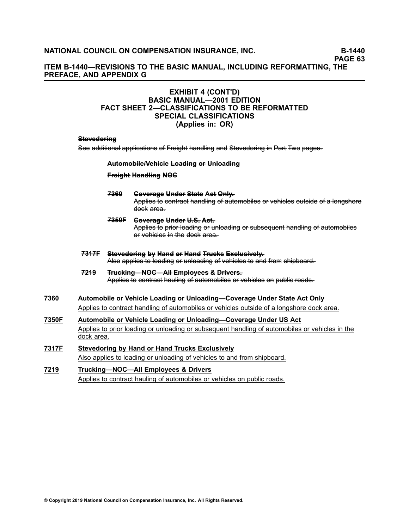**PAGE 63**

## **ITEM B-1440—REVISIONS TO THE BASIC MANUAL, INCLUDING REFORMATTING, THE PREFACE, AND APPENDIX G**

## **EXHIBIT 4 (CONT'D) BASIC MANUAL—2001 EDITION FACT SHEET 2—CLASSIFICATIONS TO BE REFORMATTED SPECIAL CLASSIFICATIONS (Applies in: OR)**

#### Stevedoring

See additional applications of Freight handling and Stevedoring in Part Two pages.

#### **Automobile/Vehicle Loading or Unloading**

#### **Freight Handling NOG**

#### **[7–3–6–0–](/manuscript/hyperlink.asp?docid=7360&manualtitle=scopesxml ) C–o–v–e–r–a–g–e– U–n–d–e–r– S––ta–t–e– A–c–t– O–n––ly––.** Applies to contract handling of automobiles or vehicles outside of a longshore dock area–

- **[7–3–5–0–F–](/manuscript/hyperlink.asp?docid=7350F&manualtitle=scopesxml ) C–o–v–e–r–a–g–e– U–n–d–e–r– U––.S––. A–c–t––.** Applies to prior-loading or unloading or subsequent handling of automobiles of vehicles in the dock area.
- **[7–3–1–7–F–](/manuscript/hyperlink.asp?docid=7317F&manualtitle=scopesxml ) S––te–v–e–d–o––r–in–g– b–y– H–a–n–d– o––r H–a–n–d– T––ru–c–k–s– E–x–c–l–u–s–i–v–e–l–y––.** Also applies to loading or unloading of vehicles to and from shipboard.
- **[7–2–1–9–](/manuscript/hyperlink.asp?docid=7219&manualtitle=scopesxmlstate ) T––ru–c–k–i–n–g–—– N–O–C–—– A––l–l E–m– p––lo–y–e–e–s– &– D––r–iv–e–r–s–.–** Applies to contract hauling of automobiles or vehicles on public roads.
- **[7360](/manuscript/hyperlink.asp?docid=7360&manualtitle=scopesxmlstate) Automobile or Vehicle Loading or Unloading—Coverage Under State Act Only** Applies to contract handling of automobiles or vehicles outside of <sup>a</sup> longshore dock area.
- **[7350F](/manuscript/hyperlink.asp?docid=7350F&manualtitle=scopesxmlstate) Automobile or Vehicle Loading or Unloading—Coverage Under US Act** Applies to prior loading or unloading or subsequent handling of automobiles or vehicles in the dock area.
- **[7317F](/manuscript/hyperlink.asp?docid=7317F&manualtitle=scopesxml) Stevedoring by Hand or Hand Trucks Exclusively** Also applies to loading or unloading of vehicles to and from shipboard.
- **[7219](/manuscript/hyperlink.asp?docid=7219&manualtitle=scopesxmlstate) Trucking—NOC—All Employees & Drivers** Applies to contract hauling of automobiles or vehicles on public roads.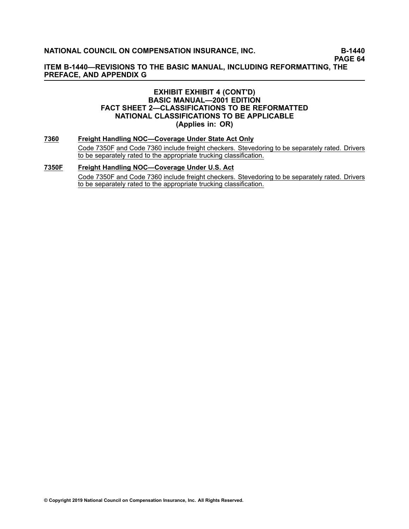**PAGE 64**

**ITEM B-1440—REVISIONS TO THE BASIC MANUAL, INCLUDING REFORMATTING, THE PREFACE, AND APPENDIX G**

## **EXHIBIT EXHIBIT 4 (CONT'D) BASIC MANUAL—2001 EDITION FACT SHEET 2—CLASSIFICATIONS TO BE REFORMATTED NATIONAL CLASSIFICATIONS TO BE APPLICABLE (Applies in: OR)**

**[7360](/manuscript/hyperlink.asp?docid=7360&manualtitle=scopesxml) Freight Handling NOC—Coverage Under State Act Only** Code [7350F](/manuscript/hyperlink.asp?docid=7350F&manualtitle=scopesxml) and Code 7360 include freight checkers. Stevedoring to be separately rated. Drivers to be separately rated to the appropriate trucking classification.

## **[7350F](/manuscript/hyperlink.asp?docid=7350F&manualtitle=scopesxml) Freight Handling NOC—Coverage Under U.S. Act** Code 7350F and Code [7360](/manuscript/hyperlink.asp?docid=7360) include freight checkers. Stevedoring to be separately rated. Drivers to be separately rated to the appropriate trucking classification.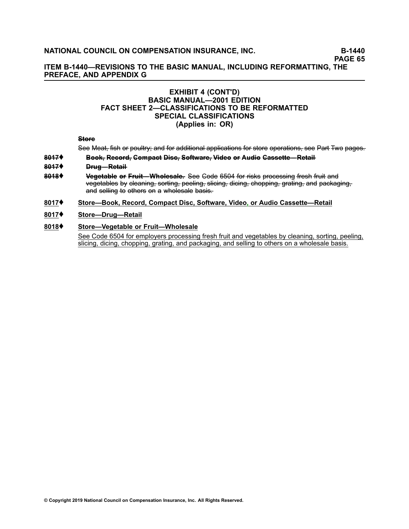**PAGE 65**

## **ITEM B-1440—REVISIONS TO THE BASIC MANUAL, INCLUDING REFORMATTING, THE PREFACE, AND APPENDIX G**

## **EXHIBIT 4 (CONT'D) BASIC MANUAL—2001 EDITION FACT SHEET 2—CLASSIFICATIONS TO BE REFORMATTED SPECIAL CLASSIFICATIONS (Applies in: OR)**

#### **Store**

See Meat, fish or poultry; and for additional applications for store operations, see Part Two pages.

#### **[8–0–1–7–](/manuscript/hyperlink.asp?docid=8017&manualtitle=scopesxml )**♦ **B–o–o–k–,– R–e–c–o––rd––, C–o–m– p–a–c–t– D––is–c–,–S–o––f–tw–a–r–e–,–V––id–e–o– o––r A–u–d––io– C–a–s–s–e–t––te–—– R–e–t–a–i––l**

- **[8–0–1–7–](/manuscript/hyperlink.asp?docid=8017&manualtitle=scopesxml )**♦ **D––ru–g–—– R–e–t–a–i––l**
- **8018♦ Vegetable or Fruit—Wholesale.** See Gode 6504 for risks processing fresh fruit and vegetables by cleaning, sorting, peeling, slicing, dicing, chopping, grating, and packaging, and selling to others on a wholesale basis.

#### **[8017](/manuscript/hyperlink.asp?docid=8017&manualtitle=scopesxml )**♦ **Store—Book, Record, Compact Disc, Software, Video, or Audio Cassette—Retail**

**[8017](/manuscript/hyperlink.asp?docid=8017&manualtitle=scopesxml)**♦ **Store—Drug—Retail**

### **[8018](/manuscript/hyperlink.asp?docid=8018&manualtitle=scopesxml)**♦ **Store—Vegetable or Fruit—Wholesale**

See Code [6504](https://www.ncci.com/manuscript/hyperlink.asp?docid=6504&manualtitle=scopesxml) for employers processing fresh fruit and vegetables by cleaning, sorting, peeling, slicing, dicing, chopping, grating, and packaging, and selling to others on <sup>a</sup> wholesale basis.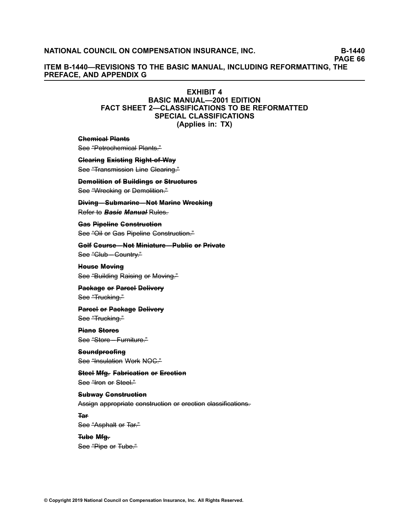**PAGE 66**

**ITEM B-1440—REVISIONS TO THE BASIC MANUAL, INCLUDING REFORMATTING, THE PREFACE, AND APPENDIX G**

### **EXHIBIT 4**

**BASIC MANUAL—2001 EDITION FACT SHEET 2—CLASSIFICATIONS TO BE REFORMATTED SPECIAL CLASSIFICATIONS (Applies in: TX)**

**Chemical Plants** 

See "Petrochemical Plants."

**Clearing Existing Right of Way** 

See "Transmission Line Glearing."

**Demolition of Buildings or Structures** See "Wrecking or Demolition."

**Diving–Submarine–Not Marine Wrecking** Refer to **Basic Manual Rules–** 

**Gas Pipeline Genstruction** See "Oil or Gas Pipeline Construction."

**Gelf Ceurse–Net Miniature–Public or Private** See "Club—Country."

**Heuse Meving** See "Building Raising or Moving."

**Package or Parcel Delivery** See "Trucking."

**Parcel or Package Delivery** See "Trucking."

**Piane Stores** See <del>"Store – Furniture."</del>

Seundproofing See <sup>"Insulation</sup> Work NOC."

**Steel Mfg. Fabrication or Erection** See – Hron or Steel."

**Subway Genstruction** Assign appropriate construction or erection classifications.

**T–a–r–**

See "Asphalt or Tar." **T–u–b–e– M––fg––.**

See "Pipe or Tube."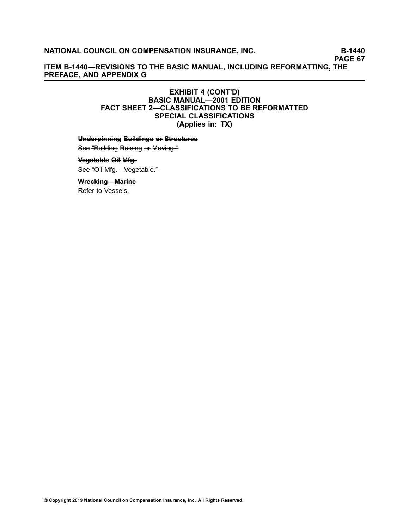**PAGE 67**

**ITEM B-1440—REVISIONS TO THE BASIC MANUAL, INCLUDING REFORMATTING, THE PREFACE, AND APPENDIX G**

## **EXHIBIT 4 (CONT'D) BASIC MANUAL—2001 EDITION FACT SHEET 2—CLASSIFICATIONS TO BE REFORMATTED SPECIAL CLASSIFICATIONS (Applies in: TX)**

**Underpinning Buildings or Structures** 

See "Building Raising or Moving."

**V–e–g–e–t–a–b––le– O––i–l M––fg––.** See "Oil Mfg. Vegetable."

**Wrecking–Marine** 

Refer to Vessels.